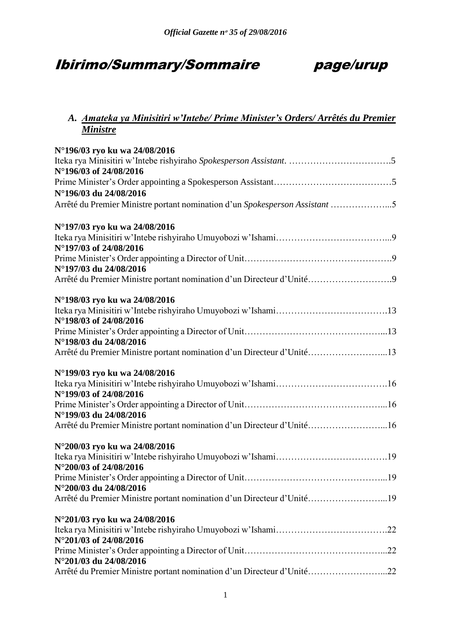# Ibirimo/Summary/Sommaire page/urup

## *A. Amateka ya Minisitiri w'Intebe/ Prime Minister's Orders/ Arrêtés du Premier Ministre*

| N°196/03 ryo ku wa 24/08/2016                                               |  |
|-----------------------------------------------------------------------------|--|
|                                                                             |  |
| N°196/03 of 24/08/2016                                                      |  |
|                                                                             |  |
| N°196/03 du 24/08/2016                                                      |  |
| Arrêté du Premier Ministre portant nomination d'un Spokesperson Assistant 5 |  |
| N°197/03 ryo ku wa 24/08/2016                                               |  |
| N°197/03 of 24/08/2016                                                      |  |
| N°197/03 du 24/08/2016                                                      |  |
| Arrêté du Premier Ministre portant nomination d'un Directeur d'Unité9       |  |
| N°198/03 ryo ku wa 24/08/2016                                               |  |
| N°198/03 of 24/08/2016                                                      |  |
|                                                                             |  |
| N°198/03 du 24/08/2016                                                      |  |
| Arrêté du Premier Ministre portant nomination d'un Directeur d'Unité13      |  |
| N°199/03 ryo ku wa 24/08/2016                                               |  |
| N°199/03 of 24/08/2016                                                      |  |
|                                                                             |  |
| N°199/03 du 24/08/2016                                                      |  |
| Arrêté du Premier Ministre portant nomination d'un Directeur d'Unité16      |  |
| N°200/03 ryo ku wa 24/08/2016                                               |  |
| N°200/03 of 24/08/2016                                                      |  |
|                                                                             |  |
| N°200/03 du 24/08/2016                                                      |  |
| Arrêté du Premier Ministre portant nomination d'un Directeur d'Unité19      |  |
| N°201/03 ryo ku wa 24/08/2016                                               |  |
|                                                                             |  |
| N°201/03 of 24/08/2016                                                      |  |
|                                                                             |  |
| N°201/03 du 24/08/2016                                                      |  |
| Arrêté du Premier Ministre portant nomination d'un Directeur d'Unité22      |  |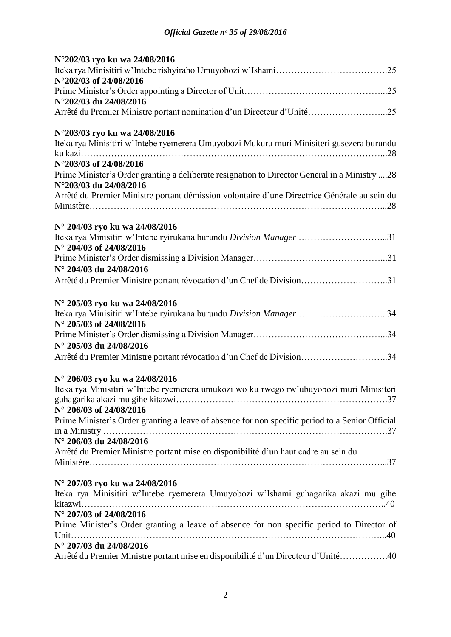| N°202/03 ryo ku wa 24/08/2016                                                                                           |
|-------------------------------------------------------------------------------------------------------------------------|
|                                                                                                                         |
| N°202/03 of 24/08/2016                                                                                                  |
|                                                                                                                         |
| N°202/03 du 24/08/2016                                                                                                  |
| Arrêté du Premier Ministre portant nomination d'un Directeur d'Unité25                                                  |
| N°203/03 ryo ku wa 24/08/2016                                                                                           |
| Iteka rya Minisitiri w'Intebe ryemerera Umuyobozi Mukuru muri Minisiteri gusezera burundu                               |
|                                                                                                                         |
| N°203/03 of 24/08/2016                                                                                                  |
| Prime Minister's Order granting a deliberate resignation to Director General in a Ministry 28<br>N°203/03 du 24/08/2016 |
| Arrêté du Premier Ministre portant démission volontaire d'une Directrice Générale au sein du                            |
|                                                                                                                         |
|                                                                                                                         |
| N° 204/03 ryo ku wa 24/08/2016<br>Iteka rya Minisitiri w'Intebe ryirukana burundu Division Manager 31                   |
| N° 204/03 of 24/08/2016                                                                                                 |
|                                                                                                                         |
| N° 204/03 du 24/08/2016                                                                                                 |
| Arrêté du Premier Ministre portant révocation d'un Chef de Division31                                                   |
|                                                                                                                         |
| N° 205/03 ryo ku wa 24/08/2016                                                                                          |
| Iteka rya Minisitiri w'Intebe ryirukana burundu Division Manager 34                                                     |
| N° 205/03 of 24/08/2016                                                                                                 |
|                                                                                                                         |
| N° 205/03 du 24/08/2016                                                                                                 |
| Arrêté du Premier Ministre portant révocation d'un Chef de Division34                                                   |
|                                                                                                                         |
| N° 206/03 ryo ku wa 24/08/2016                                                                                          |
| Iteka rya Minisitiri w'Intebe ryemerera umukozi wo ku rwego rw'ubuyobozi muri Minisiteri                                |
| N° 206/03 of 24/08/2016                                                                                                 |
| Prime Minister's Order granting a leave of absence for non specific period to a Senior Official                         |
|                                                                                                                         |
| N° 206/03 du 24/08/2016                                                                                                 |
| Arrêté du Premier Ministre portant mise en disponibilité d'un haut cadre au sein du                                     |
|                                                                                                                         |
|                                                                                                                         |
| N° 207/03 ryo ku wa 24/08/2016                                                                                          |
| Iteka rya Minisitiri w'Intebe ryemerera Umuyobozi w'Ishami guhagarika akazi mu gihe                                     |
|                                                                                                                         |
| N° 207/03 of 24/08/2016                                                                                                 |
| Prime Minister's Order granting a leave of absence for non specific period to Director of                               |
|                                                                                                                         |
|                                                                                                                         |
| N° 207/03 du 24/08/2016<br>Arrêté du Premier Ministre portant mise en disponibilité d'un Directeur d'Unité40            |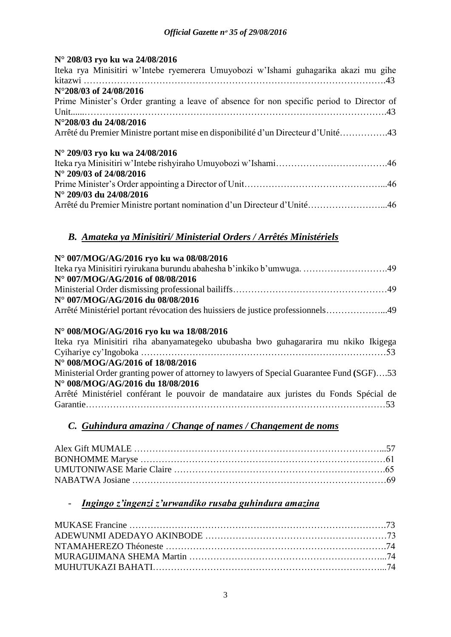## **N° 208/03 ryo ku wa 24/08/2016**

| Iteka rya Minisitiri w'Intebe ryemerera Umuyobozi w'Ishami guhagarika akazi mu gihe       |  |  |
|-------------------------------------------------------------------------------------------|--|--|
|                                                                                           |  |  |
| $N^{\circ}208/03$ of 24/08/2016                                                           |  |  |
| Prime Minister's Order granting a leave of absence for non specific period to Director of |  |  |
|                                                                                           |  |  |
| N°208/03 du 24/08/2016                                                                    |  |  |
| Arrêté du Premier Ministre portant mise en disponibilité d'un Directeur d'Unité43         |  |  |
| N° 209/03 ryo ku wa 24/08/2016                                                            |  |  |
|                                                                                           |  |  |
| $N^{\circ}$ 209/03 of 24/08/2016                                                          |  |  |
|                                                                                           |  |  |
| N° 209/03 du 24/08/2016                                                                   |  |  |
| Arrêté du Premier Ministre portant nomination d'un Directeur d'Unité46                    |  |  |

## *B. Amateka ya Minisitiri/ Ministerial Orders / Arrêtés Ministériels*

## **N° 007/MOG/AG/2016 ryo ku wa 08/08/2016** Iteka rya Minisitiri ryirukana burundu abahesha b'inkiko b'umwuga. ……………………….49 **N° 007/MOG/AG/2016 of 08/08/2016** Ministerial Order dismissing professional bailiffs……………………………………………49 **N° 007/MOG/AG/2016 du 08/08/2016** Arrêté Ministériel portant révocation des huissiers de justice professionnels………………...49

## **N° 008/MOG/AG/2016 ryo ku wa 18/08/2016**

| Iteka rya Minisitiri riha abanyamategeko ububasha bwo guhagararira mu nkiko Ikigega       |
|-------------------------------------------------------------------------------------------|
|                                                                                           |
| N° 008/MOG/AG/2016 of 18/08/2016                                                          |
| Ministerial Order granting power of attorney to lawyers of Special Guarantee Fund (SGF)53 |
| N° 008/MOG/AG/2016 du 18/08/2016                                                          |
| Arrêté Ministériel conférant le pouvoir de mandataire aux juristes du Fonds Spécial de    |
|                                                                                           |

## *C. Guhindura amazina / Change of names / Changement de noms*

## - *Ingingo z'ingenzi z'urwandiko rusaba guhindura amazina*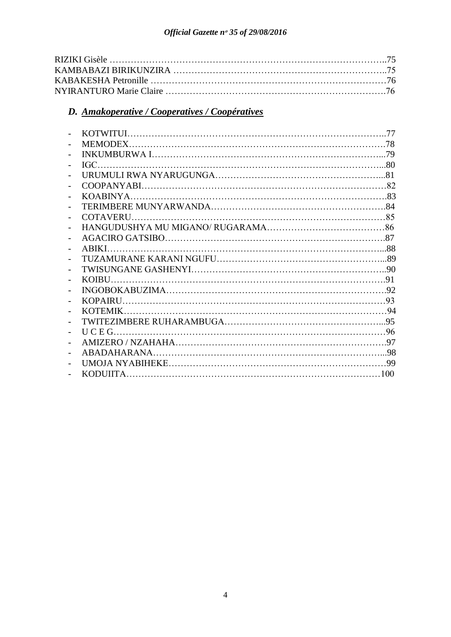## *D. Amakoperative / Cooperatives / Coopératives*

|              | 77 |
|--------------|----|
|              |    |
|              |    |
|              |    |
|              |    |
|              |    |
|              |    |
|              |    |
| COTAVERU.    |    |
|              |    |
|              |    |
|              |    |
|              |    |
|              |    |
| <b>KOIBU</b> |    |
|              |    |
|              |    |
|              |    |
|              |    |
|              |    |
|              |    |
|              |    |
|              |    |
| KODUIITA.    |    |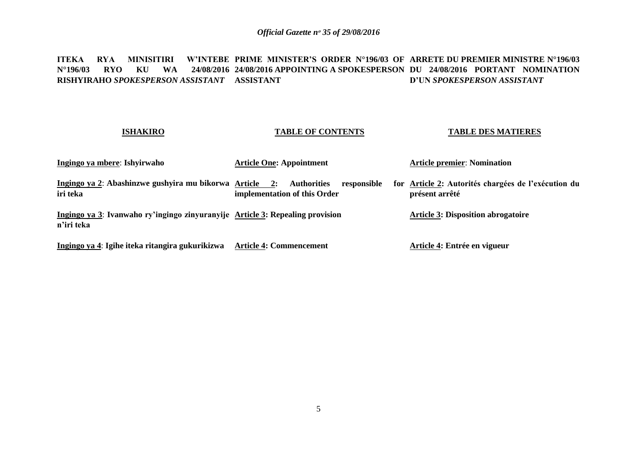#### **ITEKA RYA MINISITIRI W'INTEBE PRIME MINISTER'S ORDER N°196/03 OF ARRETE DU PREMIER MINISTRE N°196/03 N°196/03 RYO KU WA 24/08/2016 24/08/2016 APPOINTING A SPOKESPERSON DU 24/08/2016 PORTANT NOMINATION RISHYIRAHO** *SPOKESPERSON ASSISTANT* **ASSISTANT D'UN** *SPOKESPERSON ASSISTANT*

### **ISHAKIRO**

### **TABLE OF CONTENTS**

#### **TABLE DES MATIERES**

| Ingingo ya mbere: Ishyirwaho                                                                | <b>Article One: Appointment</b>                                   | <b>Article premier: Nomination</b>                                    |
|---------------------------------------------------------------------------------------------|-------------------------------------------------------------------|-----------------------------------------------------------------------|
| Ingingo ya 2: Abashinzwe gushyira mu bikorwa Article 2:<br>iri teka                         | <b>Authorities</b><br>responsible<br>implementation of this Order | for Article 2: Autorités chargées de l'exécution du<br>présent arrêté |
| Ingingo ya 3: Ivanwaho ry'ingingo zinyuranyije Article 3: Repealing provision<br>n'iri teka |                                                                   | <b>Article 3: Disposition abrogatoire</b>                             |
| Ingingo ya 4: Igihe iteka ritangira gukurikizwa                                             | <b>Article 4: Commencement</b>                                    | Article 4: Entrée en vigueur                                          |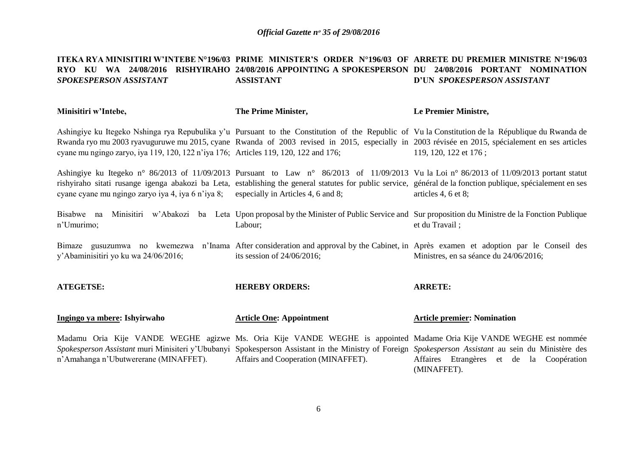#### **ITEKA RYA MINISITIRI W'INTEBE N°196/03 PRIME MINISTER'S ORDER N°196/03 OF ARRETE DU PREMIER MINISTRE N°196/03 RYO KU WA 24/08/2016 RISHYIRAHO 24/08/2016 APPOINTING A SPOKESPERSON DU 24/08/2016 PORTANT NOMINATION**  *SPOKESPERSON ASSISTANT* **ASSISTANT D'UN** *SPOKESPERSON ASSISTANT*

| Minisitiri w'Intebe,                                                                 | The Prime Minister,                                                                                                                                                                                                                                                                                              | Le Premier Ministre,                                                                                                                                                           |
|--------------------------------------------------------------------------------------|------------------------------------------------------------------------------------------------------------------------------------------------------------------------------------------------------------------------------------------------------------------------------------------------------------------|--------------------------------------------------------------------------------------------------------------------------------------------------------------------------------|
| cyane mu ngingo zaryo, iya 119, 120, 122 n'iya 176; Articles 119, 120, 122 and 176;  | Ashingiye ku Itegeko Nshinga rya Repubulika y'u Pursuant to the Constitution of the Republic of Vu la Constitution de la République du Rwanda de<br>Rwanda ryo mu 2003 ryavuguruwe mu 2015, cyane Rwanda of 2003 revised in 2015, especially in 2003 révisée en 2015, spécialement en ses articles               | 119, 120, 122 et 176;                                                                                                                                                          |
| cyane cyane mu ngingo zaryo iya 4, iya 6 n'iya 8; especially in Articles 4, 6 and 8; | Ashingiye ku Itegeko n° 86/2013 of 11/09/2013 Pursuant to Law n° 86/2013 of 11/09/2013 Vu la Loi n° 86/2013 of 11/09/2013 portant statut<br>rishyiraho sitati rusange igenga abakozi ba Leta, establishing the general statutes for public service, général de la fonction publique, spécialement en ses         | articles 4, 6 et 8;                                                                                                                                                            |
| Bisabwe na<br>n'Umurimo;                                                             | Minisitiri w'Abakozi ba Leta Upon proposal by the Minister of Public Service and Sur proposition du Ministre de la Fonction Publique<br>Labour;                                                                                                                                                                  | et du Travail;                                                                                                                                                                 |
| y'Abaminisitiri yo ku wa 24/06/2016;                                                 | its session of $24/06/2016$ ;                                                                                                                                                                                                                                                                                    | Bimaze gusuzumwa no kwemezwa n'Inama After consideration and approval by the Cabinet, in Après examen et adoption par le Conseil des<br>Ministres, en sa séance du 24/06/2016; |
| <b>ATEGETSE:</b>                                                                     | <b>HEREBY ORDERS:</b>                                                                                                                                                                                                                                                                                            | <b>ARRETE:</b>                                                                                                                                                                 |
| Ingingo ya mbere: Ishyirwaho                                                         | <b>Article One: Appointment</b>                                                                                                                                                                                                                                                                                  | <b>Article premier: Nomination</b>                                                                                                                                             |
| n'Amahanga n'Ubutwererane (MINAFFET).                                                | Madamu Oria Kije VANDE WEGHE agizwe Ms. Oria Kije VANDE WEGHE is appointed Madame Oria Kije VANDE WEGHE est nommée<br>Spokesperson Assistant muri Minisiteri y'Ububanyi Spokesperson Assistant in the Ministry of Foreign Spokesperson Assistant au sein du Ministère des<br>Affairs and Cooperation (MINAFFET). | Affaires Etrangères et de la Coopération<br>(MINAFFET).                                                                                                                        |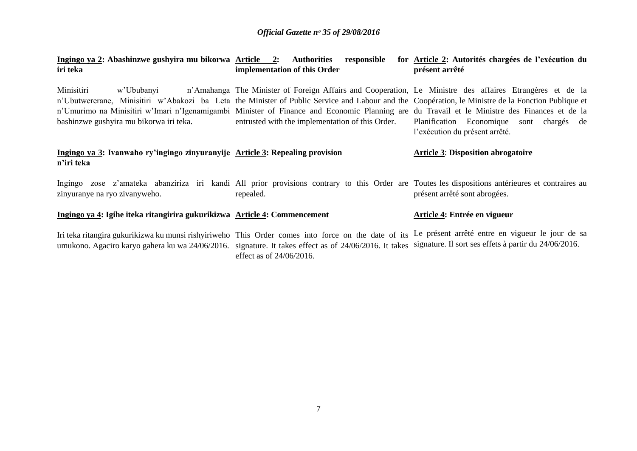| Ingingo ya 2: Abashinzwe gushyira mu bikorwa Article 2: Authorities<br>iri teka             | responsible<br>implementation of this Order                                                                                                                                                                                                                                                                                                                                                                                                                        | for Article 2: Autorités chargées de l'exécution du<br>présent arrêté         |
|---------------------------------------------------------------------------------------------|--------------------------------------------------------------------------------------------------------------------------------------------------------------------------------------------------------------------------------------------------------------------------------------------------------------------------------------------------------------------------------------------------------------------------------------------------------------------|-------------------------------------------------------------------------------|
| Minisitiri<br>w'Ububanyi<br>bashinzwe gushyira mu bikorwa iri teka.                         | n'Amahanga The Minister of Foreign Affairs and Cooperation, Le Ministre des affaires Etrangères et de la<br>n'Ubutwererane, Minisitiri w'Abakozi ba Leta the Minister of Public Service and Labour and the Coopération, le Ministre de la Fonction Publique et<br>n'Umurimo na Minisitiri w'Imari n'Igenamigambi Minister of Finance and Economic Planning are du Travail et le Ministre des Finances et de la<br>entrusted with the implementation of this Order. | Planification Economique sont<br>chargés de<br>l'exécution du présent arrêté. |
| Ingingo ya 3: Ivanwaho ry'ingingo zinyuranyije Article 3: Repealing provision<br>n'iri teka |                                                                                                                                                                                                                                                                                                                                                                                                                                                                    | <b>Article 3: Disposition abrogatoire</b>                                     |
| zinyuranye na ryo zivanyweho.                                                               | Ingingo zose z'amateka abanziriza iri kandi All prior provisions contrary to this Order are Toutes les dispositions antérieures et contraires au<br>repealed.                                                                                                                                                                                                                                                                                                      | présent arrêté sont abrogées.                                                 |
| Ingingo ya 4: Igihe iteka ritangirira gukurikizwa Article 4: Commencement                   |                                                                                                                                                                                                                                                                                                                                                                                                                                                                    | Article 4: Entrée en vigueur                                                  |
|                                                                                             | Iri teka ritangira gukurikizwa ku munsi rishyiriweho This Order comes into force on the date of its Le présent arrêté entre en vigueur le jour de sa<br>umukono. Agaciro karyo gahera ku wa 24/06/2016. signature. It takes effect as of 24/06/2016. It takes signature. Il sort ses effets à partir du 24/06/2016.<br>effect as of $24/06/2016$ .                                                                                                                 |                                                                               |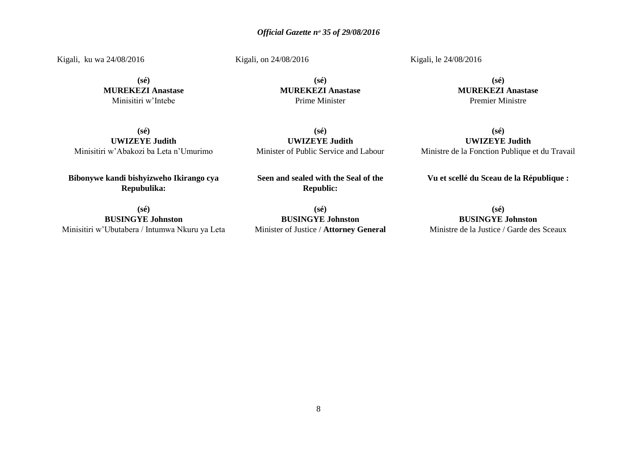Kigali, ku wa 24/08/2016

Kigali, on 24/08/2016

**(sé) MUREKEZI Anastase** Minisitiri w'Intebe

**(sé) MUREKEZI Anastase** Prime Minister

Kigali, le 24/08/2016

**(sé) MUREKEZI Anastase** Premier Ministre

**(sé) UWIZEYE Judith** Minisitiri w'Abakozi ba Leta n'Umurimo

**Bibonywe kandi bishyizweho Ikirango cya Repubulika:**

**(sé) BUSINGYE Johnston** Minisitiri w'Ubutabera / Intumwa Nkuru ya Leta

**(sé) UWIZEYE Judith** Minister of Public Service and Labour

**Seen and sealed with the Seal of the Republic:**

**(sé) UWIZEYE Judith** Ministre de la Fonction Publique et du Travail

**Vu et scellé du Sceau de la République :**

**(sé) BUSINGYE Johnston** Minister of Justice / **Attorney General**

**(sé) BUSINGYE Johnston** Ministre de la Justice / Garde des Sceaux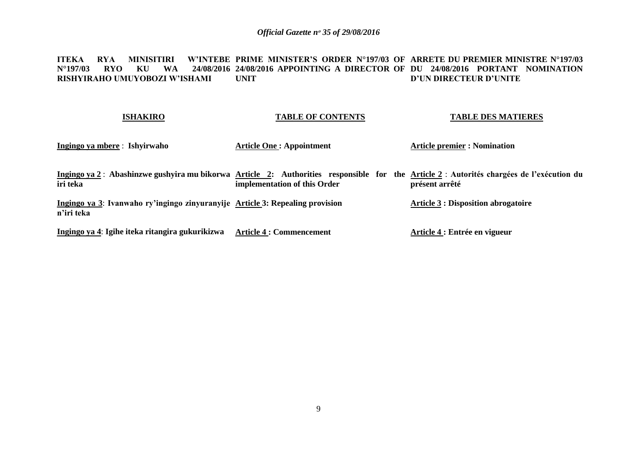#### **ITEKA RYA MINISITIRI W'INTEBE PRIME MINISTER'S ORDER N°197/03 OF ARRETE DU PREMIER MINISTRE N°197/03 N°197/03 RYO KU WA 24/08/2016 24/08/2016 APPOINTING A DIRECTOR OF DU 24/08/2016 PORTANT NOMINATION RISHYIRAHO UMUYOBOZI W'ISHAMI UNIT D'UN DIRECTEUR D'UNITE**

| <b>ISHAKIRO</b>                                                                             | <b>TABLE OF CONTENTS</b>        | <b>TABLE DES MATIERES</b>                                                                                                                                   |
|---------------------------------------------------------------------------------------------|---------------------------------|-------------------------------------------------------------------------------------------------------------------------------------------------------------|
| Ingingo ya mbere : Ishyirwaho                                                               | <b>Article One: Appointment</b> | <b>Article premier : Nomination</b>                                                                                                                         |
| iri teka                                                                                    | implementation of this Order    | Ingingo ya 2 : Abashinzwe gushyira mu bikorwa Article 2: Authorities responsible for the Article 2 : Autorités chargées de l'exécution du<br>présent arrêté |
| Ingingo ya 3: Ivanwaho ry'ingingo zinyuranyije Article 3: Repealing provision<br>n'iri teka |                                 | <b>Article 3 : Disposition abrogatoire</b>                                                                                                                  |
| Ingingo ya 4: Igihe iteka ritangira gukurikizwa                                             | <b>Article 4 : Commencement</b> | Article 4 : Entrée en vigueur                                                                                                                               |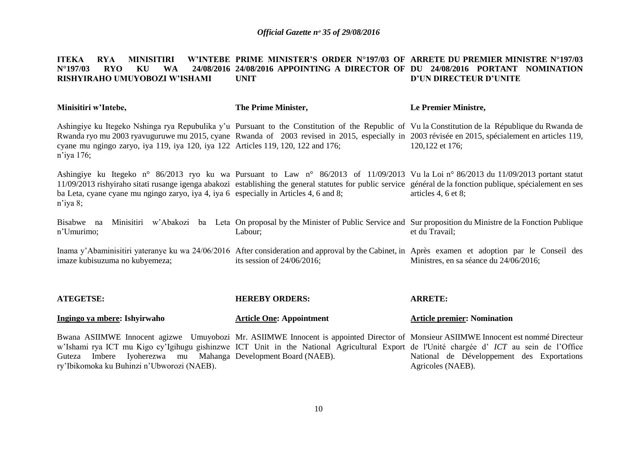#### **ITEKA RYA MINISITIRI<br>N°197/03 RYO KU WA**  $N^{\circ}$ **197/03 RISHYIRAHO UMUYOBOZI W'ISHAMI PRIME MINISTER'S ORDER N°197/03 OF ARRETE DU PREMIER MINISTRE N°197/03 24/08/2016 APPOINTING A DIRECTOR OF DU 24/08/2016 PORTANT NOMINATION UNIT D'UN DIRECTEUR D'UNITE**

| Minisitiri w'Intebe,                                                                                                                                                                                                                                                                                                                                               | The Prime Minister,               | Le Premier Ministre,                                                                                                                                                                 |
|--------------------------------------------------------------------------------------------------------------------------------------------------------------------------------------------------------------------------------------------------------------------------------------------------------------------------------------------------------------------|-----------------------------------|--------------------------------------------------------------------------------------------------------------------------------------------------------------------------------------|
| Ashingiye ku Itegeko Nshinga rya Repubulika y'u Pursuant to the Constitution of the Republic of Vu la Constitution de la République du Rwanda de<br>cyane mu ngingo zaryo, iya 119, iya 120, iya 122 Articles 119, 120, 122 and 176;<br>$n$ 'iya 176;                                                                                                              |                                   | Rwanda ryo mu 2003 ryavuguruwe mu 2015, cyane Rwanda of 2003 revised in 2015, especially in 2003 révisée en 2015, spécialement en articles 119,<br>120,122 et 176;                   |
| Ashingiye ku Itegeko n° 86/2013 ryo ku wa Pursuant to Law n° 86/2013 of 11/09/2013 Vu la Loi n° 86/2013 du 11/09/2013 portant statut<br>ba Leta, cyane cyane mu ngingo zaryo, iya 4, iya 6 especially in Articles 4, 6 and 8;<br>$n$ 'iya 8;                                                                                                                       |                                   | 11/09/2013 rishyiraho sitati rusange igenga abakozi establishing the general statutes for public service général de la fonction publique, spécialement en ses<br>articles 4, 6 et 8; |
| Bisabwe na<br>n'Umurimo;                                                                                                                                                                                                                                                                                                                                           | Labour;                           | Minisitiri w'Abakozi ba Leta On proposal by the Minister of Public Service and Sur proposition du Ministre de la Fonction Publique<br>et du Travail;                                 |
| Inama y'Abaminisitiri yateranye ku wa 24/06/2016 After consideration and approval by the Cabinet, in Après examen et adoption par le Conseil des<br>imaze kubisuzuma no kubyemeza;                                                                                                                                                                                 | its session of $24/06/2016$ ;     | Ministres, en sa séance du 24/06/2016;                                                                                                                                               |
| <b>ATEGETSE:</b>                                                                                                                                                                                                                                                                                                                                                   | <b>HEREBY ORDERS:</b>             | <b>ARRETE:</b>                                                                                                                                                                       |
| Ingingo ya mbere: Ishyirwaho                                                                                                                                                                                                                                                                                                                                       | <b>Article One: Appointment</b>   | <b>Article premier: Nomination</b>                                                                                                                                                   |
| Bwana ASIIMWE Innocent agizwe Umuyobozi Mr. ASIIMWE Innocent is appointed Director of Monsieur ASIIMWE Innocent est nommé Directeur<br>w'Ishami rya ICT mu Kigo cy'Igihugu gishinzwe ICT Unit in the National Agricultural Export de l'Unité chargée d' ICT au sein de l'Office<br>Imbere<br>Iyoherezwa mu<br>Guteza<br>ry'Ibikomoka ku Buhinzi n'Ubworozi (NAEB). | Mahanga Development Board (NAEB). | National de Développement des Exportations<br>Agricoles (NAEB).                                                                                                                      |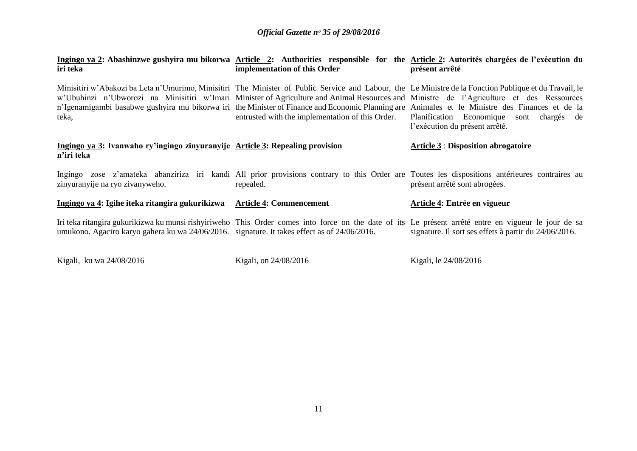| Ingingo ya 2: Abashinzwe gushyira mu bikorwa Article 2: Authorities responsible for the Article 2: Autorités chargées de l'exécution du<br>iri teka | implementation of this Order                     | présent arrêté                                                                                                                                                                                                                                                                                                                                                                          |
|-----------------------------------------------------------------------------------------------------------------------------------------------------|--------------------------------------------------|-----------------------------------------------------------------------------------------------------------------------------------------------------------------------------------------------------------------------------------------------------------------------------------------------------------------------------------------------------------------------------------------|
| w'Ubuhinzi n'Ubworozi na Minisitiri w'Imari Minister of Agriculture and Animal Resources and Ministre de l'Agriculture et des Ressources<br>teka,   | entrusted with the implementation of this Order. | Minisitiri w'Abakozi ba Leta n'Umurimo, Minisitiri The Minister of Public Service and Labour, the Le Ministre de la Fonction Publique et du Travail, le<br>n'Igenamigambi basabwe gushyira mu bikorwa iri the Minister of Finance and Economic Planning are Animales et le Ministre des Finances et de la<br>Planification Economique sont chargés de<br>l'exécution du présent arrêté. |
| Ingingo ya 3: Ivanwaho ry'ingingo zinyuranyije Article 3: Repealing provision<br>n'iri teka                                                         |                                                  | <b>Article 3 : Disposition abrogatoire</b>                                                                                                                                                                                                                                                                                                                                              |
| zinyuranyije na ryo zivanyweho.                                                                                                                     | repealed.                                        | Ingingo zose z'amateka abanziriza iri kandi All prior provisions contrary to this Order are Toutes les dispositions antérieures contraires au<br>présent arrêté sont abrogées.                                                                                                                                                                                                          |
| Ingingo ya 4: Igihe iteka ritangira gukurikizwa                                                                                                     | <b>Article 4: Commencement</b>                   | Article 4: Entrée en vigueur                                                                                                                                                                                                                                                                                                                                                            |
| umukono. Agaciro karyo gahera ku wa 24/06/2016. signature. It takes effect as of 24/06/2016.                                                        |                                                  | Iri teka ritangira gukurikizwa ku munsi rishyiriweho This Order comes into force on the date of its Le présent arrêté entre en vigueur le jour de sa<br>signature. Il sort ses effets à partir du 24/06/2016.                                                                                                                                                                           |

Kigali, ku wa 24/08/2016 Kigali, on 24/08/2016 Kigali, le 24/08/2016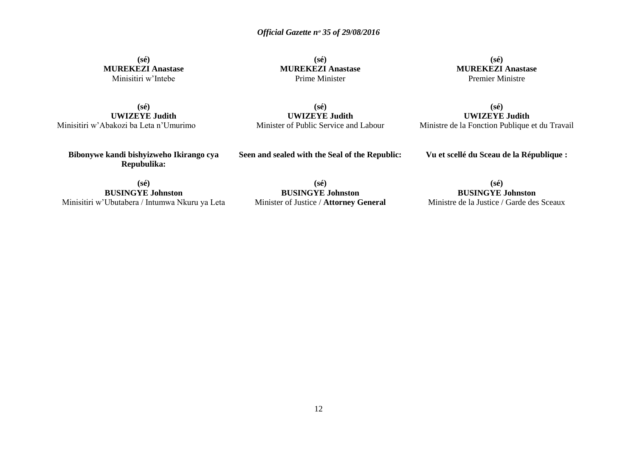**(sé) MUREKEZI Anastase** Minisitiri w'Intebe

**(sé) MUREKEZI Anastase** Prime Minister

**(sé) MUREKEZI Anastase** Premier Ministre

**(sé) UWIZEYE Judith** Minisitiri w'Abakozi ba Leta n'Umurimo

**(sé) UWIZEYE Judith** Minister of Public Service and Labour

**(sé) UWIZEYE Judith** Ministre de la Fonction Publique et du Travail

**Bibonywe kandi bishyizweho Ikirango cya Repubulika:**

**Seen and sealed with the Seal of the Republic:**

**Vu et scellé du Sceau de la République :**

**(sé) BUSINGYE Johnston** Minisitiri w'Ubutabera / Intumwa Nkuru ya Leta

**(sé) BUSINGYE Johnston** Minister of Justice / **Attorney General**

**(sé) BUSINGYE Johnston** Ministre de la Justice / Garde des Sceaux

12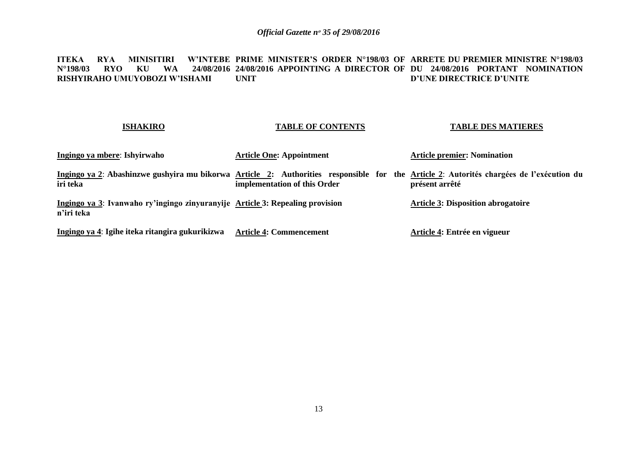#### **ITEKA RYA MINISITIRI<br>N°198/03 RYO KU WA N°198/03 RYO KU WA 24/08/2016 24/08/2016 APPOINTING A DIRECTOR OF DU 24/08/2016 PORTANT NOMINATION RISHYIRAHO UMUYOBOZI W'ISHAMI PRIME MINISTER'S ORDER N°198/03 OF ARRETE DU PREMIER MINISTRE N°198/03 UNIT D'UNE DIRECTRICE D'UNITE**

#### **ISHAKIRO Ingingo ya mbere**: **Ishyirwaho**  Ingingo ya 2: Abashinzwe gushyira mu bikorwa <u>Article 2</u>: Authorities responsible for the <u>Article 2</u>: Autorités chargées de l'exécution du **iri teka Ingingo ya 3**: **Ivanwaho ry'ingingo zinyuranyije Article 3: Repealing provision n'iri teka Ingingo ya 4**: **Igihe iteka ritangira gukurikizwa Article 4: Commencement TABLE OF CONTENTS Article One: Appointment implementation of this Order TABLE DES MATIERES Article premier: Nomination présent arrêté Article 3: Disposition abrogatoire Article 4: Entrée en vigueur**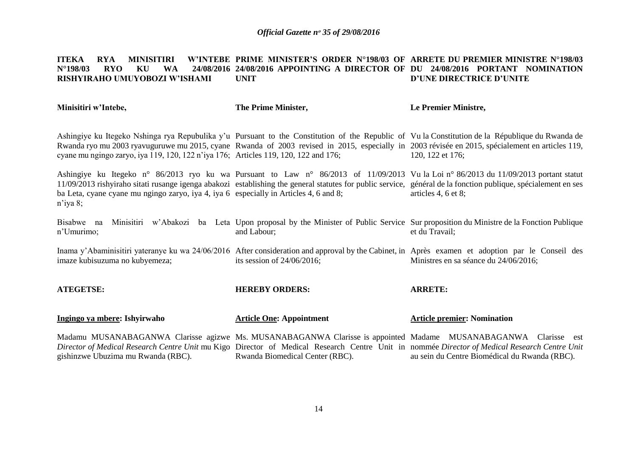#### **ITEKA RYA MINISITIRI<br>N°198/03 RYO KU WA**  $N^{\circ}$ **198/03 RISHYIRAHO UMUYOBOZI W'ISHAMI PRIME MINISTER'S ORDER N°198/03 OF ARRETE DU PREMIER MINISTRE N°198/03 24/08/2016 APPOINTING A DIRECTOR OF DU 24/08/2016 PORTANT NOMINATION UNIT D'UNE DIRECTRICE D'UNITE**

**Le Premier Ministre,**

**The Prime Minister,**

**Minisitiri w'Intebe,**

| cyane mu ngingo zaryo, iya 119, 120, 122 n'iya 176; Articles 119, 120, 122 and 176;                  |                                 | Ashingiye ku Itegeko Nshinga rya Repubulika y'u Pursuant to the Constitution of the Republic of Vu la Constitution de la République du Rwanda de<br>Rwanda ryo mu 2003 ryavuguruwe mu 2015, cyane Rwanda of 2003 revised in 2015, especially in 2003 révisée en 2015, spécialement en articles 119,<br>120, 122 et 176;       |
|------------------------------------------------------------------------------------------------------|---------------------------------|-------------------------------------------------------------------------------------------------------------------------------------------------------------------------------------------------------------------------------------------------------------------------------------------------------------------------------|
| ba Leta, cyane cyane mu ngingo zaryo, iya 4, iya 6 especially in Articles 4, 6 and 8;<br>$n$ 'iya 8; |                                 | Ashingiye ku Itegeko n° 86/2013 ryo ku wa Pursuant to Law n° 86/2013 of 11/09/2013 Vu la Loi n° 86/2013 du 11/09/2013 portant statut<br>11/09/2013 rishyiraho sitati rusange igenga abakozi establishing the general statutes for public service, général de la fonction publique, spécialement en ses<br>articles 4, 6 et 8; |
| Bisabwe na<br>n'Umurimo;                                                                             | and Labour;                     | Minisitiri w'Abakozi ba Leta Upon proposal by the Minister of Public Service Sur proposition du Ministre de la Fonction Publique<br>et du Travail;                                                                                                                                                                            |
| imaze kubisuzuma no kubyemeza;                                                                       | its session of $24/06/2016$ ;   | Inama y'Abaminisitiri yateranye ku wa 24/06/2016 After consideration and approval by the Cabinet, in Après examen et adoption par le Conseil des<br>Ministres en sa séance du 24/06/2016;                                                                                                                                     |
| <b>ATEGETSE:</b>                                                                                     | <b>HEREBY ORDERS:</b>           | <b>ARRETE:</b>                                                                                                                                                                                                                                                                                                                |
| Ingingo ya mbere: Ishyirwaho                                                                         | <b>Article One: Appointment</b> | <b>Article premier: Nomination</b>                                                                                                                                                                                                                                                                                            |
| gishinzwe Ubuzima mu Rwanda (RBC).                                                                   | Rwanda Biomedical Center (RBC). | Madamu MUSANABAGANWA Clarisse agizwe Ms. MUSANABAGANWA Clarisse is appointed Madame MUSANABAGANWA Clarisse est<br>Director of Medical Research Centre Unit mu Kigo Director of Medical Research Centre Unit in nommée Director of Medical Research Centre Unit<br>au sein du Centre Biomédical du Rwanda (RBC).               |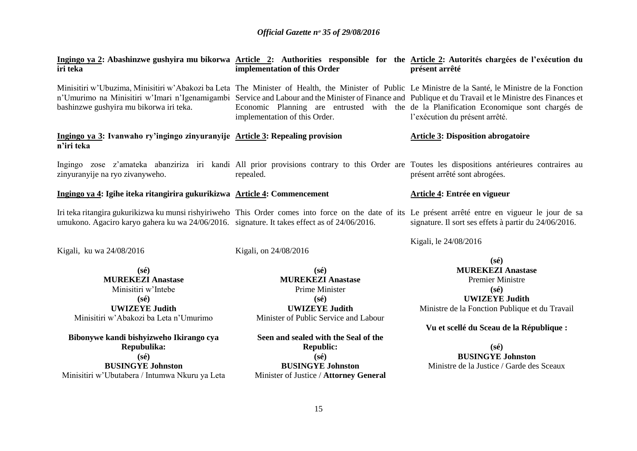| iri teka                                                                                     | implementation of this Order           | Ingingo ya 2: Abashinzwe gushyira mu bikorwa Article 2: Authorities responsible for the Article 2: Autorités chargées de l'exécution du<br>présent arrêté                                                                                                                                                                                                                                                                                     |
|----------------------------------------------------------------------------------------------|----------------------------------------|-----------------------------------------------------------------------------------------------------------------------------------------------------------------------------------------------------------------------------------------------------------------------------------------------------------------------------------------------------------------------------------------------------------------------------------------------|
| bashinzwe gushyira mu bikorwa iri teka.                                                      | implementation of this Order.          | Minisitiri w'Ubuzima, Minisitiri w'Abakozi ba Leta The Minister of Health, the Minister of Public Le Ministre de la Santé, le Ministre de la Fonction<br>n'Umurimo na Minisitiri w'Imari n'Igenamigambi Service and Labour and the Minister of Finance and Publique et du Travail et le Ministre des Finances et<br>Economic Planning are entrusted with the de la Planification Economique sont chargés de<br>l'exécution du présent arrêté. |
| Ingingo ya 3: Ivanwaho ry'ingingo zinyuranyije Article 3: Repealing provision<br>n'iri teka  |                                        | <b>Article 3: Disposition abrogatoire</b>                                                                                                                                                                                                                                                                                                                                                                                                     |
| zinyuranyije na ryo zivanyweho.                                                              | repealed.                              | Ingingo zose z'amateka abanziriza iri kandi All prior provisions contrary to this Order are Toutes les dispositions antérieures contraires au<br>présent arrêté sont abrogées.                                                                                                                                                                                                                                                                |
| Ingingo ya 4: Igihe iteka ritangirira gukurikizwa Article 4: Commencement                    |                                        | Article 4: Entrée en vigueur                                                                                                                                                                                                                                                                                                                                                                                                                  |
| umukono. Agaciro karyo gahera ku wa 24/06/2016. signature. It takes effect as of 24/06/2016. |                                        | Iri teka ritangira gukurikizwa ku munsi rishyiriweho This Order comes into force on the date of its Le présent arrêté entre en vigueur le jour de sa<br>signature. Il sort ses effets à partir du 24/06/2016.                                                                                                                                                                                                                                 |
| Kigali, ku wa 24/08/2016                                                                     | Kigali, on 24/08/2016                  | Kigali, le 24/08/2016<br>$(s\acute{e})$                                                                                                                                                                                                                                                                                                                                                                                                       |
| $(s\acute{e})$                                                                               | $(s\acute{e})$                         | <b>MUREKEZI Anastase</b>                                                                                                                                                                                                                                                                                                                                                                                                                      |
| <b>MUREKEZI Anastase</b>                                                                     | <b>MUREKEZI Anastase</b>               | <b>Premier Ministre</b>                                                                                                                                                                                                                                                                                                                                                                                                                       |
| Minisitiri w'Intebe                                                                          | Prime Minister                         | $(s\acute{e})$                                                                                                                                                                                                                                                                                                                                                                                                                                |
| $(s\acute{e})$                                                                               | $(s\acute{e})$                         | <b>UWIZEYE Judith</b>                                                                                                                                                                                                                                                                                                                                                                                                                         |
| <b>UWIZEYE Judith</b>                                                                        | <b>UWIZEYE Judith</b>                  | Ministre de la Fonction Publique et du Travail                                                                                                                                                                                                                                                                                                                                                                                                |
| Minisitiri w'Abakozi ba Leta n'Umurimo                                                       | Minister of Public Service and Labour  |                                                                                                                                                                                                                                                                                                                                                                                                                                               |
|                                                                                              |                                        | Vu et scellé du Sceau de la République :                                                                                                                                                                                                                                                                                                                                                                                                      |
| Bibonywe kandi bishyizweho Ikirango cya                                                      | Seen and sealed with the Seal of the   |                                                                                                                                                                                                                                                                                                                                                                                                                                               |
| Repubulika:                                                                                  | <b>Republic:</b>                       | $(s\acute{e})$                                                                                                                                                                                                                                                                                                                                                                                                                                |
| $(s\acute{e})$                                                                               | $(s\acute{e})$                         | <b>BUSINGYE Johnston</b>                                                                                                                                                                                                                                                                                                                                                                                                                      |
| <b>BUSINGYE Johnston</b>                                                                     | <b>BUSINGYE Johnston</b>               | Ministre de la Justice / Garde des Sceaux                                                                                                                                                                                                                                                                                                                                                                                                     |
| Minisitiri w'Ubutabera / Intumwa Nkuru ya Leta                                               | Minister of Justice / Attorney General |                                                                                                                                                                                                                                                                                                                                                                                                                                               |
|                                                                                              |                                        |                                                                                                                                                                                                                                                                                                                                                                                                                                               |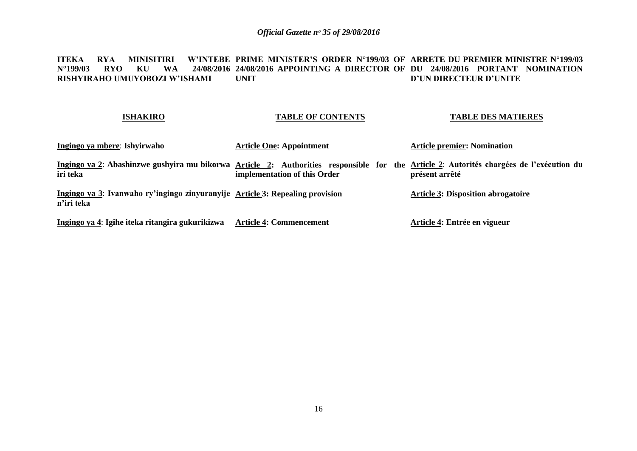#### **ITEKA RYA MINISITIRI W'INTEBE PRIME MINISTER'S ORDER N°199/03 OF ARRETE DU PREMIER MINISTRE N°199/03 N°199/03 RYO KU WA 24/08/2016 24/08/2016 APPOINTING A DIRECTOR OF DU 24/08/2016 PORTANT NOMINATION RISHYIRAHO UMUYOBOZI W'ISHAMI UNIT D'UN DIRECTEUR D'UNITE**

### **ISHAKIRO**

### **TABLE OF CONTENTS**

**TABLE DES MATIERES**

| Ingingo ya mbere: Ishyirwaho                                                                                                                        | <b>Article One: Appointment</b> | <b>Article premier: Nomination</b>        |
|-----------------------------------------------------------------------------------------------------------------------------------------------------|---------------------------------|-------------------------------------------|
| Ingingo ya 2: Abashinzwe gushyira mu bikorwa Article 2: Authorities responsible for the Article 2: Autorités chargées de l'exécution du<br>iri teka | implementation of this Order    | présent arrêté                            |
| Ingingo ya 3: Ivanwaho ry'ingingo zinyuranyije Article 3: Repealing provision<br>n'iri teka                                                         |                                 | <b>Article 3: Disposition abrogatoire</b> |
| Ingingo ya 4: Igihe iteka ritangira gukurikizwa                                                                                                     | <b>Article 4: Commencement</b>  | Article 4: Entrée en vigueur              |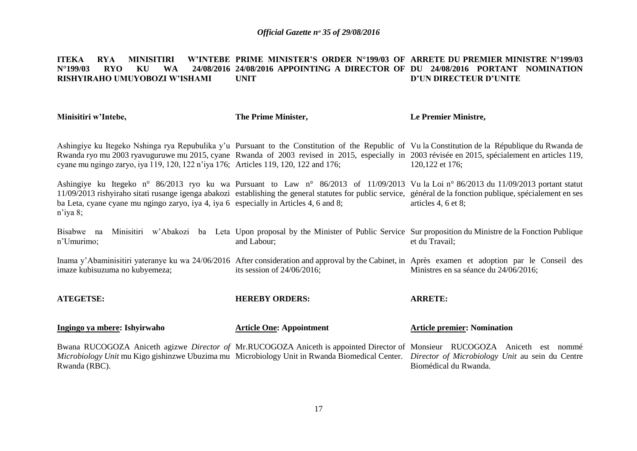#### **ITEKA RYA MINISITIRI<br>N°199/03 RYO KU WA**  $N^{\circ}$ **199/03 RISHYIRAHO UMUYOBOZI W'ISHAMI PRIME MINISTER'S ORDER N°199/03 OF ARRETE DU PREMIER MINISTRE N°199/03 24/08/2016 APPOINTING A DIRECTOR OF DU 24/08/2016 PORTANT NOMINATION UNIT D'UN DIRECTEUR D'UNITE**

| Minisitiri w'Intebe,                                                                                                  | The Prime Minister,             | Le Premier Ministre,                                                                                                                                                                                                                                                                                                          |
|-----------------------------------------------------------------------------------------------------------------------|---------------------------------|-------------------------------------------------------------------------------------------------------------------------------------------------------------------------------------------------------------------------------------------------------------------------------------------------------------------------------|
| cyane mu ngingo zaryo, iya 119, 120, 122 n'iya 176; Articles 119, 120, 122 and 176;                                   |                                 | Ashingiye ku Itegeko Nshinga rya Repubulika y'u Pursuant to the Constitution of the Republic of Vu la Constitution de la République du Rwanda de<br>Rwanda ryo mu 2003 ryavuguruwe mu 2015, cyane Rwanda of 2003 revised in 2015, especially in 2003 révisée en 2015, spécialement en articles 119,<br>120,122 et 176;        |
| ba Leta, cyane cyane mu ngingo zaryo, iya 4, iya 6 especially in Articles 4, 6 and 8;<br>n'iya 8;                     |                                 | Ashingiye ku Itegeko n° 86/2013 ryo ku wa Pursuant to Law n° 86/2013 of 11/09/2013 Vu la Loi n° 86/2013 du 11/09/2013 portant statut<br>11/09/2013 rishyiraho sitati rusange igenga abakozi establishing the general statutes for public service, général de la fonction publique, spécialement en ses<br>articles 4, 6 et 8; |
| Bisabwe na<br>n'Umurimo;                                                                                              | and Labour;                     | Minisitiri w'Abakozi ba Leta Upon proposal by the Minister of Public Service Sur proposition du Ministre de la Fonction Publique<br>et du Travail;                                                                                                                                                                            |
| imaze kubisuzuma no kubyemeza;                                                                                        | its session of $24/06/2016$ ;   | Inama y'Abaminisitiri yateranye ku wa 24/06/2016 After consideration and approval by the Cabinet, in Après examen et adoption par le Conseil des<br>Ministres en sa séance du 24/06/2016;                                                                                                                                     |
| <b>ATEGETSE:</b>                                                                                                      | <b>HEREBY ORDERS:</b>           | <b>ARRETE:</b>                                                                                                                                                                                                                                                                                                                |
| Ingingo ya mbere: Ishyirwaho                                                                                          | <b>Article One: Appointment</b> | <b>Article premier: Nomination</b>                                                                                                                                                                                                                                                                                            |
| <i>Microbiology Unit</i> mu Kigo gishinzwe Ubuzima mu Microbiology Unit in Rwanda Biomedical Center.<br>Rwanda (RBC). |                                 | Bwana RUCOGOZA Aniceth agizwe Director of Mr.RUCOGOZA Aniceth is appointed Director of Monsieur RUCOGOZA Aniceth est nommé<br>Director of Microbiology Unit au sein du Centre<br>Biomédical du Rwanda.                                                                                                                        |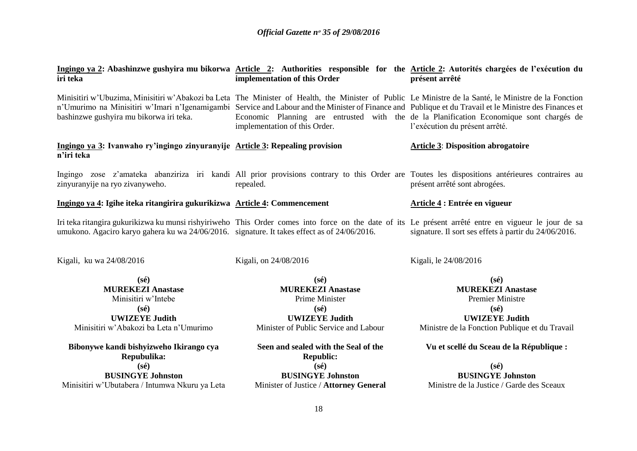| iri teka                                                                                     | implementation of this Order                             | Ingingo ya 2: Abashinzwe gushyira mu bikorwa Article 2: Authorities responsible for the Article 2: Autorités chargées de l'exécution du<br>présent arrêté                                                                                                                                                                                                                                                                                     |
|----------------------------------------------------------------------------------------------|----------------------------------------------------------|-----------------------------------------------------------------------------------------------------------------------------------------------------------------------------------------------------------------------------------------------------------------------------------------------------------------------------------------------------------------------------------------------------------------------------------------------|
| bashinzwe gushyira mu bikorwa iri teka.                                                      | implementation of this Order.                            | Minisitiri w'Ubuzima, Minisitiri w'Abakozi ba Leta The Minister of Health, the Minister of Public Le Ministre de la Santé, le Ministre de la Fonction<br>n'Umurimo na Minisitiri w'Imari n'Igenamigambi Service and Labour and the Minister of Finance and Publique et du Travail et le Ministre des Finances et<br>Economic Planning are entrusted with the de la Planification Economique sont chargés de<br>l'exécution du présent arrêté. |
| Ingingo ya 3: Ivanwaho ry'ingingo zinyuranyije Article 3: Repealing provision<br>n'iri teka  |                                                          | <b>Article 3: Disposition abrogatoire</b>                                                                                                                                                                                                                                                                                                                                                                                                     |
| zinyuranyije na ryo zivanyweho.                                                              | repealed.                                                | Ingingo zose z'amateka abanziriza iri kandi All prior provisions contrary to this Order are Toutes les dispositions antérieures contraires au<br>présent arrêté sont abrogées.                                                                                                                                                                                                                                                                |
| Ingingo ya 4: Igihe iteka ritangirira gukurikizwa Article 4: Commencement                    |                                                          | Article 4 : Entrée en vigueur                                                                                                                                                                                                                                                                                                                                                                                                                 |
| umukono. Agaciro karyo gahera ku wa 24/06/2016. signature. It takes effect as of 24/06/2016. |                                                          | Iri teka ritangira gukurikizwa ku munsi rishyiriweho This Order comes into force on the date of its Le présent arrêté entre en vigueur le jour de sa<br>signature. Il sort ses effets à partir du 24/06/2016.                                                                                                                                                                                                                                 |
| Kigali, ku wa 24/08/2016                                                                     | Kigali, on 24/08/2016                                    | Kigali, le 24/08/2016                                                                                                                                                                                                                                                                                                                                                                                                                         |
| $(s\acute{e})$                                                                               | $(s\acute{e})$                                           | $(s\acute{e})$                                                                                                                                                                                                                                                                                                                                                                                                                                |
| <b>MUREKEZI Anastase</b>                                                                     | <b>MUREKEZI Anastase</b>                                 | <b>MUREKEZI Anastase</b>                                                                                                                                                                                                                                                                                                                                                                                                                      |
| Minisitiri w'Intebe                                                                          | Prime Minister                                           | <b>Premier Ministre</b>                                                                                                                                                                                                                                                                                                                                                                                                                       |
| $(s\acute{e})$                                                                               | $(s\acute{e})$                                           | $(s\acute{e})$                                                                                                                                                                                                                                                                                                                                                                                                                                |
| <b>UWIZEYE Judith</b>                                                                        | <b>UWIZEYE Judith</b>                                    | <b>UWIZEYE Judith</b>                                                                                                                                                                                                                                                                                                                                                                                                                         |
| Minisitiri w'Abakozi ba Leta n'Umurimo                                                       | Minister of Public Service and Labour                    | Ministre de la Fonction Publique et du Travail                                                                                                                                                                                                                                                                                                                                                                                                |
| Bibonywe kandi bishyizweho Ikirango cya<br>Repubulika:                                       | Seen and sealed with the Seal of the<br><b>Republic:</b> | Vu et scellé du Sceau de la République :                                                                                                                                                                                                                                                                                                                                                                                                      |
| $(s\acute{e})$                                                                               | $(s\acute{e})$                                           | $(s\acute{e})$                                                                                                                                                                                                                                                                                                                                                                                                                                |
| <b>BUSINGYE Johnston</b>                                                                     | <b>BUSINGYE Johnston</b>                                 | <b>BUSINGYE Johnston</b>                                                                                                                                                                                                                                                                                                                                                                                                                      |
| Minisitiri w'Ubutabera / Intumwa Nkuru ya Leta                                               | Minister of Justice / Attorney General                   | Ministre de la Justice / Garde des Sceaux                                                                                                                                                                                                                                                                                                                                                                                                     |
|                                                                                              | $\overline{10}$                                          |                                                                                                                                                                                                                                                                                                                                                                                                                                               |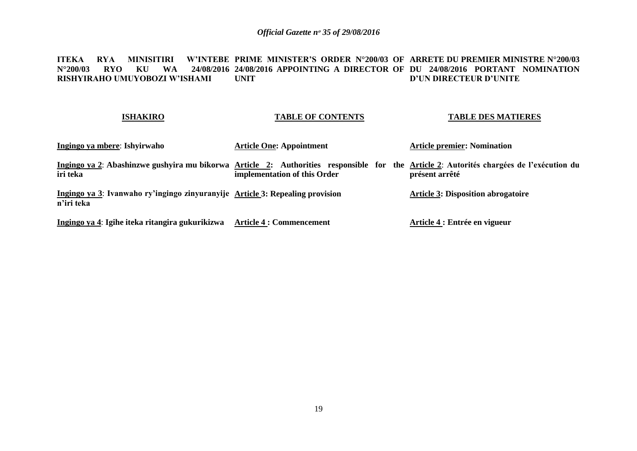#### **ITEKA RYA MINISITIRI W'INTEBE PRIME MINISTER'S ORDER N°200/03 OF ARRETE DU PREMIER MINISTRE N°200/03 N°200/03 RYO KU WA 24/08/2016 24/08/2016 APPOINTING A DIRECTOR OF DU 24/08/2016 PORTANT NOMINATION RISHYIRAHO UMUYOBOZI W'ISHAMI UNIT D'UN DIRECTEUR D'UNITE**

### **ISHAKIRO**

### **TABLE OF CONTENTS**

### **TABLE DES MATIERES**

| Ingingo ya mbere: Ishyirwaho                                                                                                                        | <b>Article One: Appointment</b> | <b>Article premier: Nomination</b>        |
|-----------------------------------------------------------------------------------------------------------------------------------------------------|---------------------------------|-------------------------------------------|
| Ingingo ya 2: Abashinzwe gushyira mu bikorwa Article 2: Authorities responsible for the Article 2: Autorités chargées de l'exécution du<br>iri teka | implementation of this Order    | présent arrêté                            |
| Ingingo ya 3: Ivanwaho ry'ingingo zinyuranyije Article 3: Repealing provision<br>n'iri teka                                                         |                                 | <b>Article 3: Disposition abrogatoire</b> |
| Ingingo ya 4: Igihe iteka ritangira gukurikizwa                                                                                                     | <b>Article 4 : Commencement</b> | Article 4 : Entrée en vigueur             |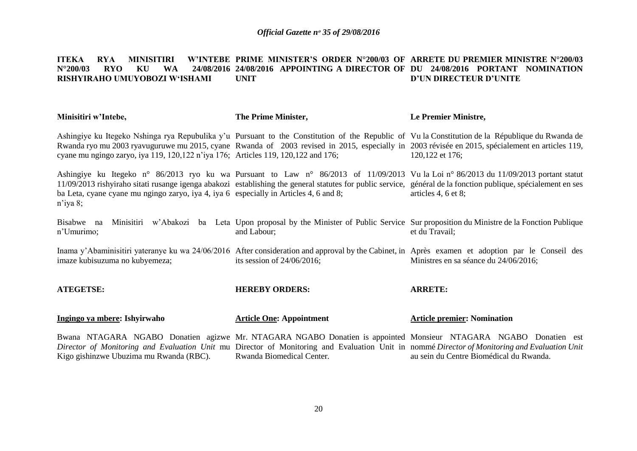#### **ITEKA RYA MINISITIRI W'INTEBE PRIME MINISTER'S ORDER N°200/03 OF ARRETE DU PREMIER MINISTRE N°200/03 N°200/03 RYO KU WA 24/08/2016 24/08/2016 APPOINTING A DIRECTOR OF DU 24/08/2016 PORTANT NOMINATION RISHYIRAHO UMUYOBOZI W'ISHAMI UNIT D'UN DIRECTEUR D'UNITE**

| Minisitiri w'Intebe,                                                                                 | The Prime Minister,             | Le Premier Ministre,                                                                                                                                                                                                                                                                                                          |
|------------------------------------------------------------------------------------------------------|---------------------------------|-------------------------------------------------------------------------------------------------------------------------------------------------------------------------------------------------------------------------------------------------------------------------------------------------------------------------------|
| cyane mu ngingo zaryo, iya 119, 120, 122 n'iya 176; Articles 119, 120, 122 and 176;                  |                                 | Ashingiye ku Itegeko Nshinga rya Repubulika y'u Pursuant to the Constitution of the Republic of Vula Constitution de la République du Rwanda de<br>Rwanda ryo mu 2003 ryavuguruwe mu 2015, cyane Rwanda of 2003 revised in 2015, especially in 2003 révisée en 2015, spécialement en articles 119,<br>120,122 et 176;         |
| ba Leta, cyane cyane mu ngingo zaryo, iya 4, iya 6 especially in Articles 4, 6 and 8;<br>$n$ 'iya 8; |                                 | Ashingiye ku Itegeko n° 86/2013 ryo ku wa Pursuant to Law n° 86/2013 of 11/09/2013 Vu la Loi n° 86/2013 du 11/09/2013 portant statut<br>11/09/2013 rishyiraho sitati rusange igenga abakozi establishing the general statutes for public service, général de la fonction publique, spécialement en ses<br>articles 4, 6 et 8; |
| Bisabwe na<br>n'Umurimo;                                                                             | and Labour;                     | Minisitiri w'Abakozi ba Leta Upon proposal by the Minister of Public Service Sur proposition du Ministre de la Fonction Publique<br>et du Travail;                                                                                                                                                                            |
| imaze kubisuzuma no kubyemeza;                                                                       | its session of $24/06/2016$ ;   | Inama y'Abaminisitiri yateranye ku wa 24/06/2016 After consideration and approval by the Cabinet, in Après examen et adoption par le Conseil des<br>Ministres en sa séance du 24/06/2016;                                                                                                                                     |
| <b>ATEGETSE:</b>                                                                                     | <b>HEREBY ORDERS:</b>           | <b>ARRETE:</b>                                                                                                                                                                                                                                                                                                                |
| Ingingo ya mbere: Ishyirwaho                                                                         | <b>Article One: Appointment</b> | <b>Article premier: Nomination</b>                                                                                                                                                                                                                                                                                            |
| Kigo gishinzwe Ubuzima mu Rwanda (RBC).                                                              | Rwanda Biomedical Center.       | Bwana NTAGARA NGABO Donatien agizwe Mr. NTAGARA NGABO Donatien is appointed Monsieur NTAGARA NGABO Donatien est<br>Director of Monitoring and Evaluation Unit mu Director of Monitoring and Evaluation Unit in nommé Director of Monitoring and Evaluation Unit<br>au sein du Centre Biomédical du Rwanda.                    |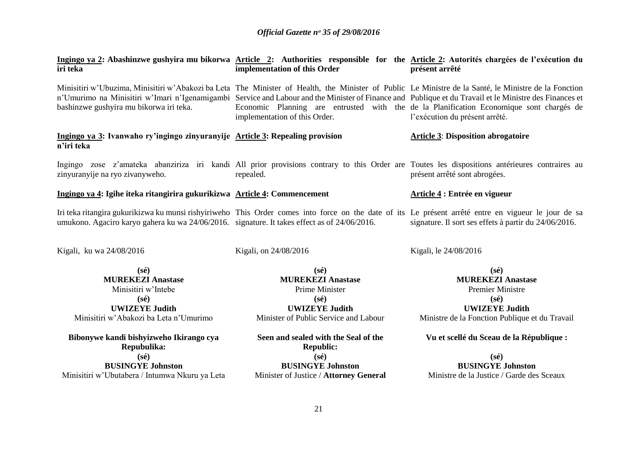| iri teka                                                                                                                                               | implementation of this Order                                                                                                                     | Ingingo ya 2: Abashinzwe gushyira mu bikorwa Article 2: Authorities responsible for the Article 2: Autorités chargées de l'exécution du<br>présent arrêté                                                                                                                                                                                                                                                                                     |
|--------------------------------------------------------------------------------------------------------------------------------------------------------|--------------------------------------------------------------------------------------------------------------------------------------------------|-----------------------------------------------------------------------------------------------------------------------------------------------------------------------------------------------------------------------------------------------------------------------------------------------------------------------------------------------------------------------------------------------------------------------------------------------|
| bashinzwe gushyira mu bikorwa iri teka.                                                                                                                | implementation of this Order.                                                                                                                    | Minisitiri w'Ubuzima, Minisitiri w'Abakozi ba Leta The Minister of Health, the Minister of Public Le Ministre de la Santé, le Ministre de la Fonction<br>n'Umurimo na Minisitiri w'Imari n'Igenamigambi Service and Labour and the Minister of Finance and Publique et du Travail et le Ministre des Finances et<br>Economic Planning are entrusted with the de la Planification Economique sont chargés de<br>l'exécution du présent arrêté. |
| Ingingo ya 3: Ivanwaho ry'ingingo zinyuranyije Article 3: Repealing provision<br>n'iri teka                                                            |                                                                                                                                                  | <b>Article 3: Disposition abrogatoire</b>                                                                                                                                                                                                                                                                                                                                                                                                     |
| zinyuranyije na ryo zivanyweho.                                                                                                                        | repealed.                                                                                                                                        | Ingingo zose z'amateka abanziriza iri kandi All prior provisions contrary to this Order are Toutes les dispositions antérieures contraires au<br>présent arrêté sont abrogées.                                                                                                                                                                                                                                                                |
| Ingingo ya 4: Igihe iteka ritangirira gukurikizwa Article 4: Commencement                                                                              |                                                                                                                                                  | Article 4 : Entrée en vigueur                                                                                                                                                                                                                                                                                                                                                                                                                 |
| umukono. Agaciro karyo gahera ku wa 24/06/2016. signature. It takes effect as of 24/06/2016.                                                           |                                                                                                                                                  | Iri teka ritangira gukurikizwa ku munsi rishyiriweho This Order comes into force on the date of its Le présent arrêté entre en vigueur le jour de sa<br>signature. Il sort ses effets à partir du 24/06/2016.                                                                                                                                                                                                                                 |
| Kigali, ku wa 24/08/2016                                                                                                                               | Kigali, on 24/08/2016                                                                                                                            | Kigali, le 24/08/2016                                                                                                                                                                                                                                                                                                                                                                                                                         |
| $(s\acute{e})$<br><b>MUREKEZI Anastase</b><br>Minisitiri w'Intebe<br>$(s\acute{e})$<br><b>UWIZEYE Judith</b><br>Minisitiri w'Abakozi ba Leta n'Umurimo | $(s\acute{e})$<br><b>MUREKEZI Anastase</b><br>Prime Minister<br>$(s\acute{e})$<br><b>UWIZEYE Judith</b><br>Minister of Public Service and Labour | $(s\acute{e})$<br><b>MUREKEZI Anastase</b><br><b>Premier Ministre</b><br>$(s\acute{e})$<br><b>UWIZEYE Judith</b><br>Ministre de la Fonction Publique et du Travail                                                                                                                                                                                                                                                                            |
| Bibonywe kandi bishyizweho Ikirango cya<br>Repubulika:                                                                                                 | Seen and sealed with the Seal of the<br><b>Republic:</b>                                                                                         | Vu et scellé du Sceau de la République :                                                                                                                                                                                                                                                                                                                                                                                                      |
| $(s\acute{e})$                                                                                                                                         | $(s\acute{e})$                                                                                                                                   | $(s\acute{e})$                                                                                                                                                                                                                                                                                                                                                                                                                                |
| <b>BUSINGYE Johnston</b>                                                                                                                               | <b>BUSINGYE Johnston</b>                                                                                                                         | <b>BUSINGYE Johnston</b>                                                                                                                                                                                                                                                                                                                                                                                                                      |
| Minisitiri w'Ubutabera / Intumwa Nkuru ya Leta                                                                                                         | Minister of Justice / Attorney General                                                                                                           | Ministre de la Justice / Garde des Sceaux                                                                                                                                                                                                                                                                                                                                                                                                     |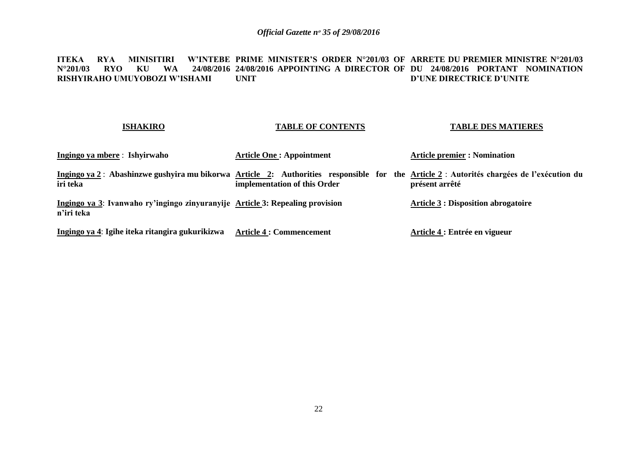#### **ITEKA RYA MINISITIRI<br>N°201/03 RYO KU WA N°201/03 RYO KU WA 24/08/2016 24/08/2016 APPOINTING A DIRECTOR OF DU 24/08/2016 PORTANT NOMINATION RISHYIRAHO UMUYOBOZI W'ISHAMI PRIME MINISTER'S ORDER N°201/03 OF ARRETE DU PREMIER MINISTRE N°201/03 UNIT D'UNE DIRECTRICE D'UNITE**

#### **ISHAKIRO Ingingo ya mbere** : **Ishyirwaho**  Ingingo ya 2 : Abashinzwe gushyira mu bikorwa <u>Article 2</u>: Authorities responsible for the <u>Article 2</u> : Autorités chargées de l'exécution du **iri teka Ingingo ya 3**: **Ivanwaho ry'ingingo zinyuranyije Article 3: Repealing provision n'iri teka Ingingo ya 4**: **Igihe iteka ritangira gukurikizwa Article 4 : Commencement TABLE OF CONTENTS Article One : Appointment implementation of this Order TABLE DES MATIERES Article premier : Nomination présent arrêté Article 3 : Disposition abrogatoire Article 4 : Entrée en vigueur**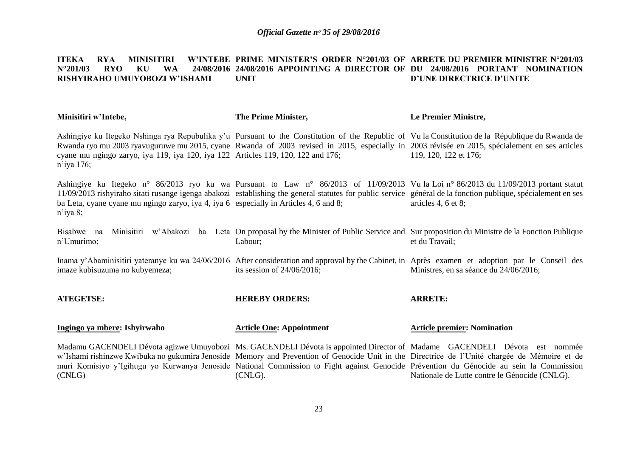#### **ITEKA RYA MINISITIRI W'INTEBE PRIME MINISTER'S ORDER N°201/03 OF ARRETE DU PREMIER MINISTRE N°201/03 N°201/03 RYO KU WA 24/08/2016 24/08/2016 APPOINTING A DIRECTOR OF DU 24/08/2016 PORTANT NOMINATION RISHYIRAHO UMUYOBOZI W'ISHAMI UNIT D'UNE DIRECTRICE D'UNITE**

| Minisitiri w'Intebe,                                                                                 | The Prime Minister,             | Le Premier Ministre,                                                                                                                                                                                                                                                                                                                                                                                                                                                  |
|------------------------------------------------------------------------------------------------------|---------------------------------|-----------------------------------------------------------------------------------------------------------------------------------------------------------------------------------------------------------------------------------------------------------------------------------------------------------------------------------------------------------------------------------------------------------------------------------------------------------------------|
| cyane mu ngingo zaryo, iya 119, iya 120, iya 122 Articles 119, 120, 122 and 176;<br>n'iya 176;       |                                 | Ashingiye ku Itegeko Nshinga rya Repubulika y'u Pursuant to the Constitution of the Republic of Vu la Constitution de la République du Rwanda de<br>Rwanda ryo mu 2003 ryavuguruwe mu 2015, cyane Rwanda of 2003 revised in 2015, especially in 2003 révisée en 2015, spécialement en ses articles<br>119, 120, 122 et 176;                                                                                                                                           |
| ba Leta, cyane cyane mu ngingo zaryo, iya 4, iya 6 especially in Articles 4, 6 and 8;<br>$n$ 'iya 8; |                                 | Ashingiye ku Itegeko n° 86/2013 ryo ku wa Pursuant to Law n° 86/2013 of 11/09/2013 Vu la Loi n° 86/2013 du 11/09/2013 portant statut<br>11/09/2013 rishyiraho sitati rusange igenga abakozi establishing the general statutes for public service général de la fonction publique, spécialement en ses<br>articles 4, 6 et 8;                                                                                                                                          |
| Bisabwe na<br>n'Umurimo;                                                                             | Labour;                         | Minisitiri w'Abakozi ba Leta On proposal by the Minister of Public Service and Sur proposition du Ministre de la Fonction Publique<br>et du Travail;                                                                                                                                                                                                                                                                                                                  |
| imaze kubisuzuma no kubyemeza;                                                                       | its session of $24/06/2016$ ;   | Inama y'Abaminisitiri yateranye ku wa 24/06/2016 After consideration and approval by the Cabinet, in Après examen et adoption par le Conseil des<br>Ministres, en sa séance du 24/06/2016;                                                                                                                                                                                                                                                                            |
| <b>ATEGETSE:</b>                                                                                     | <b>HEREBY ORDERS:</b>           | <b>ARRETE:</b>                                                                                                                                                                                                                                                                                                                                                                                                                                                        |
| Ingingo ya mbere: Ishyirwaho                                                                         | <b>Article One: Appointment</b> | <b>Article premier: Nomination</b>                                                                                                                                                                                                                                                                                                                                                                                                                                    |
| (CNLG)                                                                                               | (CNLG).                         | Madamu GACENDELI Dévota agizwe Umuyobozi Ms. GACENDELI Dévota is appointed Director of Madame GACENDELI Dévota est nommée<br>w'Ishami rishinzwe Kwibuka no gukumira Jenoside Memory and Prevention of Genocide Unit in the Directrice de l'Unité chargée de Mémoire et de<br>muri Komisiyo y'Igihugu yo Kurwanya Jenoside National Commission to Fight against Genocide Prévention du Génocide au sein la Commission<br>Nationale de Lutte contre le Génocide (CNLG). |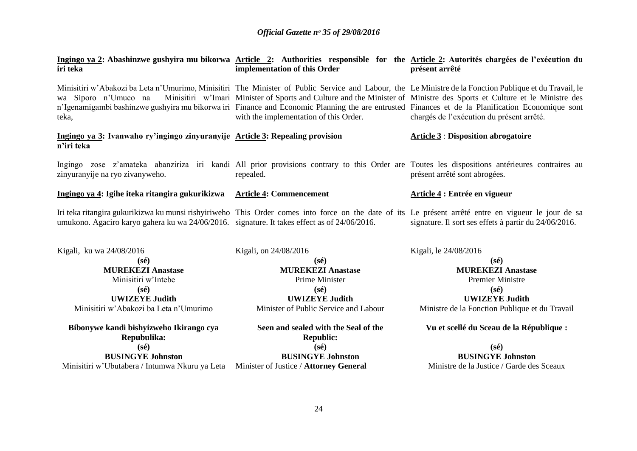| iri teka                                                                                                                                                                           | implementation of this Order                                                                                                                                              | Ingingo ya 2: Abashinzwe gushyira mu bikorwa Article 2: Authorities responsible for the Article 2: Autorités chargées de l'exécution du<br>présent arrêté                                                                                                                                                                                                                                                                                                                           |
|------------------------------------------------------------------------------------------------------------------------------------------------------------------------------------|---------------------------------------------------------------------------------------------------------------------------------------------------------------------------|-------------------------------------------------------------------------------------------------------------------------------------------------------------------------------------------------------------------------------------------------------------------------------------------------------------------------------------------------------------------------------------------------------------------------------------------------------------------------------------|
| wa Siporo n'Umuco na<br>teka,                                                                                                                                                      | with the implementation of this Order.                                                                                                                                    | Minisitiri w'Abakozi ba Leta n'Umurimo, Minisitiri The Minister of Public Service and Labour, the Le Ministre de la Fonction Publique et du Travail, le<br>Minisitiri w'Imari Minister of Sports and Culture and the Minister of Ministre des Sports et Culture et le Ministre des<br>n'Igenamigambi bashinzwe gushyira mu bikorwa iri Finance and Economic Planning the are entrusted Finances et de la Planification Economique sont<br>chargés de l'exécution du présent arrêté. |
| Ingingo ya 3: Ivanwaho ry'ingingo zinyuranyije Article 3: Repealing provision<br>n'iri teka                                                                                        |                                                                                                                                                                           | <b>Article 3: Disposition abrogatoire</b>                                                                                                                                                                                                                                                                                                                                                                                                                                           |
| zinyuranyije na ryo zivanyweho.                                                                                                                                                    | repealed.                                                                                                                                                                 | Ingingo zose z'amateka abanziriza iri kandi All prior provisions contrary to this Order are Toutes les dispositions antérieures contraires au<br>présent arrêté sont abrogées.                                                                                                                                                                                                                                                                                                      |
| Ingingo ya 4: Igihe iteka ritangira gukurikizwa Article 4: Commencement                                                                                                            |                                                                                                                                                                           | Article 4 : Entrée en vigueur                                                                                                                                                                                                                                                                                                                                                                                                                                                       |
| umukono. Agaciro karyo gahera ku wa 24/06/2016. signature. It takes effect as of 24/06/2016.                                                                                       |                                                                                                                                                                           | Iri teka ritangira gukurikizwa ku munsi rishyiriweho This Order comes into force on the date of its Le présent arrêté entre en vigueur le jour de sa<br>signature. Il sort ses effets à partir du 24/06/2016.                                                                                                                                                                                                                                                                       |
| Kigali, ku wa 24/08/2016<br>$(s\acute{e})$<br><b>MUREKEZI Anastase</b><br>Minisitiri w'Intebe<br>$(s\acute{e})$<br><b>UWIZEYE Judith</b><br>Minisitiri w'Abakozi ba Leta n'Umurimo | Kigali, on 24/08/2016<br>$(s\acute{e})$<br><b>MUREKEZI Anastase</b><br>Prime Minister<br>$(s\acute{e})$<br><b>UWIZEYE Judith</b><br>Minister of Public Service and Labour | Kigali, le 24/08/2016<br>$(s\acute{e})$<br><b>MUREKEZI Anastase</b><br><b>Premier Ministre</b><br>$(s\acute{e})$<br><b>UWIZEYE Judith</b><br>Ministre de la Fonction Publique et du Travail                                                                                                                                                                                                                                                                                         |
| Bibonywe kandi bishyizweho Ikirango cya<br>Repubulika:                                                                                                                             | Seen and sealed with the Seal of the<br><b>Republic:</b>                                                                                                                  | Vu et scellé du Sceau de la République :                                                                                                                                                                                                                                                                                                                                                                                                                                            |
| $(s\acute{e})$                                                                                                                                                                     | $(s\acute{e})$                                                                                                                                                            | $(s\acute{e})$                                                                                                                                                                                                                                                                                                                                                                                                                                                                      |
| <b>BUSINGYE Johnston</b>                                                                                                                                                           | <b>BUSINGYE Johnston</b>                                                                                                                                                  | <b>BUSINGYE Johnston</b>                                                                                                                                                                                                                                                                                                                                                                                                                                                            |
| Minisitiri w'Ubutabera / Intumwa Nkuru ya Leta Minister of Justice / Attorney General                                                                                              |                                                                                                                                                                           | Ministre de la Justice / Garde des Sceaux                                                                                                                                                                                                                                                                                                                                                                                                                                           |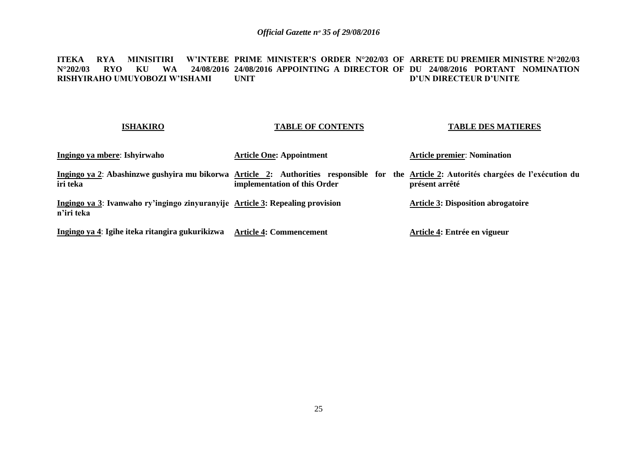#### **ITEKA RYA MINISITIRI W'INTEBE PRIME MINISTER'S ORDER N°202/03 OF ARRETE DU PREMIER MINISTRE N°202/03 N°202/03 RYO KU WA 24/08/2016 24/08/2016 APPOINTING A DIRECTOR OF DU 24/08/2016 PORTANT NOMINATION RISHYIRAHO UMUYOBOZI W'ISHAMI UNIT D'UN DIRECTEUR D'UNITE**

| <b>ISHAKIRO</b>                                                                                                                                     | <b>TABLE OF CONTENTS</b>        | <b>TABLE DES MATIERES</b>                 |
|-----------------------------------------------------------------------------------------------------------------------------------------------------|---------------------------------|-------------------------------------------|
| Ingingo ya mbere: Ishyirwaho                                                                                                                        | <b>Article One: Appointment</b> | <b>Article premier: Nomination</b>        |
| Ingingo ya 2: Abashinzwe gushyira mu bikorwa Article 2: Authorities responsible for the Article 2: Autorités chargées de l'exécution du<br>iri teka | implementation of this Order    | présent arrêté                            |
| Ingingo ya 3: Ivanwaho ry'ingingo zinyuranyije Article 3: Repealing provision<br>n'iri teka                                                         |                                 | <b>Article 3: Disposition abrogatoire</b> |
| Ingingo ya 4: Igihe iteka ritangira gukurikizwa                                                                                                     | <b>Article 4: Commencement</b>  | Article 4: Entrée en vigueur              |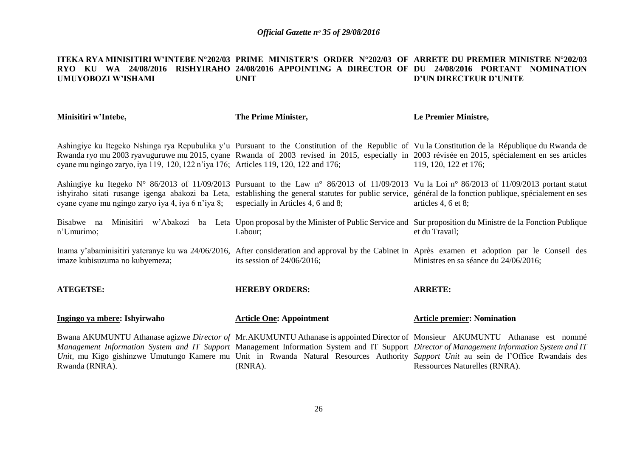#### **ITEKA RYA MINISITIRI W'INTEBE N°202/03 PRIME MINISTER'S ORDER N°202/03 OF ARRETE DU PREMIER MINISTRE N°202/03 RYO KU WA 24/08/2016 RISHYIRAHO 24/08/2016 APPOINTING A DIRECTOR OF DU 24/08/2016 PORTANT NOMINATION UMUYOBOZI W'ISHAMI UNIT D'UN DIRECTEUR D'UNITE**

| Minisitiri w'Intebe,                                                                | The Prime Minister,                | Le Premier Ministre,                                                                                                                                                                                                                                                                                                                                                                                                                                |
|-------------------------------------------------------------------------------------|------------------------------------|-----------------------------------------------------------------------------------------------------------------------------------------------------------------------------------------------------------------------------------------------------------------------------------------------------------------------------------------------------------------------------------------------------------------------------------------------------|
| cyane mu ngingo zaryo, iya 119, 120, 122 n'iya 176; Articles 119, 120, 122 and 176; |                                    | Ashingiye ku Itegeko Nshinga rya Repubulika y'u Pursuant to the Constitution of the Republic of Vu la Constitution de la République du Rwanda de<br>Rwanda ryo mu 2003 ryavuguruwe mu 2015, cyane Rwanda of 2003 revised in 2015, especially in 2003 révisée en 2015, spécialement en ses articles<br>119, 120, 122 et 176;                                                                                                                         |
| cyane cyane mu ngingo zaryo iya 4, iya 6 n'iya 8;                                   | especially in Articles 4, 6 and 8; | Ashingiye ku Itegeko N° 86/2013 of 11/09/2013 Pursuant to the Law n° 86/2013 of 11/09/2013 Vu la Loi n° 86/2013 of 11/09/2013 portant statut<br>ishyiraho sitati rusange igenga abakozi ba Leta, establishing the general statutes for public service, général de la fonction publique, spécialement en ses<br>articles 4, 6 et 8;                                                                                                                  |
| n'Umurimo;                                                                          | Labour;                            | Bisabwe na Minisitiri w'Abakozi ba Leta Upon proposal by the Minister of Public Service and Sur proposition du Ministre de la Fonction Publique<br>et du Travail;                                                                                                                                                                                                                                                                                   |
| imaze kubisuzuma no kubyemeza;                                                      | its session of $24/06/2016$ ;      | Inama y'abaminisitiri yateranye ku wa 24/06/2016, After consideration and approval by the Cabinet in Après examen et adoption par le Conseil des<br>Ministres en sa séance du 24/06/2016;                                                                                                                                                                                                                                                           |
| <b>ATEGETSE:</b>                                                                    | <b>HEREBY ORDERS:</b>              | <b>ARRETE:</b>                                                                                                                                                                                                                                                                                                                                                                                                                                      |
| Ingingo ya mbere: Ishyirwaho                                                        | <b>Article One: Appointment</b>    | <b>Article premier: Nomination</b>                                                                                                                                                                                                                                                                                                                                                                                                                  |
| Rwanda (RNRA).                                                                      | $(RNRA)$ .                         | Bwana AKUMUNTU Athanase agizwe Director of Mr.AKUMUNTU Athanase is appointed Director of Monsieur AKUMUNTU Athanase est nommé<br>Management Information System and IT Support Management Information System and IT Support Director of Management Information System and IT<br>Unit, mu Kigo gishinzwe Umutungo Kamere mu Unit in Rwanda Natural Resources Authority Support Unit au sein de l'Office Rwandais des<br>Ressources Naturelles (RNRA). |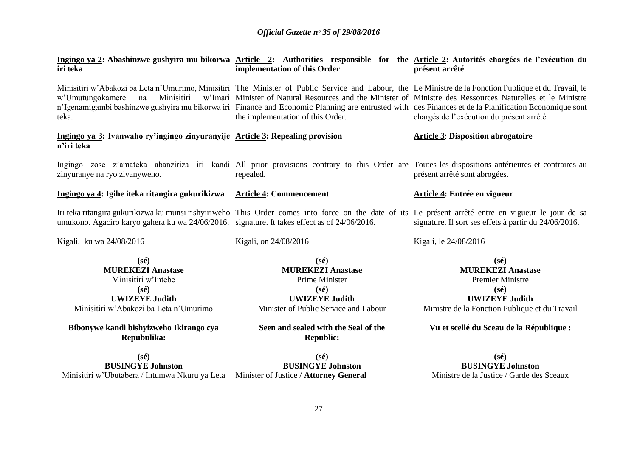| iri teka                                                                                                                                               | Ingingo ya 2: Abashinzwe gushyira mu bikorwa Article 2: Authorities responsible for the Article 2: Autorités chargées de l'exécution du<br>implementation of this Order                                                                                                                                                                                                                                                                                              | présent arrêté                                                                                                                                                     |
|--------------------------------------------------------------------------------------------------------------------------------------------------------|----------------------------------------------------------------------------------------------------------------------------------------------------------------------------------------------------------------------------------------------------------------------------------------------------------------------------------------------------------------------------------------------------------------------------------------------------------------------|--------------------------------------------------------------------------------------------------------------------------------------------------------------------|
| Minisitiri<br>w'Umutungokamere<br>na<br>teka.                                                                                                          | Minisitiri w'Abakozi ba Leta n'Umurimo, Minisitiri The Minister of Public Service and Labour, the Le Ministre de la Fonction Publique et du Travail, le<br>w'Imari Minister of Natural Resources and the Minister of Ministre des Ressources Naturelles et le Ministre<br>n'Igenamigambi bashinzwe gushyira mu bikorwa iri Finance and Economic Planning are entrusted with des Finances et de la Planification Economique sont<br>the implementation of this Order. | chargés de l'exécution du présent arrêté.                                                                                                                          |
| Ingingo ya 3: Ivanwaho ry'ingingo zinyuranyije Article 3: Repealing provision<br>n'iri teka                                                            |                                                                                                                                                                                                                                                                                                                                                                                                                                                                      | <b>Article 3: Disposition abrogatoire</b>                                                                                                                          |
| zinyuranye na ryo zivanyweho.                                                                                                                          | Ingingo zose z'amateka abanziriza iri kandi All prior provisions contrary to this Order are Toutes les dispositions antérieures et contraires au<br>repealed.                                                                                                                                                                                                                                                                                                        | présent arrêté sont abrogées.                                                                                                                                      |
| Ingingo ya 4: Igihe iteka ritangira gukurikizwa                                                                                                        | <b>Article 4: Commencement</b>                                                                                                                                                                                                                                                                                                                                                                                                                                       | Article 4: Entrée en vigueur                                                                                                                                       |
| umukono. Agaciro karyo gahera ku wa 24/06/2016. signature. It takes effect as of 24/06/2016.                                                           | Iri teka ritangira gukurikizwa ku munsi rishyiriweho This Order comes into force on the date of its Le présent arrêté entre en vigueur le jour de sa                                                                                                                                                                                                                                                                                                                 | signature. Il sort ses effets à partir du 24/06/2016.                                                                                                              |
| Kigali, ku wa 24/08/2016                                                                                                                               | Kigali, on 24/08/2016                                                                                                                                                                                                                                                                                                                                                                                                                                                | Kigali, le 24/08/2016                                                                                                                                              |
| $(s\acute{e})$<br><b>MUREKEZI Anastase</b><br>Minisitiri w'Intebe<br>$(s\acute{e})$<br><b>UWIZEYE Judith</b><br>Minisitiri w'Abakozi ba Leta n'Umurimo | $(s\acute{e})$<br><b>MUREKEZI Anastase</b><br>Prime Minister<br>$(s\acute{e})$<br><b>UWIZEYE Judith</b><br>Minister of Public Service and Labour<br>Seen and sealed with the Seal of the                                                                                                                                                                                                                                                                             | $(s\acute{e})$<br><b>MUREKEZI Anastase</b><br><b>Premier Ministre</b><br>$(s\acute{e})$<br><b>UWIZEYE Judith</b><br>Ministre de la Fonction Publique et du Travail |
| Bibonywe kandi bishyizweho Ikirango cya<br>Repubulika:                                                                                                 | <b>Republic:</b>                                                                                                                                                                                                                                                                                                                                                                                                                                                     | Vu et scellé du Sceau de la République :                                                                                                                           |
| $(s\acute{e})$<br><b>BUSINGYE Johnston</b><br>Minisitiri w'Ubutabera / Intumwa Nkuru ya Leta Minister of Justice / Attorney General                    | $(s\acute{e})$<br><b>BUSINGYE Johnston</b>                                                                                                                                                                                                                                                                                                                                                                                                                           | $(s\acute{e})$<br><b>BUSINGYE Johnston</b><br>Ministre de la Justice / Garde des Sceaux                                                                            |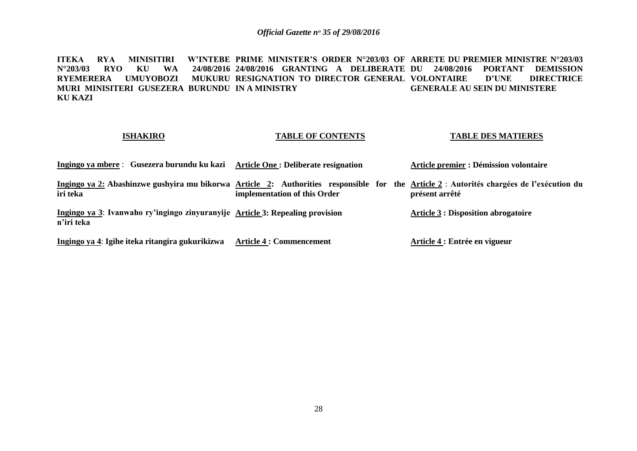**ITEKA RYA MINISITIRI W'INTEBE PRIME MINISTER'S ORDER N°203/03 OF ARRETE DU PREMIER MINISTRE N°203/03 N°203/03 RYO KU<br>RYEMERERA UMUY RYEMERERA UMUYOBOZI MUKURU RESIGNATION TO DIRECTOR GENERAL VOLONTAIRE D'UNE DIRECTRICE MURI MINISITERI GUSEZERA BURUNDU IN A MINISTRY KU KAZI 24/08/2016 GRANTING A DELIBERATE DU 24/08/2016 PORTANT DEMISSION GENERALE AU SEIN DU MINISTERE**

### **ISHAKIRO**

### **TABLE OF CONTENTS**

#### **TABLE DES MATIERES**

| Ingingo ya mbere : Gusezera burundu ku kazi                                                                                                         | Article One : Deliberate resignation | Article premier : Démission volontaire     |
|-----------------------------------------------------------------------------------------------------------------------------------------------------|--------------------------------------|--------------------------------------------|
| Ingingo ya 2: Abashinzwe gushyira mu bikorwa Article 2: Authorities responsible for the Article 2: Autorités chargées de l'exécution du<br>iri teka | implementation of this Order         | présent arrêté                             |
| Ingingo ya 3: Ivanwaho ry'ingingo zinyuranyije Article 3: Repealing provision<br>n'iri teka                                                         |                                      | <b>Article 3 : Disposition abrogatoire</b> |
| Ingingo ya 4: Igihe iteka ritangira gukurikizwa                                                                                                     | <b>Article 4 : Commencement</b>      | Article 4 : Entrée en vigueur              |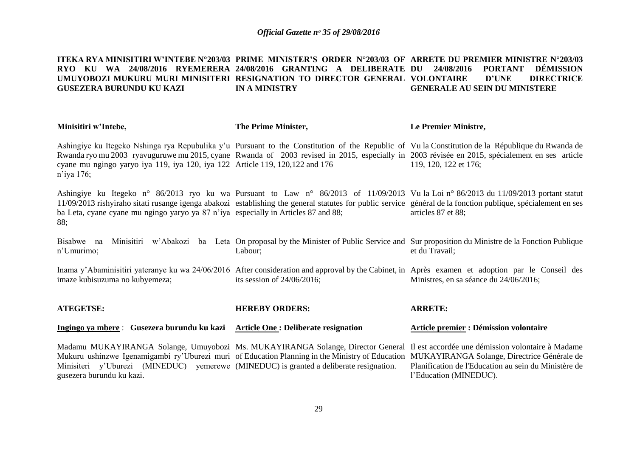#### **ITEKA RYA MINISITIRI W'INTEBE N°203/03 PRIME MINISTER'S ORDER N°203/03 OF ARRETE DU PREMIER MINISTRE N°203/03 RYO KU WA 24/08/2016 RYEMERERA 24/08/2016 GRANTING A DELIBERATE DU 24/08/2016 PORTANT DÉMISSION UMUYOBOZI MUKURU MURI MINISITERI RESIGNATION TO DIRECTOR GENERAL VOLONTAIRE D'UNE DIRECTRICE GUSEZERA BURUNDU KU KAZI IN A MINISTRY GENERALE AU SEIN DU MINISTERE**

| Minisitiri w'Intebe,                                                                                                                                                                                                                                                                                                                                                                                    | The Prime Minister,           | Le Premier Ministre,                                                                                                                                 |
|---------------------------------------------------------------------------------------------------------------------------------------------------------------------------------------------------------------------------------------------------------------------------------------------------------------------------------------------------------------------------------------------------------|-------------------------------|------------------------------------------------------------------------------------------------------------------------------------------------------|
| Ashingiye ku Itegeko Nshinga rya Repubulika y'u Pursuant to the Constitution of the Republic of Vu la Constitution de la République du Rwanda de<br>Rwanda ryo mu 2003 ryavuguruwe mu 2015, cyane Rwanda of 2003 revised in 2015, especially in 2003 révisée en 2015, spécialement en ses article<br>cyane mu ngingo yaryo iya 119, iya 120, iya 122 Article 119, 120, 122 and 176<br>$n$ 'iya 176;     |                               | 119, 120, 122 et 176;                                                                                                                                |
| Ashingiye ku Itegeko n° 86/2013 ryo ku wa Pursuant to Law n° 86/2013 of 11/09/2013 Vu la Loi n° 86/2013 du 11/09/2013 portant statut<br>11/09/2013 rishyiraho sitati rusange igenga abakozi establishing the general statutes for public service général de la fonction publique, spécialement en ses<br>ba Leta, cyane cyane mu ngingo yaryo ya 87 n'iya especially in Articles 87 and 88;<br>88;      |                               | articles 87 et 88;                                                                                                                                   |
| Bisabwe na<br>n'Umurimo;                                                                                                                                                                                                                                                                                                                                                                                | Labour;                       | Minisitiri w'Abakozi ba Leta On proposal by the Minister of Public Service and Sur proposition du Ministre de la Fonction Publique<br>et du Travail; |
| Inama y'Abaminisitiri yateranye ku wa 24/06/2016 After consideration and approval by the Cabinet, in Après examen et adoption par le Conseil des<br>imaze kubisuzuma no kubyemeza;                                                                                                                                                                                                                      | its session of $24/06/2016$ ; | Ministres, en sa séance du 24/06/2016;                                                                                                               |
| <b>ATEGETSE:</b>                                                                                                                                                                                                                                                                                                                                                                                        | <b>HEREBY ORDERS:</b>         | <b>ARRETE:</b>                                                                                                                                       |
| Ingingo ya mbere : Gusezera burundu ku kazi Article One : Deliberate resignation                                                                                                                                                                                                                                                                                                                        |                               | <b>Article premier : Démission volontaire</b>                                                                                                        |
| Madamu MUKAYIRANGA Solange, Umuyobozi Ms. MUKAYIRANGA Solange, Director General Il est accordée une démission volontaire à Madame<br>Mukuru ushinzwe Igenamigambi ry'Uburezi muri of Education Planning in the Ministry of Education MUKAYIRANGA Solange, Directrice Générale de<br>Minisiteri y'Uburezi (MINEDUC) yemerewe (MINEDUC) is granted a deliberate resignation.<br>gusezera burundu ku kazi. |                               | Planification de l'Education au sein du Ministère de<br>l'Education (MINEDUC).                                                                       |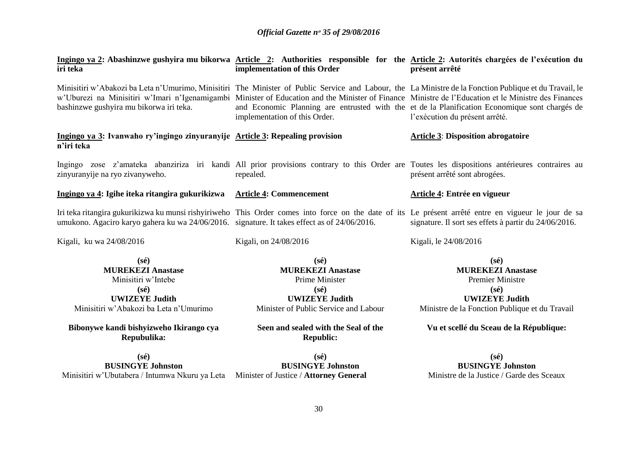| iri teka                                                                                                                                               | implementation of this Order                                                                                                                     | Ingingo ya 2: Abashinzwe gushyira mu bikorwa Article 2: Authorities responsible for the Article 2: Autorités chargées de l'exécution du<br>présent arrêté                                                                                                                                                                                                                                                                                           |
|--------------------------------------------------------------------------------------------------------------------------------------------------------|--------------------------------------------------------------------------------------------------------------------------------------------------|-----------------------------------------------------------------------------------------------------------------------------------------------------------------------------------------------------------------------------------------------------------------------------------------------------------------------------------------------------------------------------------------------------------------------------------------------------|
| bashinzwe gushyira mu bikorwa iri teka.                                                                                                                | implementation of this Order.                                                                                                                    | Minisitiri w'Abakozi ba Leta n'Umurimo, Minisitiri The Minister of Public Service and Labour, the La Ministre de la Fonction Publique et du Travail, le<br>w'Uburezi na Minisitiri w'Imari n'Igenamigambi Minister of Education and the Minister of Finance Ministre de l'Education et le Ministre des Finances<br>and Economic Planning are entrusted with the et de la Planification Economique sont chargés de<br>l'exécution du présent arrêté. |
| Ingingo ya 3: Ivanwaho ry'ingingo zinyuranyije Article 3: Repealing provision<br>n'iri teka                                                            |                                                                                                                                                  | <b>Article 3: Disposition abrogatoire</b>                                                                                                                                                                                                                                                                                                                                                                                                           |
| zinyuranyije na ryo zivanyweho.                                                                                                                        | repealed.                                                                                                                                        | Ingingo zose z'amateka abanziriza iri kandi All prior provisions contrary to this Order are Toutes les dispositions antérieures contraires au<br>présent arrêté sont abrogées.                                                                                                                                                                                                                                                                      |
| Ingingo ya 4: Igihe iteka ritangira gukurikizwa                                                                                                        | <b>Article 4: Commencement</b>                                                                                                                   | <b>Article 4: Entrée en vigueur</b>                                                                                                                                                                                                                                                                                                                                                                                                                 |
| umukono. Agaciro karyo gahera ku wa 24/06/2016. signature. It takes effect as of 24/06/2016.                                                           |                                                                                                                                                  | Iri teka ritangira gukurikizwa ku munsi rishyiriweho This Order comes into force on the date of its Le présent arrêté entre en vigueur le jour de sa<br>signature. Il sort ses effets à partir du 24/06/2016.                                                                                                                                                                                                                                       |
| Kigali, ku wa 24/08/2016                                                                                                                               | Kigali, on 24/08/2016                                                                                                                            | Kigali, le 24/08/2016                                                                                                                                                                                                                                                                                                                                                                                                                               |
| $(s\acute{e})$<br><b>MUREKEZI Anastase</b><br>Minisitiri w'Intebe<br>$(s\acute{e})$<br><b>UWIZEYE Judith</b><br>Minisitiri w'Abakozi ba Leta n'Umurimo | $(s\acute{e})$<br><b>MUREKEZI Anastase</b><br>Prime Minister<br>$(s\acute{e})$<br><b>UWIZEYE Judith</b><br>Minister of Public Service and Labour | $(s\acute{e})$<br><b>MUREKEZI Anastase</b><br><b>Premier Ministre</b><br>$(s\acute{e})$<br><b>UWIZEYE Judith</b><br>Ministre de la Fonction Publique et du Travail                                                                                                                                                                                                                                                                                  |
| Bibonywe kandi bishyizweho Ikirango cya<br>Repubulika:                                                                                                 | Seen and sealed with the Seal of the<br><b>Republic:</b>                                                                                         | Vu et scellé du Sceau de la République:                                                                                                                                                                                                                                                                                                                                                                                                             |
| $(s\acute{e})$<br><b>BUSINGYE Johnston</b><br>Minisitiri w'Ubutabera / Intumwa Nkuru ya Leta Minister of Justice / Attorney General                    | $(s\acute{e})$<br><b>BUSINGYE Johnston</b>                                                                                                       | $(s\acute{e})$<br><b>BUSINGYE Johnston</b><br>Ministre de la Justice / Garde des Sceaux                                                                                                                                                                                                                                                                                                                                                             |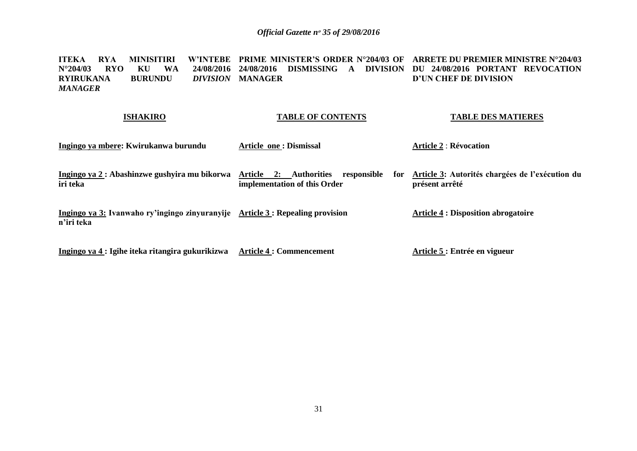**ITEKA RYA MINISITIRI W'INTEBE PRIME MINISTER'S ORDER N°204/03 OF ARRETE DU PREMIER MINISTRE N°204/03 N°204/03 RYO KU WA 24/08/2016 24/08/2016 DISMISSING A DIVISION DU 24/08/2016 PORTANT REVOCATION RYIRUKANA BURUNDU** *DIVISION MANAGER*  **DIVISION MANAGER D'UN CHEF DE DIVISION**

#### **ISHAKIRO**

### **TABLE OF CONTENTS**

**TABLE DES MATIERES**

| Ingingo ya mbere: Kwirukanwa burundu                                                         | <b>Article one: Dismissal</b>                                                | <b>Article 2 : Révocation</b>                                     |
|----------------------------------------------------------------------------------------------|------------------------------------------------------------------------------|-------------------------------------------------------------------|
| Ingingo ya 2 : Abashinzwe gushyira mu bikorwa<br>iri teka                                    | Article 2: Authorities<br>responsible<br>for<br>implementation of this Order | Article 3: Autorités chargées de l'exécution du<br>présent arrêté |
| Ingingo ya 3: Ivanwaho ry'ingingo zinyuranyije Article 3 : Repealing provision<br>n'iri teka |                                                                              | <b>Article 4 : Disposition abrogatoire</b>                        |
| Ingingo ya 4 : Igihe iteka ritangira gukurikizwa                                             | <b>Article 4 : Commencement</b>                                              | Article 5 : Entrée en vigueur                                     |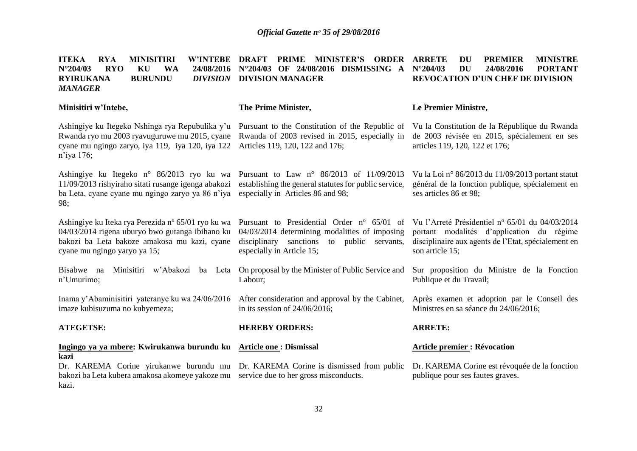**ITEKA RYA MINISITIRI N°204/03 RYO KU WA RYIRUKANA BURUNDU** *DIVISION MANAGER*  **Minisitiri w'Intebe,** Ashingiye ku Itegeko Nshinga rya Repubulika y'u Pursuant to the Constitution of the Republic of Vu la Constitution de la République du Rwanda Rwanda ryo mu 2003 ryavuguruwe mu 2015, cyane Rwanda of 2003 revised in 2015, especially in de 2003 révisée en 2015, spécialement en ses cyane mu ngingo zaryo, iya 119, iya 120, iya 122 Articles 119, 120, 122 and 176; n'iya 176; Ashingiye ku Itegeko n° 86/2013 ryo ku wa Pursuant to Law n° 86/2013 of 11/09/2013 VulaLoin°86/2013 du 11/09/2013 portant statut 11/09/2013 rishyiraho sitati rusange igenga abakozi establishing the general statutes for public service, ba Leta, cyane cyane mu ngingo zaryo ya 86 n'iya especially in Articles 86 and 98; 98; Ashingiye ku Iteka rya Perezida n° 65/01 ryo ku wa 04/03/2014 rigena uburyo bwo gutanga ibihano ku bakozi ba Leta bakoze amakosa mu kazi, cyane cyane mu ngingo yaryo ya 15; Bisabwe na Minisitiri w'Abakozi ba Leta On proposal by the Minister of Public Service and n'Umurimo; Inama y'Abaminisitiri yateranye ku wa 24/06/2016 imaze kubisuzuma no kubyemeza; **ATEGETSE: Ingingo ya ya mbere: Kwirukanwa burundu ku Article one : Dismissal kazi** Dr. KAREMA Corine yirukanwe burundu mu Dr. KAREMA Corine is dismissed from public bakozi ba Leta kubera amakosa akomeye yakoze mu service due to her gross misconducts. kazi. W'INTEBE DRAFT PRIME MINISTER'S ORDER ARRETE **N°204/03 OF 24/08/2016 DISMISSING A DIVISION MANAGER The Prime Minister,** Pursuant to Presidential Order nº 65/01 of Vu l'Arreté Présidentiel nº 65/01 du 04/03/2014 04/03/2014 determining modalities of imposing portant modalités d'application du régime disciplinary sanctions to public servants, especially in Article 15; Labour; After consideration and approval by the Cabinet, in its session of 24/06/2016; **HEREBY ORDERS: DU PREMIER MINISTRE N°204/03 DU 24/08/2016 PORTANT REVOCATION D'UN CHEF DE DIVISION Le Premier Ministre,** articles 119, 120, 122 et 176; général de la fonction publique, spécialement en ses articles 86 et 98; disciplinaire aux agents de l'Etat, spécialement en son article 15; Sur proposition du Ministre de la Fonction Publique et du Travail; Après examen et adoption par le Conseil des Ministres en sa séance du 24/06/2016; **ARRETE: Article premier : Révocation**  Dr. KAREMA Corine est révoquée de la fonction publique pour ses fautes graves.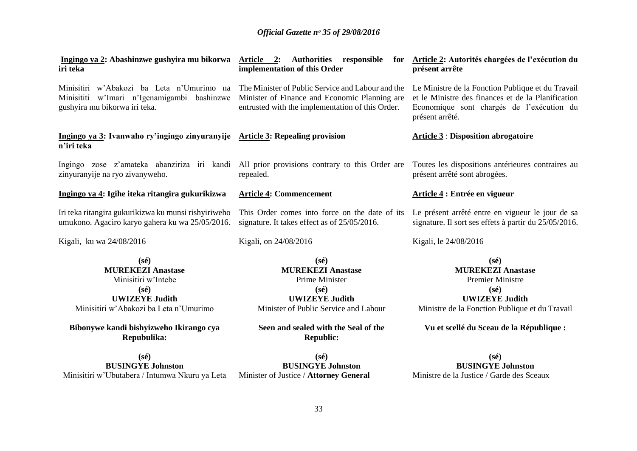| Ingingo ya 2: Abashinzwe gushyira mu bikorwa<br>iri teka                                                                                                                                                         | <b>Article 2:</b> Authorities responsible<br>for<br>implementation of this Order                                                                                                                             | Article 2: Autorités chargées de l'exécution du<br>présent arrête                                                                                                                                              |
|------------------------------------------------------------------------------------------------------------------------------------------------------------------------------------------------------------------|--------------------------------------------------------------------------------------------------------------------------------------------------------------------------------------------------------------|----------------------------------------------------------------------------------------------------------------------------------------------------------------------------------------------------------------|
| Minisitiri w'Abakozi ba Leta n'Umurimo na<br>Minisititi w'Imari n'Igenamigambi bashinzwe<br>gushyira mu bikorwa iri teka.                                                                                        | The Minister of Public Service and Labour and the<br>Minister of Finance and Economic Planning are<br>entrusted with the implementation of this Order.                                                       | Le Ministre de la Fonction Publique et du Travail<br>et le Ministre des finances et de la Planification<br>Economique sont chargés de l'exécution du<br>présent arrêté.                                        |
| Ingingo ya 3: Ivanwaho ry'ingingo zinyuranyije Article 3: Repealing provision<br>n'iri teka                                                                                                                      |                                                                                                                                                                                                              | <b>Article 3: Disposition abrogatoire</b>                                                                                                                                                                      |
| Ingingo zose z'amateka abanziriza iri kandi All prior provisions contrary to this Order are<br>zinyuranyije na ryo zivanyweho.                                                                                   | repealed.                                                                                                                                                                                                    | Toutes les dispositions antérieures contraires au<br>présent arrêté sont abrogées.                                                                                                                             |
| Ingingo ya 4: Igihe iteka ritangira gukurikizwa                                                                                                                                                                  | <b>Article 4: Commencement</b>                                                                                                                                                                               | Article 4 : Entrée en vigueur                                                                                                                                                                                  |
| Iri teka ritangira gukurikizwa ku munsi rishyiriweho<br>umukono. Agaciro karyo gahera ku wa 25/05/2016.                                                                                                          | This Order comes into force on the date of its<br>signature. It takes effect as of 25/05/2016.                                                                                                               | Le présent arrêté entre en vigueur le jour de sa<br>signature. Il sort ses effets à partir du 25/05/2016.                                                                                                      |
| Kigali, ku wa 24/08/2016                                                                                                                                                                                         | Kigali, on 24/08/2016                                                                                                                                                                                        | Kigali, le 24/08/2016                                                                                                                                                                                          |
| $(s\acute{e})$<br><b>MUREKEZI Anastase</b><br>Minisitiri w'Intebe<br>$(s\acute{e})$<br><b>UWIZEYE Judith</b><br>Minisitiri w'Abakozi ba Leta n'Umurimo<br>Bibonywe kandi bishyizweho Ikirango cya<br>Repubulika: | $(s\acute{e})$<br><b>MUREKEZI Anastase</b><br>Prime Minister<br>$(s\acute{e})$<br><b>UWIZEYE Judith</b><br>Minister of Public Service and Labour<br>Seen and sealed with the Seal of the<br><b>Republic:</b> | $(s\acute{e})$<br><b>MUREKEZI Anastase</b><br><b>Premier Ministre</b><br>$(s\acute{e})$<br><b>UWIZEYE Judith</b><br>Ministre de la Fonction Publique et du Travail<br>Vu et scellé du Sceau de la République : |
| $(s\acute{e})$<br>DIKIMAYE I J                                                                                                                                                                                   | $(s\acute{e})$<br>DIKIMIOVE I J                                                                                                                                                                              | $(s\acute{e})$<br>DIKIMIOVE I J                                                                                                                                                                                |

**BUSINGYE Johnston** Minisitiri w'Ubutabera / Intumwa Nkuru ya Leta Minister of Justice / **Attorney General**

**BUSINGYE Johnston**

**BUSINGYE Johnston** Ministre de la Justice / Garde des Sceaux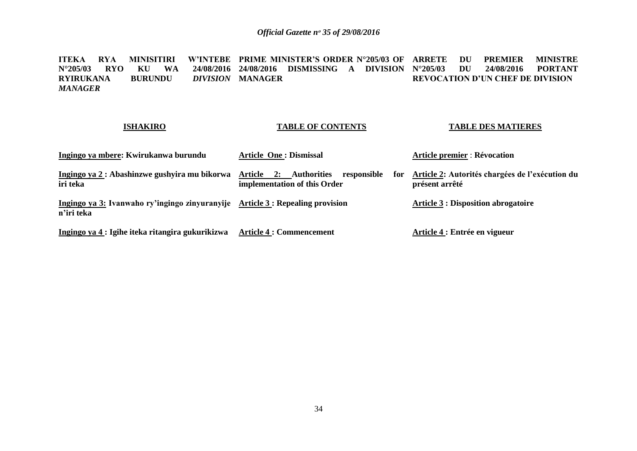ITEKA RYA MINISITIRI W'INTEBE PRIME-MINISTER'S-ORDER-N°205/03-OF ARRETE DU PREMIER MINISTRE **N°205/03 RYO KU WA<br>RYIRUKANA BURUNDU**  $\overline{RVIRUKANA}$ *MANAGER* **24/08/2016 DISMISSING A DIVISION DIVISION MANAGER N°205/03 DU 24/08/2016 PORTANT REVOCATION D'UN CHEF DE DIVISION**

### **ISHAKIRO**

## **TABLE OF CONTENTS**

### **TABLE DES MATIERES**

| Ingingo ya mbere: Kwirukanwa burundu                         | <b>Article One : Dismissal</b>                                                              | <b>Article premier : Révocation</b>                               |
|--------------------------------------------------------------|---------------------------------------------------------------------------------------------|-------------------------------------------------------------------|
| Ingingo ya 2 : Abashinzwe gushyira mu bikorwa<br>iri teka    | <b>Authorities</b><br>Article<br>responsible<br>2:<br>for :<br>implementation of this Order | Article 2: Autorités chargées de l'exécution du<br>présent arrêté |
| Ingingo ya 3: Ivanwaho ry'ingingo zinyuranyije<br>n'iri teka | <b>Article 3 : Repealing provision</b>                                                      | <b>Article 3 : Disposition abrogatoire</b>                        |
| Ingingo ya 4: Igihe iteka ritangira gukurikizwa              | <b>Article 4 : Commencement</b>                                                             | Article 4 : Entrée en vigueur                                     |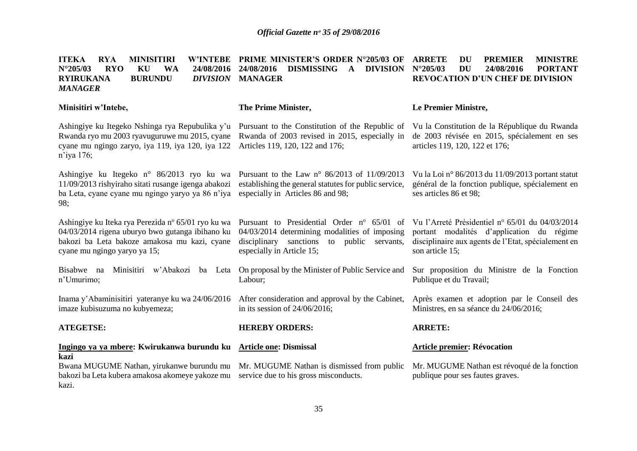**ITEKA RYA MINISITIRI N°205/03 RYO KU WA RYIRUKANA BURUNDU** *DIVISION MANAGER* **Minisitiri w'Intebe,** Ashingiye ku Itegeko Nshinga rya Repubulika y'u Pursuant to the Constitution of the Republic of Vu la Constitution de la République du Rwanda Rwanda ryo mu 2003 ryavuguruwe mu 2015, cyane Rwanda of 2003 revised in 2015, especially in de 2003 révisée en 2015, spécialement en ses cyane mu ngingo zaryo, iya 119, iya 120, iya 122 Articles 119, 120, 122 and 176; n'iya 176; Ashingiye ku Itegeko n° 86/2013 ryo ku wa Pursuant to the Law n° 86/2013 of 11/09/2013 Vu la Loi n° 86/2013 du 11/09/2013 portant statut 11/09/2013 rishyiraho sitati rusange igenga abakozi establishing the general statutes for public service, ba Leta, cyane cyane mu ngingo yaryo ya 86 n'iya especially in Articles 86 and 98; 98; Ashingiye ku Iteka rya Perezida n° 65/01 ryo ku wa 04/03/2014 rigena uburyo bwo gutanga ibihano ku bakozi ba Leta bakoze amakosa mu kazi, cyane cyane mu ngingo yaryo ya 15; Bisabwe na Minisitiri w'Abakozi ba Leta On proposal by the Minister of Public Service and n'Umurimo; Inama y'Abaminisitiri yateranye ku wa 24/06/2016 imaze kubisuzuma no kubyemeza; **ATEGETSE: Ingingo ya ya mbere: Kwirukanwa burundu ku Article one: Dismissal kazi** Bwana MUGUME Nathan, yirukanwe burundu mu Mr. MUGUME Nathan is dismissed from public bakozi ba Leta kubera amakosa akomeye yakoze mu service due to his gross misconducts. kazi. **PRIME MINISTER'S ORDER N°205/03 OF 24/08/2016 DISMISSING A DIVISION**  *DIVISION* MANAGER **The Prime Minister,** Pursuant to Presidential Order nº 65/01 of Vu l'Arreté Présidentiel nº 65/01 du 04/03/2014 04/03/2014 determining modalities of imposing disciplinary sanctions to public servants, especially in Article 15; Labour; After consideration and approval by the Cabinet, in its session of 24/06/2016; **HEREBY ORDERS: DU PREMIER MINISTRE N°205/03 DU 24/08/2016 PORTANT REVOCATION D'UN CHEF DE DIVISION Le Premier Ministre,** articles 119, 120, 122 et 176; général de la fonction publique, spécialement en ses articles 86 et 98; portant modalités d'application du régime disciplinaire aux agents de l'Etat, spécialement en son article 15; Sur proposition du Ministre de la Fonction Publique et du Travail; Après examen et adoption par le Conseil des Ministres, en sa séance du 24/06/2016; **ARRETE: Article premier: Révocation**  Mr. MUGUME Nathan est révoqué de la fonction publique pour ses fautes graves.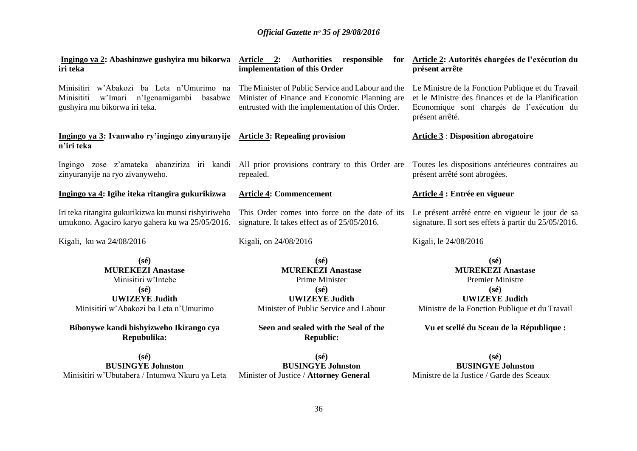| Ingingo ya 2: Abashinzwe gushyira mu bikorwa<br>iri teka                                                                                                                                                         | Article 2: Authorities responsible<br>for<br>implementation of this Order                                                                                                                                    | Article 2: Autorités chargées de l'exécution du<br>présent arrête                                                                                                                                              |
|------------------------------------------------------------------------------------------------------------------------------------------------------------------------------------------------------------------|--------------------------------------------------------------------------------------------------------------------------------------------------------------------------------------------------------------|----------------------------------------------------------------------------------------------------------------------------------------------------------------------------------------------------------------|
| Minisitiri w'Abakozi ba Leta n'Umurimo na<br>w'Imari n'Igenamigambi<br>basabwe<br>Minisititi<br>gushyira mu bikorwa iri teka.                                                                                    | The Minister of Public Service and Labour and the<br>Minister of Finance and Economic Planning are<br>entrusted with the implementation of this Order.                                                       | Le Ministre de la Fonction Publique et du Travail<br>et le Ministre des finances et de la Planification<br>Economique sont chargés de l'exécution du<br>présent arrêté.                                        |
| Ingingo ya 3: Ivanwaho ry'ingingo zinyuranyije Article 3: Repealing provision<br>n'iri teka                                                                                                                      |                                                                                                                                                                                                              | <b>Article 3: Disposition abrogatoire</b>                                                                                                                                                                      |
| Ingingo zose z'amateka abanziriza iri kandi All prior provisions contrary to this Order are<br>zinyuranyije na ryo zivanyweho.                                                                                   | repealed.                                                                                                                                                                                                    | Toutes les dispositions antérieures contraires au<br>présent arrêté sont abrogées.                                                                                                                             |
| Ingingo ya 4: Igihe iteka ritangira gukurikizwa                                                                                                                                                                  | <b>Article 4: Commencement</b>                                                                                                                                                                               | Article 4 : Entrée en vigueur                                                                                                                                                                                  |
| Iri teka ritangira gukurikizwa ku munsi rishyiriweho<br>umukono. Agaciro karyo gahera ku wa 25/05/2016.                                                                                                          | This Order comes into force on the date of its<br>signature. It takes effect as of 25/05/2016.                                                                                                               | Le présent arrêté entre en vigueur le jour de sa<br>signature. Il sort ses effets à partir du 25/05/2016.                                                                                                      |
| Kigali, ku wa 24/08/2016                                                                                                                                                                                         | Kigali, on 24/08/2016                                                                                                                                                                                        | Kigali, le 24/08/2016                                                                                                                                                                                          |
| $(s\acute{e})$<br><b>MUREKEZI Anastase</b><br>Minisitiri w'Intebe<br>$(s\acute{e})$<br><b>UWIZEYE Judith</b><br>Minisitiri w'Abakozi ba Leta n'Umurimo<br>Bibonywe kandi bishyizweho Ikirango cya<br>Repubulika: | $(s\acute{e})$<br><b>MUREKEZI Anastase</b><br>Prime Minister<br>$(s\acute{e})$<br><b>UWIZEYE Judith</b><br>Minister of Public Service and Labour<br>Seen and sealed with the Seal of the<br><b>Republic:</b> | $(s\acute{e})$<br><b>MUREKEZI Anastase</b><br><b>Premier Ministre</b><br>$(s\acute{e})$<br><b>UWIZEYE Judith</b><br>Ministre de la Fonction Publique et du Travail<br>Vu et scellé du Sceau de la République : |
| $(s\acute{e})$                                                                                                                                                                                                   | $(s\acute{e})$                                                                                                                                                                                               | $(s\acute{e})$                                                                                                                                                                                                 |

**BUSINGYE Johnston** Minisitiri w'Ubutabera / Intumwa Nkuru ya Leta Minister of Justice / **Attorney General**

**BUSINGYE Johnston**

**BUSINGYE Johnston** Ministre de la Justice / Garde des Sceaux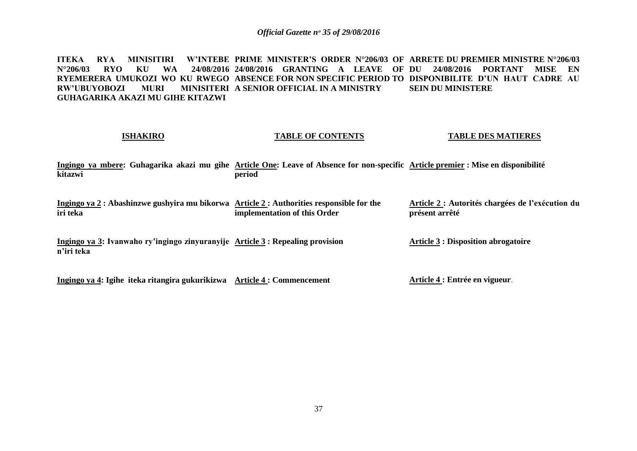**ITEKA RYA MINISITIRI W'INTEBE PRIME MINISTER'S ORDER N°206/03 OF ARRETE DU PREMIER MINISTRE N°206/03 N°206/03 RYO KU WA 24/08/2016 24/08/2016 GRANTING A LEAVE OF DU 24/08/2016 PORTANT MISE EN RYEMERERA UMUKOZI WO KU RWEGO ABSENCE FOR NON SPECIFIC PERIOD TO DISPONIBILITE D'UN HAUT CADRE AU RW'UBUYOBOZI MURI GUHAGARIKA AKAZI MU GIHE KITAZWI MINISITERI A SENIOR OFFICIAL IN A MINISTRY SEIN DU MINISTERE** 

#### **ISHAKIRO**

#### **TABLE OF CONTENTS**

#### **TABLE DES MATIERES**

**Ingingo ya mbere: Guhagarika akazi mu gihe Article One: Leave of Absence for non-specific Article premier : Mise en disponibilité kitazwi period** 

**Ingingo ya 2 : Abashinzwe gushyira mu bikorwa Article 2 : Authorities responsible for the iri teka implementation of this Order Article 2 : Autorités chargées de l'exécution du présent arrêté**

**Ingingo ya 3: Ivanwaho ry'ingingo zinyuranyije Article 3 : Repealing provision n'iri teka**

**Ingingo ya 4: Igihe iteka ritangira gukurikizwa Article 4 : Commencement**

**Article 3 : Disposition abrogatoire**

**Article 4 : Entrée en vigueur**.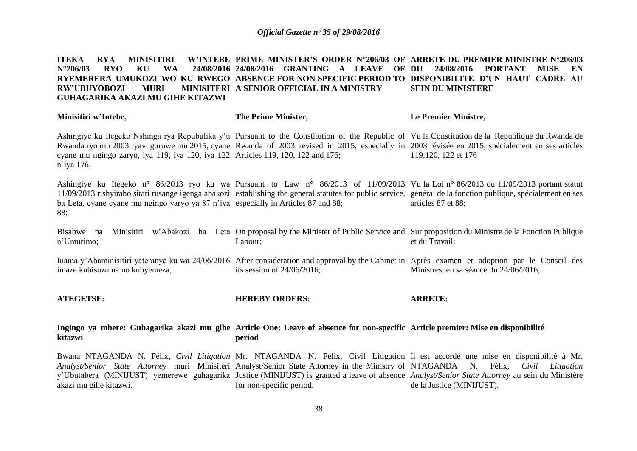#### **ITEKA RYA MINISITIRI N°206/03 RYO KU WA 24/08/2016 24/08/2016 GRANTING A LEAVE OF RYEMERERA UMUKOZI WO KU RWEGO ABSENCE FOR NON SPECIFIC PERIOD TO DISPONIBILITE D'UN HAUT CADRE AU RW'UBUYOBOZI MURI GUHAGARIKA AKAZI MU GIHE KITAZWI PRIME MINISTER'S ORDER N°206/03 OF ARRETE DU PREMIER MINISTRE N°206/03 MINISITERI A SENIOR OFFICIAL IN A MINISTRY DU 24/08/2016 PORTANT MISE EN SEIN DU MINISTERE**

| Minisitiri w'Intebe,                                                                                                                        | The Prime Minister,           | Le Premier Ministre,                                                                                                                                                                                                                                                                                                         |
|---------------------------------------------------------------------------------------------------------------------------------------------|-------------------------------|------------------------------------------------------------------------------------------------------------------------------------------------------------------------------------------------------------------------------------------------------------------------------------------------------------------------------|
| cyane mu ngingo zaryo, iya 119, iya 120, iya 122 Articles 119, 120, 122 and 176;<br>n'iya 176;                                              |                               | Ashingiye ku Itegeko Nshinga rya Repubulika y'u Pursuant to the Constitution of the Republic of Vu la Constitution de la République du Rwanda de<br>Rwanda ryo mu 2003 ryavuguruwe mu 2015, cyane Rwanda of 2003 revised in 2015, especially in 2003 révisée en 2015, spécialement en ses articles<br>119,120, 122 et 176    |
| ba Leta, cyane cyane mu ngingo yaryo ya 87 n'iya especially in Articles 87 and 88;<br>88;                                                   |                               | Ashingiye ku Itegeko n° 86/2013 ryo ku wa Pursuant to Law n° 86/2013 of 11/09/2013 Vu la Loi n° 86/2013 du 11/09/2013 portant statut<br>11/09/2013 rishyiraho sitati rusange igenga abakozi establishing the general statutes for public service, général de la fonction publique, spécialement en ses<br>articles 87 et 88; |
| Bisabwe na<br>n'Umurimo;                                                                                                                    | Labour;                       | Minisitiri w'Abakozi ba Leta On proposal by the Minister of Public Service and Sur proposition du Ministre de la Fonction Publique<br>et du Travail;                                                                                                                                                                         |
| imaze kubisuzuma no kubyemeza;                                                                                                              | its session of $24/06/2016$ ; | Inama y'Abaminisitiri yateranye ku wa 24/06/2016 After consideration and approval by the Cabinet in Après examen et adoption par le Conseil des<br>Ministres, en sa séance du 24/06/2016;                                                                                                                                    |
| <b>ATEGETSE:</b>                                                                                                                            | <b>HEREBY ORDERS:</b>         | <b>ARRETE:</b>                                                                                                                                                                                                                                                                                                               |
| Ingingo ya mbere: Guhagarika akazi mu gihe Article One: Leave of absence for non-specific Article premier: Mise en disponibilité<br>kitazwi | period                        |                                                                                                                                                                                                                                                                                                                              |

Bwana NTAGANDA N. Félix, Civil Litigation Mr. NTAGANDA N. Félix, Civil Litigation Il est accordé une mise en disponibilité à Mr. Analyst/Senior State Attorney muri Minisiteri Analyst/Senior State Attorney in the Ministry of NTAGANDA N. Félix, Civil Litigation y'Ubutabera (MINIJUST) yemerewe guhagarika Justice (MINIJUST) is granted a leave of absence Analyst/Senior State Attorney au sein du Ministère akazi mu gihe kitazwi. for non-specific period. de la Justice (MINIJUST).

38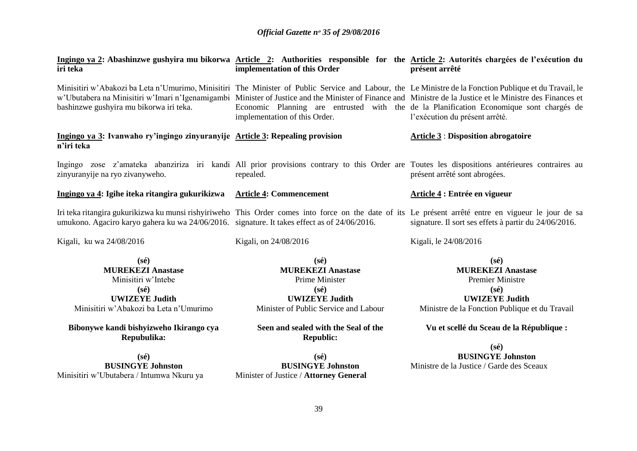| Ingingo ya 2: Abashinzwe gushyira mu bikorwa Article 2: Authorities responsible for the Article 2: Autorités chargées de l'exécution du<br>iri teka                                                | implementation of this Order                                                                                                                     | présent arrêté                                                                                                                                                                                                                                                                          |
|----------------------------------------------------------------------------------------------------------------------------------------------------------------------------------------------------|--------------------------------------------------------------------------------------------------------------------------------------------------|-----------------------------------------------------------------------------------------------------------------------------------------------------------------------------------------------------------------------------------------------------------------------------------------|
| Minisitiri w'Abakozi ba Leta n'Umurimo, Minisitiri The Minister of Public Service and Labour, the Le Ministre de la Fonction Publique et du Travail, le<br>bashinzwe gushyira mu bikorwa iri teka. | implementation of this Order.                                                                                                                    | w'Ubutabera na Minisitiri w'Imari n'Igenamigambi Minister of Justice and the Minister of Finance and Ministre de la Justice et le Ministre des Finances et<br>Economic Planning are entrusted with the de la Planification Economique sont chargés de<br>l'exécution du présent arrêté. |
| Ingingo ya 3: Ivanwaho ry'ingingo zinyuranyije Article 3: Repealing provision<br>n'iri teka                                                                                                        |                                                                                                                                                  | <b>Article 3: Disposition abrogatoire</b>                                                                                                                                                                                                                                               |
| zinyuranyije na ryo zivanyweho.                                                                                                                                                                    | repealed.                                                                                                                                        | Ingingo zose z'amateka abanziriza iri kandi All prior provisions contrary to this Order are Toutes les dispositions antérieures contraires au<br>présent arrêté sont abrogées.                                                                                                          |
| Ingingo ya 4: Igihe iteka ritangira gukurikizwa                                                                                                                                                    | <b>Article 4: Commencement</b>                                                                                                                   | Article 4 : Entrée en vigueur                                                                                                                                                                                                                                                           |
| umukono. Agaciro karyo gahera ku wa 24/06/2016. signature. It takes effect as of 24/06/2016.                                                                                                       |                                                                                                                                                  | Iri teka ritangira gukurikizwa ku munsi rishyiriweho This Order comes into force on the date of its Le présent arrêté entre en vigueur le jour de sa<br>signature. Il sort ses effets à partir du 24/06/2016.                                                                           |
| Kigali, ku wa 24/08/2016                                                                                                                                                                           | Kigali, on 24/08/2016                                                                                                                            | Kigali, le 24/08/2016                                                                                                                                                                                                                                                                   |
| $(s\acute{e})$<br><b>MUREKEZI Anastase</b><br>Minisitiri w'Intebe<br>$(s\acute{e})$<br><b>UWIZEYE Judith</b><br>Minisitiri w'Abakozi ba Leta n'Umurimo                                             | $(s\acute{e})$<br><b>MUREKEZI Anastase</b><br>Prime Minister<br>$(s\acute{e})$<br><b>UWIZEYE Judith</b><br>Minister of Public Service and Labour | $(s\acute{e})$<br><b>MUREKEZI Anastase</b><br><b>Premier Ministre</b><br>$(s\acute{e})$<br><b>UWIZEYE Judith</b><br>Ministre de la Fonction Publique et du Travail                                                                                                                      |
| Bibonywe kandi bishyizweho Ikirango cya<br>Repubulika:                                                                                                                                             | Seen and sealed with the Seal of the<br><b>Republic:</b>                                                                                         | Vu et scellé du Sceau de la République :                                                                                                                                                                                                                                                |
|                                                                                                                                                                                                    |                                                                                                                                                  | $(s\acute{e})$                                                                                                                                                                                                                                                                          |
| $(s\acute{e})$                                                                                                                                                                                     | $(s\acute{e})$                                                                                                                                   | <b>BUSINGYE Johnston</b>                                                                                                                                                                                                                                                                |
| <b>BUSINGYE Johnston</b>                                                                                                                                                                           | <b>BUSINGYE Johnston</b>                                                                                                                         | Ministre de la Justice / Garde des Sceaux                                                                                                                                                                                                                                               |
| Minisitiri w'Ubutabera / Intumwa Nkuru ya                                                                                                                                                          | Minister of Justice / Attorney General                                                                                                           |                                                                                                                                                                                                                                                                                         |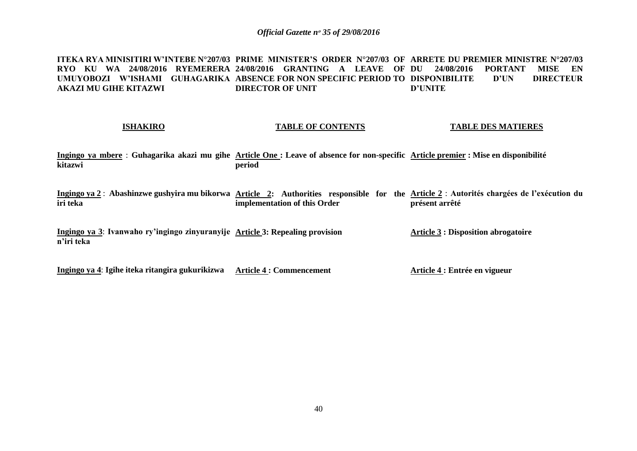**ITEKA RYA MINISITIRI W'INTEBE N°207/03 PRIME MINISTER'S ORDER N°207/03 OF ARRETE DU PREMIER MINISTRE N°207/03 RYO KU WA 24/08/2016 RYEMERERA 24/08/2016 GRANTING A LEAVE OF DU 24/08/2016 PORTANT MISE EN UMUYOBOZI W'ISHAMI GUHAGARIKA ABSENCE FOR NON SPECIFIC PERIOD TO DISPONIBILITE D'UN DIRECTEUR AKAZI MU GIHE KITAZWI DIRECTOR OF UNIT D'UNITE**

#### **ISHAKIRO**

#### **TABLE OF CONTENTS**

**TABLE DES MATIERES**

**Article 4 : Entrée en vigueur**

**Ingingo ya mbere** : **Guhagarika akazi mu gihe Article One : Leave of absence for non-specific Article premier : Mise en disponibilité kitazwi period**

Ingingo ya 2 : Abashinzwe gushyira mu bikorwa Article 2: Authorities responsible for the Article 2 : Autorités chargées de l'exécution du **iri teka implementation of this Order présent arrêté**

**Ingingo ya 3**: **Ivanwaho ry'ingingo zinyuranyije Article 3: Repealing provision n'iri teka Article 3 : Disposition abrogatoire**

**Ingingo ya 4**: **Igihe iteka ritangira gukurikizwa Article 4 : Commencement**

40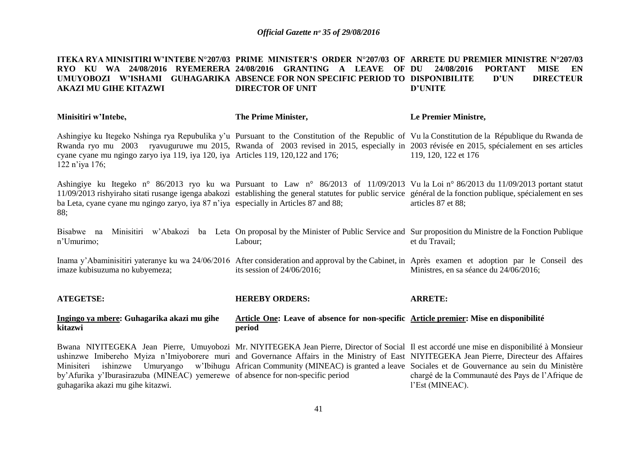#### **ITEKA RYA MINISITIRI W'INTEBE N°207/03 PRIME MINISTER'S ORDER N°207/03 OF ARRETE DU PREMIER MINISTRE N°207/03 RYO KU WA 24/08/2016 RYEMERERA 24/08/2016 GRANTING A LEAVE OF DU 24/08/2016 PORTANT MISE EN UMUYOBOZI W'ISHAMI GUHAGARIKA ABSENCE FOR NON SPECIFIC PERIOD TO DISPONIBILITE D'UN DIRECTEUR AKAZI MU GIHE KITAZWI DIRECTOR OF UNIT D'UNITE**

| Minisitiri w'Intebe,                                                                                                                           | The Prime Minister,                                                                             | Le Premier Ministre,                                                                                                                                                                                                                                                                                                                                                                                                                                                                |
|------------------------------------------------------------------------------------------------------------------------------------------------|-------------------------------------------------------------------------------------------------|-------------------------------------------------------------------------------------------------------------------------------------------------------------------------------------------------------------------------------------------------------------------------------------------------------------------------------------------------------------------------------------------------------------------------------------------------------------------------------------|
| cyane cyane mu ngingo zaryo iya 119, iya 120, iya Articles 119, 120, 122 and 176;<br>122 n'iya 176;                                            |                                                                                                 | Ashingiye ku Itegeko Nshinga rya Repubulika y'u Pursuant to the Constitution of the Republic of Vula Constitution de la République du Rwanda de<br>Rwanda ryo mu 2003 ryavuguruwe mu 2015, Rwanda of 2003 revised in 2015, especially in 2003 révisée en 2015, spécialement en ses articles<br>119, 120, 122 et 176                                                                                                                                                                 |
| ba Leta, cyane cyane mu ngingo zaryo, iya 87 n'iya especially in Articles 87 and 88;<br>88;                                                    |                                                                                                 | Ashingiye ku Itegeko n° 86/2013 ryo ku wa Pursuant to Law n° 86/2013 of 11/09/2013 Vu la Loi n° 86/2013 du 11/09/2013 portant statut<br>11/09/2013 rishyiraho sitati rusange igenga abakozi establishing the general statutes for public service général de la fonction publique, spécialement en ses<br>articles 87 et 88;                                                                                                                                                         |
| Bisabwe na<br>n'Umurimo;                                                                                                                       | Labour;                                                                                         | Minisitiri w'Abakozi ba Leta On proposal by the Minister of Public Service and Sur proposition du Ministre de la Fonction Publique<br>et du Travail;                                                                                                                                                                                                                                                                                                                                |
| imaze kubisuzuma no kubyemeza;                                                                                                                 | its session of $24/06/2016$ ;                                                                   | Inama y'Abaminisitiri yateranye ku wa 24/06/2016 After consideration and approval by the Cabinet, in Après examen et adoption par le Conseil des<br>Ministres, en sa séance du 24/06/2016;                                                                                                                                                                                                                                                                                          |
| <b>ATEGETSE:</b>                                                                                                                               | <b>HEREBY ORDERS:</b>                                                                           | <b>ARRETE:</b>                                                                                                                                                                                                                                                                                                                                                                                                                                                                      |
| Ingingo ya mbere: Guhagarika akazi mu gihe<br>kitazwi                                                                                          | Article One: Leave of absence for non-specific Article premier: Mise en disponibilité<br>period |                                                                                                                                                                                                                                                                                                                                                                                                                                                                                     |
| Minisiteri<br>ishinzwe<br>by Afurika y'Iburasirazuba (MINEAC) yemerewe of absence for non-specific period<br>guhagarika akazi mu gihe kitazwi. |                                                                                                 | Bwana NIYITEGEKA Jean Pierre, Umuyobozi Mr. NIYITEGEKA Jean Pierre, Director of Social Il est accordé une mise en disponibilité à Monsieur<br>ushinzwe Imibereho Myiza n'Imiyoborere muri and Governance Affairs in the Ministry of East NIYITEGEKA Jean Pierre, Directeur des Affaires<br>Umuryango w'Ibihugu African Community (MINEAC) is granted a leave Sociales et de Gouvernance au sein du Ministère<br>chargé de la Communauté des Pays de l'Afrique de<br>l'Est (MINEAC). |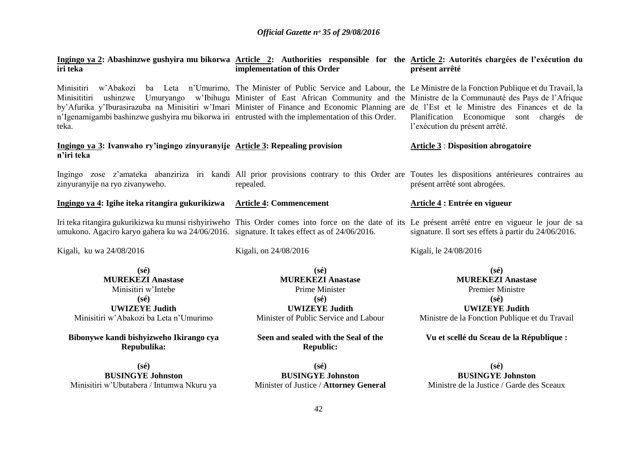| iri teka                                                                                                                                                          | implementation of this Order                             | Ingingo ya 2: Abashinzwe gushyira mu bikorwa Article 2: Authorities responsible for the Article 2: Autorités chargées de l'exécution du<br>présent arrêté                                                                                                                                                                                                                                                                                                               |
|-------------------------------------------------------------------------------------------------------------------------------------------------------------------|----------------------------------------------------------|-------------------------------------------------------------------------------------------------------------------------------------------------------------------------------------------------------------------------------------------------------------------------------------------------------------------------------------------------------------------------------------------------------------------------------------------------------------------------|
| Minisitiri<br>w'Abakozi<br>ushinzwe<br>Minisititiri<br>n'Igenamigambi bashinzwe gushyira mu bikorwa iri entrusted with the implementation of this Order.<br>teka. |                                                          | ba Leta n'Umurimo, The Minister of Public Service and Labour, the Le Ministre de la Fonction Publique et du Travail, la<br>Umuryango w'Ibihugu Minister of East African Community and the Ministre de la Communauté des Pays de l'Afrique<br>by'Afurika y'Iburasirazuba na Minisitiri w'Imari Minister of Finance and Economic Planning are de l'Est et le Ministre des Finances et de la<br>Planification Economique sont chargés de<br>l'exécution du présent arrêté. |
| Ingingo ya 3: Ivanwaho ry'ingingo zinyuranyije Article 3: Repealing provision<br>n'iri teka                                                                       |                                                          | <b>Article 3 : Disposition abrogatoire</b>                                                                                                                                                                                                                                                                                                                                                                                                                              |
| zinyuranyije na ryo zivanyweho.                                                                                                                                   | repealed.                                                | Ingingo zose z'amateka abanziriza iri kandi All prior provisions contrary to this Order are Toutes les dispositions antérieures contraires au<br>présent arrêté sont abrogées.                                                                                                                                                                                                                                                                                          |
| Ingingo ya 4: Igihe iteka ritangira gukurikizwa                                                                                                                   | <b>Article 4: Commencement</b>                           | Article 4 : Entrée en vigueur                                                                                                                                                                                                                                                                                                                                                                                                                                           |
| umukono. Agaciro karyo gahera ku wa 24/06/2016. signature. It takes effect as of 24/06/2016.                                                                      |                                                          | Iri teka ritangira gukurikizwa ku munsi rishyiriweho This Order comes into force on the date of its Le présent arrêté entre en vigueur le jour de sa<br>signature. Il sort ses effets à partir du 24/06/2016.                                                                                                                                                                                                                                                           |
| Kigali, ku wa 24/08/2016                                                                                                                                          | Kigali, on 24/08/2016                                    | Kigali, le 24/08/2016                                                                                                                                                                                                                                                                                                                                                                                                                                                   |
| $(s\acute{e})$                                                                                                                                                    | $(s\acute{e})$                                           | $(s\acute{e})$                                                                                                                                                                                                                                                                                                                                                                                                                                                          |
| <b>MUREKEZI Anastase</b>                                                                                                                                          | <b>MUREKEZI Anastase</b>                                 | <b>MUREKEZI Anastase</b>                                                                                                                                                                                                                                                                                                                                                                                                                                                |
| Minisitiri w'Intebe                                                                                                                                               | Prime Minister                                           | <b>Premier Ministre</b>                                                                                                                                                                                                                                                                                                                                                                                                                                                 |
| $(s\acute{e})$                                                                                                                                                    | $(s\acute{e})$                                           | $(s\acute{e})$                                                                                                                                                                                                                                                                                                                                                                                                                                                          |
| <b>UWIZEYE Judith</b>                                                                                                                                             | <b>UWIZEYE Judith</b>                                    | <b>UWIZEYE Judith</b>                                                                                                                                                                                                                                                                                                                                                                                                                                                   |
| Minisitiri w'Abakozi ba Leta n'Umurimo                                                                                                                            | Minister of Public Service and Labour                    | Ministre de la Fonction Publique et du Travail                                                                                                                                                                                                                                                                                                                                                                                                                          |
| Bibonywe kandi bishyizweho Ikirango cya<br>Repubulika:                                                                                                            | Seen and sealed with the Seal of the<br><b>Republic:</b> | Vu et scellé du Sceau de la République :                                                                                                                                                                                                                                                                                                                                                                                                                                |
| $(s\acute{e})$                                                                                                                                                    | $(s\acute{e})$                                           | $(s\acute{e})$                                                                                                                                                                                                                                                                                                                                                                                                                                                          |
| <b>BUSINGYE Johnston</b>                                                                                                                                          | <b>BUSINGYE Johnston</b>                                 | <b>BUSINGYE Johnston</b>                                                                                                                                                                                                                                                                                                                                                                                                                                                |

Minister of Justice / **Attorney General**

Ministre de la Justice / Garde des Sceaux

Minisitiri w'Ubutabera / Intumwa Nkuru ya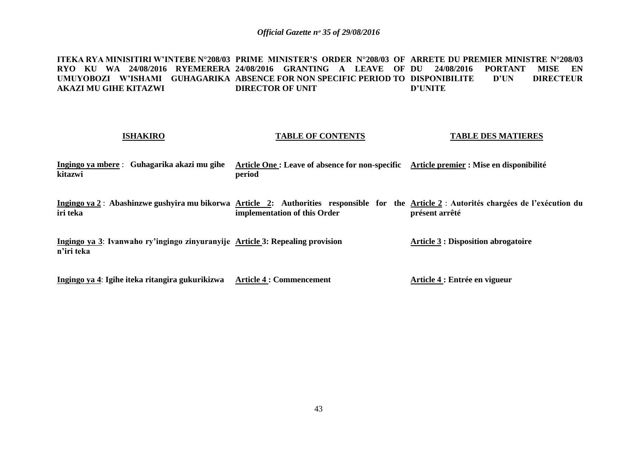**ITEKA RYA MINISITIRI W'INTEBE N°208/03 PRIME MINISTER'S ORDER N°208/03 OF ARRETE DU PREMIER MINISTRE N°208/03 RYO KU WA 24/08/2016 RYEMERERA 24/08/2016 GRANTING A LEAVE OF DU 24/08/2016 PORTANT MISE EN UMUYOBOZI W'ISHAMI GUHAGARIKA ABSENCE FOR NON SPECIFIC PERIOD TO DISPONIBILITE D'UN DIRECTEUR AKAZI MU GIHE KITAZWI DIRECTOR OF UNIT D'UNITE**

## **ISHAKIRO Ingingo ya mbere** : **Guhagarika akazi mu gihe Article One : Leave of absence for non-specific Article premier : Mise en disponibilité kitazwi**  Ingingo ya 2 : Abashinzwe gushyira mu bikorwa Article 2: Authorities responsible for the <u>Article 2</u> : Autorités chargées de l'exécution du **iri teka Ingingo ya 3**: **Ivanwaho ry'ingingo zinyuranyije Article 3: Repealing provision n'iri teka TABLE OF CONTENTS period implementation of this Order TABLE DES MATIERES présent arrêté Article 3 : Disposition abrogatoire**

**Ingingo ya 4**: **Igihe iteka ritangira gukurikizwa Article 4 : Commencement**

**Article 4 : Entrée en vigueur**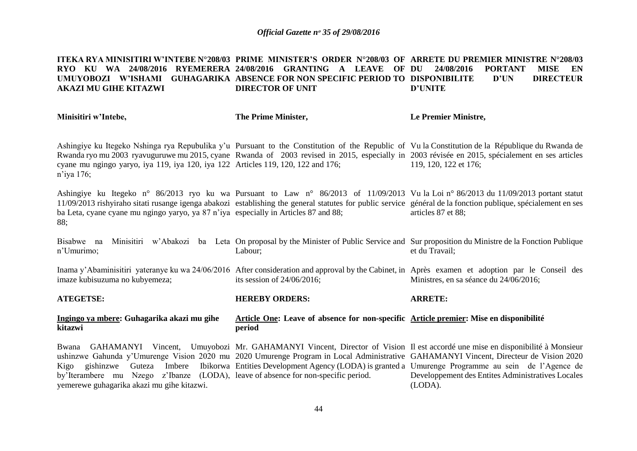#### **ITEKA RYA MINISITIRI W'INTEBE N°208/03 PRIME MINISTER'S ORDER N°208/03 OF ARRETE DU PREMIER MINISTRE N°208/03 RYO KU WA 24/08/2016 RYEMERERA 24/08/2016 GRANTING A LEAVE OF UMUYOBOZI W'ISHAMI GUHAGARIKA ABSENCE FOR NON SPECIFIC PERIOD TO DISPONIBILITE D'UN DIRECTEUR AKAZI MU GIHE KITAZWI DIRECTOR OF UNIT DU 24/08/2016 PORTANT MISE EN D'UNITE**

**Minisitiri w'Intebe,**

**The Prime Minister,**

**Le Premier Ministre,**

Ashingiye ku Itegeko Nshinga rya Repubulika y'u Pursuant to the Constitution of the Republic of Vu la Constitution de la République du Rwanda de Rwanda ryo mu 2003 ryavuguruwe mu 2015, cyane Rwanda of 2003 revised in 2015, especially in 2003 révisée en 2015, spécialement en ses articles cyane mu ngingo yaryo, iya 119, iya 120, iya 122 Articles 119, 120, 122 and 176; n'iya 176; 119, 120, 122 et 176;

Ashingiye ku Itegeko n° 86/2013 ryo ku wa Pursuant to Law n° 86/2013 of 11/09/2013 Vu la Loi n° 86/2013 du 11/09/2013 portant statut 11/09/2013 rishyiraho sitati rusange igenga abakozi establishing the general statutes for public service général de la fonction publique, spécialement en ses ba Leta, cyane cyane mu ngingo yaryo, ya 87 n'iya especially in Articles 87 and 88; 88; articles 87 et 88;

Bisabwe na Minisitiri w'Abakozi ba Leta On proposal by the Minister of Public Service and Sur proposition du Ministre de la Fonction Publique n'Umurimo; Labour; et du Travail;

Inama y'Abaminisitiri yateranye ku wa 24/06/2016 After consideration and approval by the Cabinet, in Après examen et adoption par le Conseil des imaze kubisuzuma no kubyemeza; its session of 24/06/2016; Ministres, en sa séance du 24/06/2016;

**ATEGETSE: HEREBY ORDERS: ARRETE:**

**Ingingo ya mbere: Guhagarika akazi mu gihe kitazwi Article One: Leave of absence for non-specific Article premier: Mise en disponibilité period**

Bwana GAHAMANYI Vincent, Umuyobozi Mr. GAHAMANYI Vincent, Director of Vision Il est accordé une mise en disponibilité à Monsieur ushinzwe Gahunda y'Umurenge Vision 2020 mu 2020 Umurenge Program in Local Administrative GAHAMANYI Vincent, Directeur de Vision 2020 Kigo gishinzwe Guteza Imbere Ibikorwa Entities Development Agency (LODA) is granted a Umurenge Programme au sein de l'Agence de by'Iterambere mu Nzego z'Ibanze (LODA), leave of absence for non-specific period. yemerewe guhagarika akazi mu gihe kitazwi. Developpement des Entites Administratives Locales (LODA).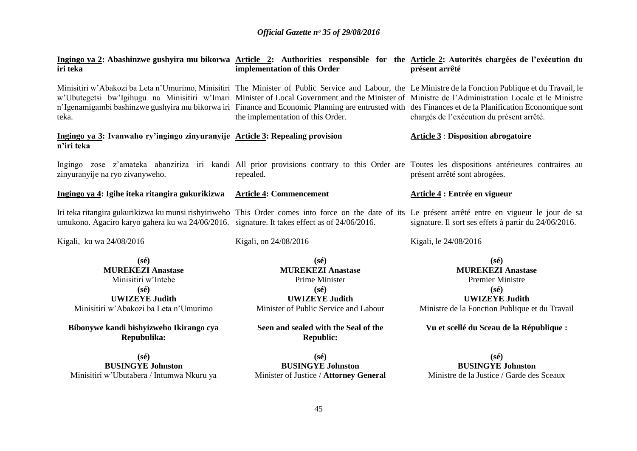| iri teka                                                                                                                                               | implementation of this Order                                                                                                                     | Ingingo ya 2: Abashinzwe gushyira mu bikorwa Article 2: Authorities responsible for the Article 2: Autorités chargées de l'exécution du<br>présent arrêté                                                                                                                                                                                                                                                                                                                                                          |
|--------------------------------------------------------------------------------------------------------------------------------------------------------|--------------------------------------------------------------------------------------------------------------------------------------------------|--------------------------------------------------------------------------------------------------------------------------------------------------------------------------------------------------------------------------------------------------------------------------------------------------------------------------------------------------------------------------------------------------------------------------------------------------------------------------------------------------------------------|
| teka.                                                                                                                                                  | the implementation of this Order.                                                                                                                | Minisitiri w'Abakozi ba Leta n'Umurimo, Minisitiri The Minister of Public Service and Labour, the Le Ministre de la Fonction Publique et du Travail, le<br>w'Ubutegetsi bw'Igihugu na Minisitiri w'Imari Minister of Local Government and the Minister of Ministre de l'Administration Locale et le Ministre<br>n'Igenamigambi bashinzwe gushyira mu bikorwa iri Finance and Economic Planning are entrusted with des Finances et de la Planification Economique sont<br>chargés de l'exécution du présent arrêté. |
| Ingingo ya 3: Ivanwaho ry'ingingo zinyuranyije Article 3: Repealing provision<br>n'iri teka                                                            |                                                                                                                                                  | <b>Article 3: Disposition abrogatoire</b>                                                                                                                                                                                                                                                                                                                                                                                                                                                                          |
| zinyuranyije na ryo zivanyweho.                                                                                                                        | repealed.                                                                                                                                        | Ingingo zose z'amateka abanziriza iri kandi All prior provisions contrary to this Order are Toutes les dispositions antérieures contraires au<br>présent arrêté sont abrogées.                                                                                                                                                                                                                                                                                                                                     |
| Ingingo ya 4: Igihe iteka ritangira gukurikizwa Article 4: Commencement                                                                                |                                                                                                                                                  | Article 4 : Entrée en vigueur                                                                                                                                                                                                                                                                                                                                                                                                                                                                                      |
| umukono. Agaciro karyo gahera ku wa 24/06/2016. signature. It takes effect as of 24/06/2016.                                                           |                                                                                                                                                  | Iri teka ritangira gukurikizwa ku munsi rishyiriweho This Order comes into force on the date of its Le présent arrêté entre en vigueur le jour de sa<br>signature. Il sort ses effets à partir du 24/06/2016.                                                                                                                                                                                                                                                                                                      |
| Kigali, ku wa 24/08/2016                                                                                                                               | Kigali, on 24/08/2016                                                                                                                            | Kigali, le 24/08/2016                                                                                                                                                                                                                                                                                                                                                                                                                                                                                              |
| $(s\acute{e})$<br><b>MUREKEZI Anastase</b><br>Minisitiri w'Intebe<br>$(s\acute{e})$<br><b>UWIZEYE Judith</b><br>Minisitiri w'Abakozi ba Leta n'Umurimo | $(s\acute{e})$<br><b>MUREKEZI Anastase</b><br>Prime Minister<br>$(s\acute{e})$<br><b>UWIZEYE Judith</b><br>Minister of Public Service and Labour | $(s\acute{e})$<br><b>MUREKEZI Anastase</b><br><b>Premier Ministre</b><br>$(s\acute{e})$<br><b>UWIZEYE Judith</b><br>Ministre de la Fonction Publique et du Travail                                                                                                                                                                                                                                                                                                                                                 |
| Bibonywe kandi bishyizweho Ikirango cya<br>Repubulika:                                                                                                 | Seen and sealed with the Seal of the<br><b>Republic:</b>                                                                                         | Vu et scellé du Sceau de la République :                                                                                                                                                                                                                                                                                                                                                                                                                                                                           |
| $(s\acute{e})$<br><b>BUSINGYE Johnston</b><br>Minisitiri w'Ubutabera / Intumwa Nkuru ya                                                                | $(s\acute{e})$<br><b>BUSINGYE Johnston</b><br>Minister of Justice / Attorney General                                                             | $(s\acute{e})$<br><b>BUSINGYE Johnston</b><br>Ministre de la Justice / Garde des Sceaux                                                                                                                                                                                                                                                                                                                                                                                                                            |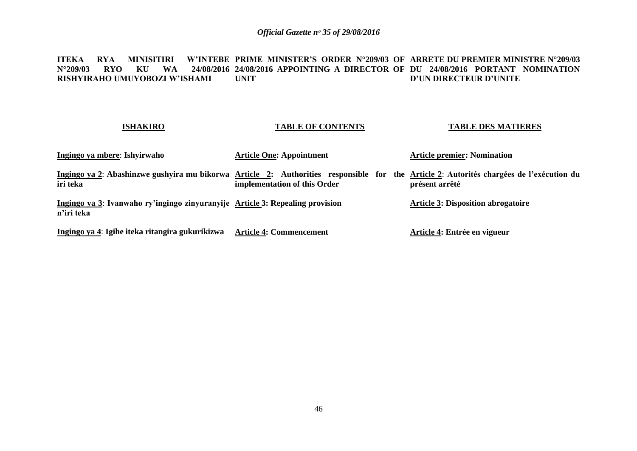#### **ITEKA RYA MINISITIRI N°209/03 RYO KU WA 24/08/2016 24/08/2016 APPOINTING A DIRECTOR OF DU 24/08/2016 PORTANT NOMINATION RISHYIRAHO UMUYOBOZI W'ISHAMI PRIME MINISTER'S ORDER N°209/03 OF ARRETE DU PREMIER MINISTRE N°209/03 UNIT D'UN DIRECTEUR D'UNITE**

#### **ISHAKIRO Ingingo ya mbere**: **Ishyirwaho**  Ingingo ya 2: Abashinzwe gushyira mu bikorwa Article 2: Authorities responsible for the <u>Article 2</u>: Autorités chargées de l'exécution du **iri teka Ingingo ya 3**: **Ivanwaho ry'ingingo zinyuranyije Article 3: Repealing provision n'iri teka Ingingo ya 4**: **Igihe iteka ritangira gukurikizwa Article 4: Commencement TABLE OF CONTENTS Article One: Appointment implementation of this Order TABLE DES MATIERES Article premier: Nomination présent arrêté Article 3: Disposition abrogatoire Article 4: Entrée en vigueur**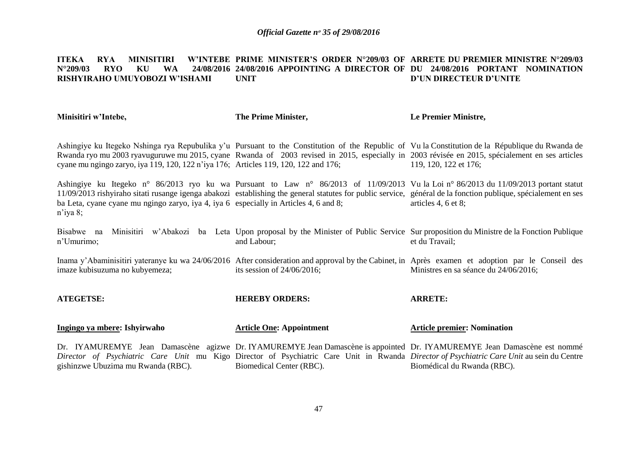#### **ITEKA RYA MINISITIRI<br>N°209/03 RYO KU WA N°209/03 RYO KU WA 24/08/2016 24/08/2016 APPOINTING A DIRECTOR OF DU 24/08/2016 PORTANT NOMINATION RISHYIRAHO UMUYOBOZI W'ISHAMI PRIME MINISTER'S ORDER N°209/03 OF ARRETE DU PREMIER MINISTRE N°209/03 UNIT D'UN DIRECTEUR D'UNITE**

| Minisitiri w'Intebe,                                                                              | The Prime Minister,             | Le Premier Ministre,                                                                                                                                                                                                                                                                                                          |
|---------------------------------------------------------------------------------------------------|---------------------------------|-------------------------------------------------------------------------------------------------------------------------------------------------------------------------------------------------------------------------------------------------------------------------------------------------------------------------------|
| cyane mu ngingo zaryo, iya 119, 120, 122 n'iya 176; Articles 119, 120, 122 and 176;               |                                 | Ashingiye ku Itegeko Nshinga rya Repubulika y'u Pursuant to the Constitution of the Republic of Vu la Constitution de la République du Rwanda de<br>Rwanda ryo mu 2003 ryavuguruwe mu 2015, cyane Rwanda of 2003 revised in 2015, especially in 2003 révisée en 2015, spécialement en ses articles<br>119, 120, 122 et 176;   |
| ba Leta, cyane cyane mu ngingo zaryo, iya 4, iya 6 especially in Articles 4, 6 and 8;<br>n'iya 8; |                                 | Ashingiye ku Itegeko n° 86/2013 ryo ku wa Pursuant to Law n° 86/2013 of 11/09/2013 Vu la Loi n° 86/2013 du 11/09/2013 portant statut<br>11/09/2013 rishyiraho sitati rusange igenga abakozi establishing the general statutes for public service, général de la fonction publique, spécialement en ses<br>articles 4, 6 et 8; |
| Bisabwe na<br>n'Umurimo;                                                                          | and Labour;                     | Minisitiri w'Abakozi ba Leta Upon proposal by the Minister of Public Service Sur proposition du Ministre de la Fonction Publique<br>et du Travail;                                                                                                                                                                            |
| imaze kubisuzuma no kubyemeza;                                                                    | its session of $24/06/2016$ ;   | Inama y'Abaminisitiri yateranye ku wa 24/06/2016 After consideration and approval by the Cabinet, in Après examen et adoption par le Conseil des<br>Ministres en sa séance du 24/06/2016;                                                                                                                                     |
| <b>ATEGETSE:</b>                                                                                  | <b>HEREBY ORDERS:</b>           | <b>ARRETE:</b>                                                                                                                                                                                                                                                                                                                |
| Ingingo ya mbere: Ishyirwaho                                                                      | <b>Article One: Appointment</b> | <b>Article premier: Nomination</b>                                                                                                                                                                                                                                                                                            |
| gishinzwe Ubuzima mu Rwanda (RBC).                                                                | Biomedical Center (RBC).        | Dr. IYAMUREMYE Jean Damascène agizwe Dr. IYAMUREMYE Jean Damascène is appointed Dr. IYAMUREMYE Jean Damascène est nommé<br>Director of Psychiatric Care Unit mu Kigo Director of Psychiatric Care Unit in Rwanda Director of Psychiatric Care Unit au sein du Centre<br>Biomédical du Rwanda (RBC).                           |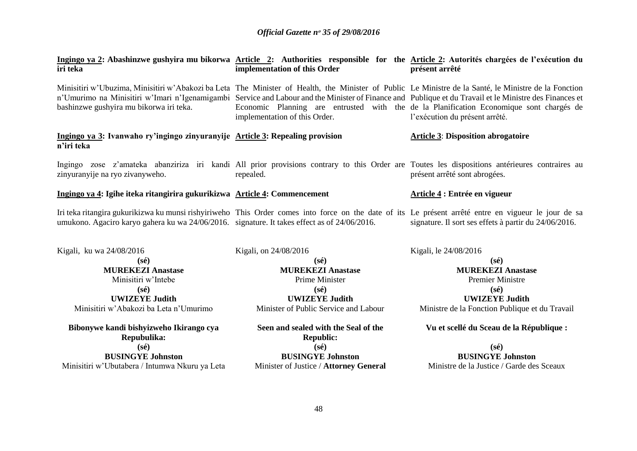| iri teka                                                                                     | implementation of this Order                             | Ingingo ya 2: Abashinzwe gushyira mu bikorwa Article 2: Authorities responsible for the Article 2: Autorités chargées de l'exécution du<br>présent arrêté                                                                                                                                                                                                                                                                                     |
|----------------------------------------------------------------------------------------------|----------------------------------------------------------|-----------------------------------------------------------------------------------------------------------------------------------------------------------------------------------------------------------------------------------------------------------------------------------------------------------------------------------------------------------------------------------------------------------------------------------------------|
| bashinzwe gushyira mu bikorwa iri teka.                                                      | implementation of this Order.                            | Minisitiri w'Ubuzima, Minisitiri w'Abakozi ba Leta The Minister of Health, the Minister of Public Le Ministre de la Santé, le Ministre de la Fonction<br>n'Umurimo na Minisitiri w'Imari n'Igenamigambi Service and Labour and the Minister of Finance and Publique et du Travail et le Ministre des Finances et<br>Economic Planning are entrusted with the de la Planification Economique sont chargés de<br>l'exécution du présent arrêté. |
| Ingingo ya 3: Ivanwaho ry'ingingo zinyuranyije Article 3: Repealing provision<br>n'iri teka  |                                                          | <b>Article 3: Disposition abrogatoire</b>                                                                                                                                                                                                                                                                                                                                                                                                     |
| zinyuranyije na ryo zivanyweho.                                                              | repealed.                                                | Ingingo zose z'amateka abanziriza iri kandi All prior provisions contrary to this Order are Toutes les dispositions antérieures contraires au<br>présent arrêté sont abrogées.                                                                                                                                                                                                                                                                |
| Ingingo ya 4: Igihe iteka ritangirira gukurikizwa Article 4: Commencement                    |                                                          | Article 4 : Entrée en vigueur                                                                                                                                                                                                                                                                                                                                                                                                                 |
| umukono. Agaciro karyo gahera ku wa 24/06/2016. signature. It takes effect as of 24/06/2016. |                                                          | Iri teka ritangira gukurikizwa ku munsi rishyiriweho This Order comes into force on the date of its Le présent arrêté entre en vigueur le jour de sa<br>signature. Il sort ses effets à partir du 24/06/2016.                                                                                                                                                                                                                                 |
| Kigali, ku wa 24/08/2016                                                                     | Kigali, on 24/08/2016                                    | Kigali, le 24/08/2016                                                                                                                                                                                                                                                                                                                                                                                                                         |
| $(s\acute{e})$<br><b>MUREKEZI Anastase</b>                                                   | $(s\acute{e})$<br><b>MUREKEZI Anastase</b>               | $(s\acute{e})$<br><b>MUREKEZI Anastase</b>                                                                                                                                                                                                                                                                                                                                                                                                    |
| Minisitiri w'Intebe                                                                          | Prime Minister                                           | <b>Premier Ministre</b>                                                                                                                                                                                                                                                                                                                                                                                                                       |
| $(s\acute{e})$                                                                               | $(s\acute{e})$                                           | $(s\acute{e})$                                                                                                                                                                                                                                                                                                                                                                                                                                |
| <b>UWIZEYE Judith</b>                                                                        | <b>UWIZEYE Judith</b>                                    | <b>UWIZEYE Judith</b>                                                                                                                                                                                                                                                                                                                                                                                                                         |
| Minisitiri w'Abakozi ba Leta n'Umurimo                                                       | Minister of Public Service and Labour                    | Ministre de la Fonction Publique et du Travail                                                                                                                                                                                                                                                                                                                                                                                                |
| Bibonywe kandi bishyizweho Ikirango cya<br>Repubulika:                                       | Seen and sealed with the Seal of the<br><b>Republic:</b> | Vu et scellé du Sceau de la République :                                                                                                                                                                                                                                                                                                                                                                                                      |
| $(s\acute{e})$                                                                               | $(s\acute{e})$                                           | $(s\acute{e})$                                                                                                                                                                                                                                                                                                                                                                                                                                |
| <b>BUSINGYE Johnston</b>                                                                     | <b>BUSINGYE Johnston</b>                                 | <b>BUSINGYE Johnston</b>                                                                                                                                                                                                                                                                                                                                                                                                                      |
| Minisitiri w'Ubutabera / Intumwa Nkuru ya Leta                                               | Minister of Justice / Attorney General                   | Ministre de la Justice / Garde des Sceaux                                                                                                                                                                                                                                                                                                                                                                                                     |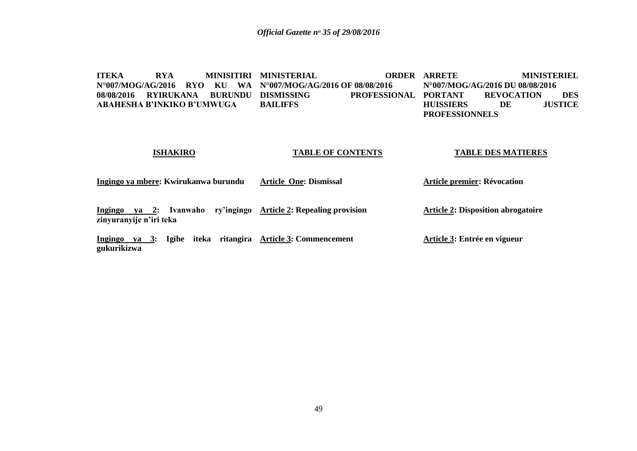**ITEKA RYA MINISITIRI MINISTERIAL ORDER N°007/MOG/AG/2016 RYO KU WA N°007/MOG/AG/2016 OF 08/08/2016 08/08/2016 RYIRUKANA BURUNDU ABAHESHA B'INKIKO B'UMWUGA ISHAKIRO Ingingo ya mbere: Kwirukanwa burundu Ingingo ya 2: Ivanwaho ry'ingingo Article 2: Repealing provision zinyuranyije n'iri teka** PROFESSIONAL PORTANT **BAILIFFS TABLE OF CONTENTS Article One: Dismissal ORDER ARRETE MINISTERIEL N°007/MOG/AG/2016 DU 08/08/2016 PORTANT REVOCATION DES HUISSIERS DE JUSTICE PROFESSIONNELS TABLE DES MATIERES Article premier: Révocation Article 2: Disposition abrogatoire Article 3: Entrée en vigueur**

**Ingingo ya 3: Igihe iteka ritangira Article 3: Commencement gukurikizwa**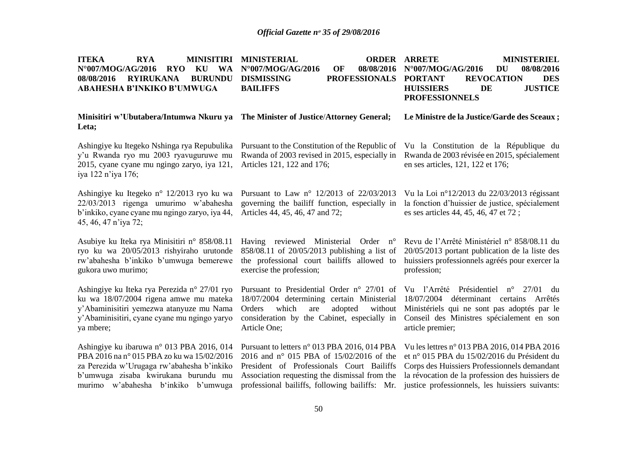| <b>ITEKA</b><br><b>RYA</b><br><b>MINISITIRI</b><br>N°007/MOG/AG/2016<br><b>RYO</b><br><b>WA</b><br>KU<br><b>BURUNDU</b><br>08/08/2016<br><b>RYIRUKANA</b><br><b>ABAHESHA B'INKIKO B'UMWUGA</b>                       | <b>MINISTERIAL</b><br><b>ORDER</b><br>N°007/MOG/AG/2016<br><b>OF</b><br>08/08/2016<br><b>DISMISSING</b><br><b>PROFESSIONALS</b><br><b>BAILIFFS</b>                                                                                       | <b>ARRETE</b><br><b>MINISTERIEL</b><br>$N^{\circ}007/MOG/AG/2016$<br><b>DU</b><br>08/08/2016<br><b>DES</b><br><b>PORTANT</b><br><b>REVOCATION</b><br><b>JUSTICE</b><br><b>HUISSIERS</b><br>DE<br><b>PROFESSIONNELS</b>                            |
|----------------------------------------------------------------------------------------------------------------------------------------------------------------------------------------------------------------------|------------------------------------------------------------------------------------------------------------------------------------------------------------------------------------------------------------------------------------------|---------------------------------------------------------------------------------------------------------------------------------------------------------------------------------------------------------------------------------------------------|
| Minisitiri w'Ubutabera/Intumwa Nkuru ya<br>Leta;                                                                                                                                                                     | The Minister of Justice/Attorney General;                                                                                                                                                                                                | Le Ministre de la Justice/Garde des Sceaux;                                                                                                                                                                                                       |
| Ashingiye ku Itegeko Nshinga rya Repubulika<br>y'u Rwanda ryo mu 2003 ryavuguruwe mu<br>2015, cyane cyane mu ngingo zaryo, iya 121,<br>iya 122 n'iya 176;                                                            | Pursuant to the Constitution of the Republic of<br>Rwanda of 2003 revised in 2015, especially in<br>Articles 121, 122 and 176;                                                                                                           | Vu la Constitution de la République du<br>Rwanda de 2003 révisée en 2015, spécialement<br>en ses articles, 121, 122 et 176;                                                                                                                       |
| Ashingiye ku Itegeko n° 12/2013 ryo ku wa<br>22/03/2013 rigenga umurimo w'abahesha<br>b'inkiko, cyane cyane mu ngingo zaryo, iya 44,<br>45, 46, 47 n'iya 72;                                                         | Pursuant to Law n° 12/2013 of 22/03/2013<br>governing the bailiff function, especially in<br>Articles 44, 45, 46, 47 and 72;                                                                                                             | Vu la Loi nº12/2013 du 22/03/2013 régissant<br>la fonction d'huissier de justice, spécialement<br>es ses articles 44, 45, 46, 47 et 72;                                                                                                           |
| Asubiye ku Iteka rya Minisitiri n° 858/08.11<br>ryo ku wa 20/05/2013 rishyiraho urutonde<br>rw'abahesha b'inkiko b'umwuga bemerewe<br>gukora uwo murimo;                                                             | Having reviewed Ministerial<br>Order $n^{\circ}$<br>858/08.11 of 20/05/2013 publishing a list of<br>the professional court bailiffs allowed to<br>exercise the profession;                                                               | Revu de l'Arrêté Ministériel n° 858/08.11 du<br>20/05/2013 portant publication de la liste des<br>huissiers professionnels agréés pour exercer la<br>profession;                                                                                  |
| Ashingiye ku Iteka rya Perezida n° 27/01 ryo<br>ku wa 18/07/2004 rigena amwe mu mateka<br>y'Abaminisitiri yemezwa atanyuze mu Nama<br>y'Abaminisitiri, cyane cyane mu ngingo yaryo<br>ya mbere;                      | Pursuant to Presidential Order n° 27/01 of<br>18/07/2004 determining certain Ministerial<br>which<br>Orders<br>are<br>adopted<br>without<br>consideration by the Cabinet, especially in<br>Article One;                                  | Vu l'Arrêté Présidentiel<br>$n^{\circ}$<br>27/01<br>du<br>18/07/2004 déterminant certains<br>Arrêtés<br>Ministériels qui ne sont pas adoptés par le<br>Conseil des Ministres spécialement en son<br>article premier;                              |
| Ashingiye ku ibaruwa n° 013 PBA 2016, 014<br>PBA 2016 na nº 015 PBA zo ku wa 15/02/2016<br>za Perezida w'Urugaga rw'abahesha b'inkiko<br>b'umwuga zisaba kwirukana burundu mu<br>murimo w'abahesha b'inkiko b'umwuga | Pursuant to letters n° 013 PBA 2016, 014 PBA<br>2016 and n° 015 PBA of 15/02/2016 of the<br>President of Professionals Court Bailiffs<br>Association requesting the dismissal from the<br>professional bailiffs, following bailiffs: Mr. | Vu les lettres n° 013 PBA 2016, 014 PBA 2016<br>et nº 015 PBA du 15/02/2016 du Président du<br>Corps des Huissiers Professionnels demandant<br>la révocation de la profession des huissiers de<br>justice professionnels, les huissiers suivants: |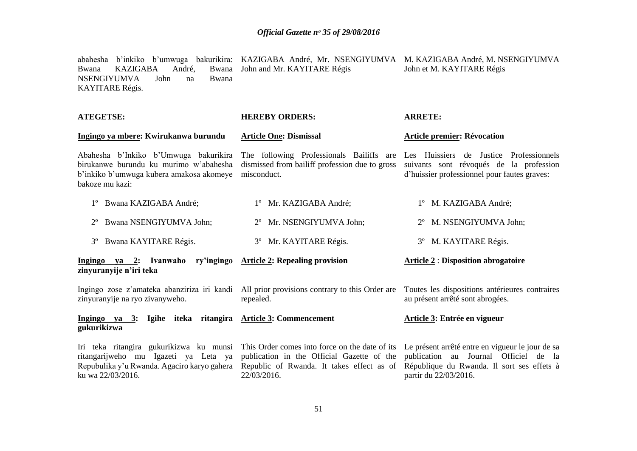|                 |                     |       |                                                         | abahesha b'inkiko b'umwuga bakurikira: KAZIGABA André, Mr. NSENGIYUMVA M. KAZIGABA André, M. NSENGIYUMVA |
|-----------------|---------------------|-------|---------------------------------------------------------|----------------------------------------------------------------------------------------------------------|
|                 |                     |       | Bwana KAZIGABA André, Bwana John and Mr. KAYITARE Régis | John et M. KAYITARE Régis                                                                                |
| KAYITARE Régis. | NSENGIYUMVA John na | Bwana |                                                         |                                                                                                          |
|                 |                     |       |                                                         |                                                                                                          |

| <b>ATEGETSE:</b>                                                                                                                                    | <b>HEREBY ORDERS:</b>                                                                                                                                    | <b>ARRETE:</b>                                                                                                                                                   |  |
|-----------------------------------------------------------------------------------------------------------------------------------------------------|----------------------------------------------------------------------------------------------------------------------------------------------------------|------------------------------------------------------------------------------------------------------------------------------------------------------------------|--|
| Ingingo ya mbere: Kwirukanwa burundu                                                                                                                | <b>Article One: Dismissal</b>                                                                                                                            | <b>Article premier: Révocation</b>                                                                                                                               |  |
| Abahesha b'Inkiko b'Umwuga bakurikira<br>birukanwe burundu ku murimo w'abahesha<br>b'inkiko b'umwuga kubera amakosa akomeye<br>bakoze mu kazi:      | The following Professionals Bailiffs are<br>dismissed from bailiff profession due to gross<br>misconduct.                                                | Les Huissiers de Justice Professionnels<br>suivants sont révoqués de la profession<br>d'huissier professionnel pour fautes graves:                               |  |
| 1° Bwana KAZIGABA André;                                                                                                                            | 1° Mr. KAZIGABA André;                                                                                                                                   | 1° M. KAZIGABA André;                                                                                                                                            |  |
| Bwana NSENGIYUMVA John;                                                                                                                             | 2° Mr. NSENGIYUMVA John;                                                                                                                                 | 2° M. NSENGIYUMVA John;                                                                                                                                          |  |
| Bwana KAYITARE Régis.<br>$3^{\circ}$                                                                                                                | 3° Mr. KAYITARE Régis.                                                                                                                                   | 3° M. KAYITARE Régis.                                                                                                                                            |  |
| Ingingo ya 2: Ivanwaho ry'ingingo Article 2: Repealing provision<br>zinyuranyije n'iri teka                                                         |                                                                                                                                                          | <b>Article 2: Disposition abrogatoire</b>                                                                                                                        |  |
| zinyuranyije na ryo zivanyweho.                                                                                                                     | Ingingo zose z'amateka abanziriza iri kandi All prior provisions contrary to this Order are<br>repealed.                                                 | Toutes les dispositions antérieures contraires<br>au présent arrêté sont abrogées.                                                                               |  |
| Ingingo ya 3: Igihe iteka ritangira Article 3: Commencement<br>gukurikizwa                                                                          |                                                                                                                                                          | Article 3: Entrée en vigueur                                                                                                                                     |  |
| Iri teka ritangira gukurikizwa ku munsi<br>ritangarijweho mu Igazeti ya Leta ya<br>Repubulika y'u Rwanda. Agaciro karyo gahera<br>ku wa 22/03/2016. | This Order comes into force on the date of its<br>publication in the Official Gazette of the<br>Republic of Rwanda. It takes effect as of<br>22/03/2016. | Le présent arrêté entre en vigueur le jour de sa<br>publication au Journal Officiel de la<br>République du Rwanda. Il sort ses effets à<br>partir du 22/03/2016. |  |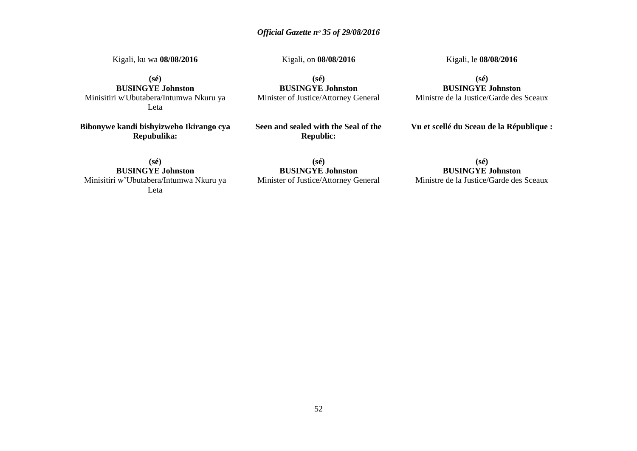Kigali, ku wa **08/08/2016**

Kigali, on **08/08/2016**

**(sé)**

Kigali, le **08/08/2016** 

**(sé) BUSINGYE Johnston** Minisitiri w'Ubutabera/Intumwa Nkuru ya Leta

**Bibonywe kandi bishyizweho Ikirango cya Repubulika:**

**BUSINGYE Johnston** Minister of Justice/Attorney General

**Seen and sealed with the Seal of the Republic:**

**(sé) BUSINGYE Johnston** Ministre de la Justice/Garde des Sceaux

**Vu et scellé du Sceau de la République :**

**(sé) BUSINGYE Johnston** Minisitiri w'Ubutabera/Intumwa Nkuru ya Leta

**(sé) BUSINGYE Johnston** Minister of Justice/Attorney General

**(sé) BUSINGYE Johnston**

Ministre de la Justice/Garde des Sceaux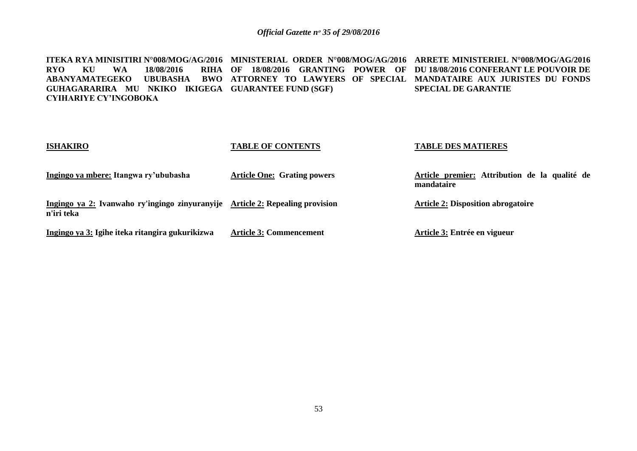**ITEKA RYA MINISITIRI N°008/MOG/AG/2016 MINISTERIAL ORDER N°008/MOG/AG/2016 ARRETE MINISTERIEL N°008/MOG/AG/2016 RYO KU WA 18/08/2016 ABANYAMATEGEKO UBUBASHA BWO ATTORNEY TO LAWYERS OF SPECIAL MANDATAIRE AUX JURISTES DU FONDS GUHAGARARIRA MU NKIKO IKIGEGA GUARANTEE FUND (SGF) CYIHARIYE CY'INGOBOKA OF 18/08/2016 GRANTING POWER OF DU 18/08/2016 CONFERANT LE POUVOIR DE SPECIAL DE GARANTIE** 

| <b>ISHAKIRO</b>                                                                             | <b>TABLE OF CONTENTS</b>           | <b>TABLE DES MATIERES</b>                                   |
|---------------------------------------------------------------------------------------------|------------------------------------|-------------------------------------------------------------|
| Ingingo ya mbere: Itangwa ry'ububasha                                                       | <b>Article One: Grating powers</b> | Article premier: Attribution de la qualité de<br>mandataire |
| Ingingo ya 2: Ivanwaho ry'ingingo zinyuranyije Article 2: Repealing provision<br>n'iri teka |                                    | <b>Article 2: Disposition abrogatoire</b>                   |
| Ingingo ya 3: Igihe iteka ritangira gukurikizwa                                             | <b>Article 3: Commencement</b>     | Article 3: Entrée en vigueur                                |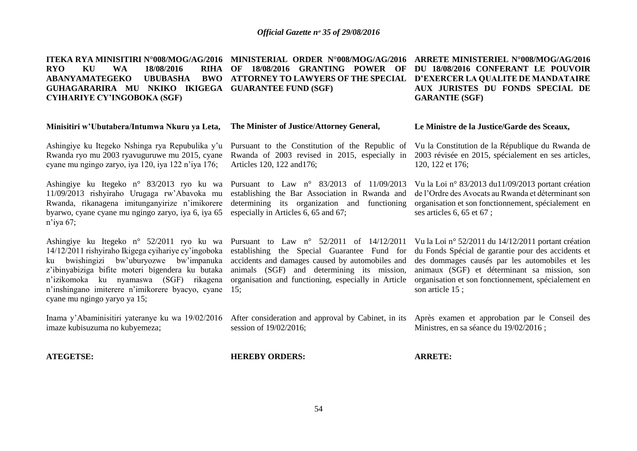**ITEKA RYA MINISITIRI N°008/MOG/AG/2016 MINISTERIAL ORDER N°008/MOG/AG/2016 ARRETE MINISTERIEL N°008/MOG/AG/2016 RYO KU WA 18/08/2016 ABANYAMATEGEKO UBUBASHA GUHAGARARIRA MU NKIKO IKIGEGA GUARANTEE FUND (SGF) CYIHARIYE CY'INGOBOKA (SGF) OF 18/08/2016 GRANTING POWER OF DU 18/08/2016 CONFERANT LE POUVOIR ATTORNEY TO LAWYERS OF THE SPECIAL D'EXERCER LA QUALITE DE MANDATAIRE GARANTIE (SGF)**

#### **Minisitiri w'Ubutabera/Intumwa Nkuru ya Leta, The Minister of Justice**/**Attorney General,**

Ashingiye ku Itegeko Nshinga rya Repubulika y'u Rwanda ryo mu 2003 ryavuguruwe mu 2015, cyane cyane mu ngingo zaryo, iya 120, iya 122 n'iya 176;

Ashingiye ku Itegeko n° 83/2013 ryo ku wa 11/09/2013 rishyiraho Urugaga rw'Abavoka mu Rwanda, rikanagena imitunganyirize n'imikorere byarwo, cyane cyane mu ngingo zaryo, iya 6, iya 65 n'iya 67;

Ashingiye ku Itegeko n° 52/2011 ryo ku wa 14/12/2011 rishyiraho Ikigega cyihariye cy'ingoboka ku bwishingizi bw'uburyozwe bw'impanuka z'ibinyabiziga bifite moteri bigendera ku butaka n'izikomoka ku nyamaswa (SGF) rikagena n'inshingano imiterere n'imikorere byacyo, cyane cyane mu ngingo yaryo ya 15;

imaze kubisuzuma no kubyemeza;

Pursuant to the Constitution of the Republic of Rwanda of 2003 revised in 2015, especially in Articles 120, 122 and176;

Pursuant to Law n° 83/2013 of 11/09/2013 establishing the Bar Association in Rwanda and determining its organization and functioning especially in Articles 6, 65 and 67;

Pursuant to Law n° 52/2011 of 14/12/2011 establishing the Special Guarantee Fund for accidents and damages caused by automobiles and animals (SGF) and determining its mission, organisation and functioning, especially in Article 15;

**AUX JURISTES DU FONDS SPECIAL DE** 

#### **Le Ministre de la Justice/Garde des Sceaux,**

Vu la Constitution de la République du Rwanda de 2003 révisée en 2015, spécialement en ses articles, 120, 122 et 176;

Vu la Loi n° 83/2013 du11/09/2013 portant création de l'Ordre des Avocats au Rwanda et déterminant son organisation et son fonctionnement, spécialement en ses articles 6, 65 et 67 ;

Vu la Loi n° 52/2011 du 14/12/2011 portant création du Fonds Spécial de garantie pour des accidents et des dommages causés par les automobiles et les animaux (SGF) et déterminant sa mission, son organisation et son fonctionnement, spécialement en son article 15 ;

Inama y'Abaminisitiri yateranye ku wa 19/02/2016 After consideration and approval by Cabinet, in its Après examen et approbation par le Conseil des session of 19/02/2016;

Ministres, en sa séance du 19/02/2016 ;

**ATEGETSE:**

**HEREBY ORDERS:**

**ARRETE:**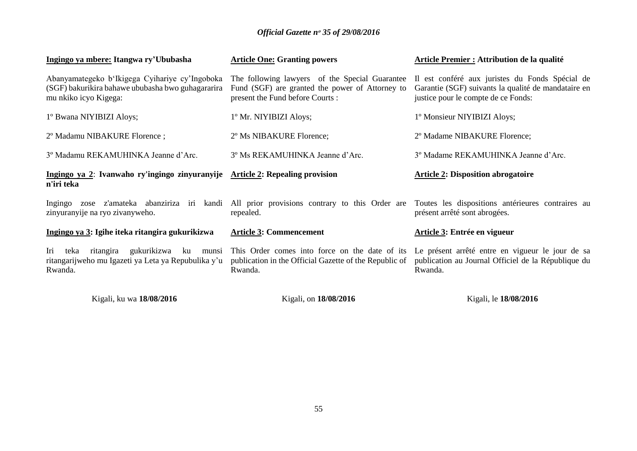| Ingingo ya mbere: Itangwa ry'Ububasha                                                                                        | <b>Article One: Granting powers</b>                                                                                                                | <b>Article Premier : Attribution de la qualité</b>                                                                                            |
|------------------------------------------------------------------------------------------------------------------------------|----------------------------------------------------------------------------------------------------------------------------------------------------|-----------------------------------------------------------------------------------------------------------------------------------------------|
| Abanyamategeko b'Ikigega Cyihariye cy'Ingoboka<br>(SGF) bakurikira bahawe ububasha bwo guhagararira<br>mu nkiko icyo Kigega: | The following lawyers of the Special Guarantee<br>Fund (SGF) are granted the power of Attorney to<br>present the Fund before Courts:               | Il est conféré aux juristes du Fonds Spécial de<br>Garantie (SGF) suivants la qualité de mandataire en<br>justice pour le compte de ce Fonds: |
| 1º Bwana NIYIBIZI Aloys;                                                                                                     | 1º Mr. NIYIBIZI Aloys;                                                                                                                             | 1º Monsieur NIYIBIZI Aloys;                                                                                                                   |
| 2º Madamu NIBAKURE Florence;                                                                                                 | 2° Ms NIBAKURE Florence;                                                                                                                           | 2º Madame NIBAKURE Florence;                                                                                                                  |
| 3º Madamu REKAMUHINKA Jeanne d'Arc.                                                                                          | 3° Ms REKAMUHINKA Jeanne d'Arc.                                                                                                                    | 3º Madame REKAMUHINKA Jeanne d'Arc.                                                                                                           |
| Ingingo ya 2: Ivanwaho ry'ingingo zinyuranyije Article 2: Repealing provision<br>n'iri teka                                  |                                                                                                                                                    | <b>Article 2: Disposition abrogatoire</b>                                                                                                     |
| Ingingo<br>zinyuranyije na ryo zivanyweho.                                                                                   | zose z'amateka abanziriza iri kandi All prior provisions contrary to this Order are Toutes les dispositions antérieures contraires au<br>repealed. | présent arrêté sont abrogées.                                                                                                                 |
| Ingingo ya 3: Igihe iteka ritangira gukurikizwa                                                                              | <b>Article 3: Commencement</b>                                                                                                                     | Article 3: Entrée en vigueur                                                                                                                  |
| teka ritangira<br>gukurikizwa<br>Iri<br>ku<br>munsi<br>ritangarijweho mu Igazeti ya Leta ya Repubulika y'u<br>Rwanda.        | This Order comes into force on the date of its<br>publication in the Official Gazette of the Republic of<br>Rwanda.                                | Le présent arrêté entre en vigueur le jour de sa<br>publication au Journal Officiel de la République du<br>Rwanda.                            |
| Kigali, ku wa 18/08/2016                                                                                                     | Kigali, on 18/08/2016                                                                                                                              | Kigali, le 18/08/2016                                                                                                                         |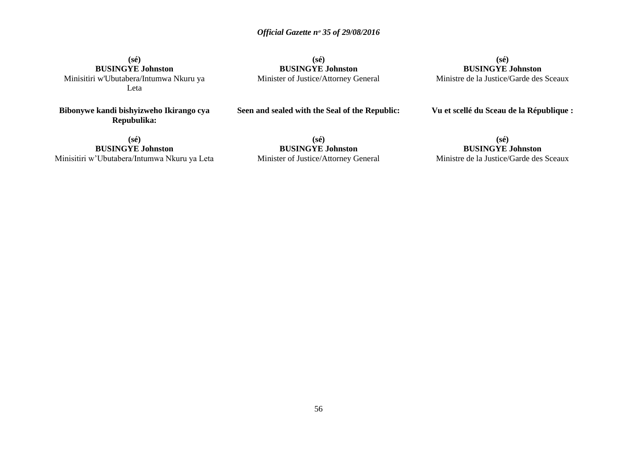**(sé) BUSINGYE Johnston** Minisitiri w'Ubutabera/Intumwa Nkuru ya Leta

**Bibonywe kandi bishyizweho Ikirango cya Repubulika:**

**(sé) BUSINGYE Johnston** Minister of Justice/Attorney General

**(sé) BUSINGYE Johnston** Ministre de la Justice/Garde des Sceaux

## **Vu et scellé du Sceau de la République :**

**(sé) BUSINGYE Johnston** Minisitiri w'Ubutabera/Intumwa Nkuru ya Leta **Seen and sealed with the Seal of the Republic:**

**(sé) BUSINGYE Johnston** Minister of Justice/Attorney General

**(sé) BUSINGYE Johnston** Ministre de la Justice/Garde des Sceaux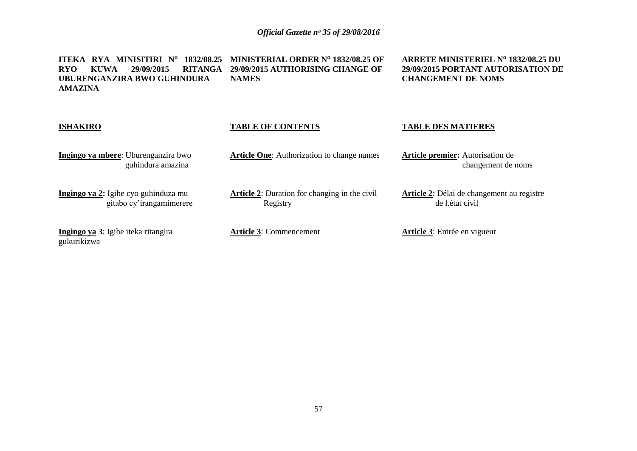**ITEKA RYA MINISITIRI N<sup>o</sup> 1832/08.25 MINISTERIAL ORDER N<sup>o</sup> 1832/08.25 OF RYO KUWA 29/09/2015 RITANGA 29/09/2015 AUTHORISING CHANGE OF UBURENGANZIRA BWO GUHINDURA AMAZINA NAMES**

**ARRETE MINISTERIEL N<sup>o</sup> 1832/08.25 DU 29/09/2015 PORTANT AUTORISATION DE CHANGEMENT DE NOMS**

| <b>ISHAKIRO</b>                                                  | <b>TABLE OF CONTENTS</b>                                         | <b>TABLE DES MATIERES</b>                                      |
|------------------------------------------------------------------|------------------------------------------------------------------|----------------------------------------------------------------|
| Ingingo ya mbere: Uburenganzira bwo<br>guhindura amazina         | <b>Article One:</b> Authorization to change names                | <b>Article premier:</b> Autorisation de<br>changement de noms  |
| Ingingo ya 2: Igihe cyo guhinduza mu<br>gitabo cy'irangamimerere | <b>Article 2:</b> Duration for changing in the civil<br>Registry | Article 2: Délai de changement au registre<br>de l. état civil |
| Ingingo ya 3: Igihe iteka ritangira<br>gukurikizwa               | <b>Article 3: Commencement</b>                                   | <b>Article 3:</b> Entrée en vigueur                            |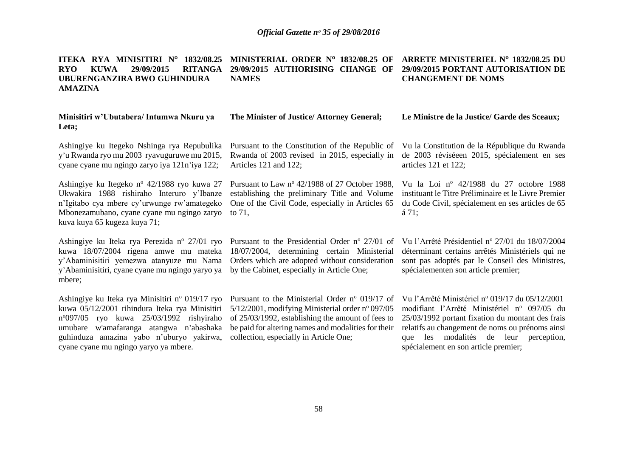**ITEKA RYA MINISITIRI N<sup>o</sup> 1832/08.25 MINISTERIAL ORDER N<sup>o</sup> 1832/08.25 OF ARRETE MINISTERIEL N<sup>o</sup> 1832/08.25 DU RYO KUWA 29/09/2015 RITANGA 29/09/2015 AUTHORISING CHANGE OF 29/09/2015 PORTANT AUTORISATION DE** 

| <b>UBURENGANZIRA BWO GUHINDURA</b><br><b>AMAZINA</b>                                                                                                                                                                                                                                  | <b>NAMES</b>                                                                                                                                                                                                                                             | <b>CHANGEMENT DE NOMS</b>                                                                                                                                                                                                                                                                       |
|---------------------------------------------------------------------------------------------------------------------------------------------------------------------------------------------------------------------------------------------------------------------------------------|----------------------------------------------------------------------------------------------------------------------------------------------------------------------------------------------------------------------------------------------------------|-------------------------------------------------------------------------------------------------------------------------------------------------------------------------------------------------------------------------------------------------------------------------------------------------|
| Minisitiri w'Ubutabera/ Intumwa Nkuru ya<br>Leta;                                                                                                                                                                                                                                     | The Minister of Justice/ Attorney General;                                                                                                                                                                                                               | Le Ministre de la Justice/ Garde des Sceaux;                                                                                                                                                                                                                                                    |
| Ashingiye ku Itegeko Nshinga rya Repubulika<br>y'u Rwanda ryo mu 2003 ryavuguruwe mu 2015,<br>cyane cyane mu ngingo zaryo iya 121 n'iya 122;                                                                                                                                          | Pursuant to the Constitution of the Republic of<br>Rwanda of 2003 revised in 2015, especially in<br>Articles 121 and 122;                                                                                                                                | Vu la Constitution de la République du Rwanda<br>de 2003 réviséeen 2015, spécialement en ses<br>articles 121 et 122;                                                                                                                                                                            |
| Ashingiye ku Itegeko nº 42/1988 ryo kuwa 27<br>Ukwakira 1988 rishiraho Interuro y'Ibanze<br>n'Igitabo cya mbere cy'urwunge rw'amategeko<br>Mbonezamubano, cyane cyane mu ngingo zaryo<br>kuva kuya 65 kugeza kuya 71;                                                                 | Pursuant to Law nº 42/1988 of 27 October 1988,<br>establishing the preliminary Title and Volume<br>One of the Civil Code, especially in Articles 65<br>to $71$ ,                                                                                         | Vu la Loi nº 42/1988 du 27 octobre 1988<br>instituant le Titre Préliminaire et le Livre Premier<br>du Code Civil, spécialement en ses articles de 65<br>á 71;                                                                                                                                   |
| Ashingiye ku Iteka rya Perezida nº 27/01 ryo<br>kuwa 18/07/2004 rigena amwe mu mateka<br>y'Abaminisitiri yemezwa atanyuze mu Nama<br>y'Abaminisitiri, cyane cyane mu ngingo yaryo ya<br>mbere;                                                                                        | Pursuant to the Presidential Order $n^{\circ}$ 27/01 of<br>18/07/2004, determining certain Ministerial<br>Orders which are adopted without consideration<br>by the Cabinet, especially in Article One;                                                   | Vu l'Arrêté Présidentiel nº 27/01 du 18/07/2004<br>déterminant certains arrêtés Ministériels qui ne<br>sont pas adoptés par le Conseil des Ministres,<br>spécialementen son article premier;                                                                                                    |
| Ashingiye ku Iteka rya Minisitiri nº 019/17 ryo<br>kuwa 05/12/2001 rihindura Iteka rya Minisitiri<br>$n^{\circ}097/05$ ryo kuwa 25/03/1992 rishyiraho<br>umubare w'amafaranga atangwa n'abashaka<br>guhinduza amazina yabo n'uburyo yakirwa,<br>cyane cyane mu ngingo yaryo ya mbere. | Pursuant to the Ministerial Order nº 019/17 of<br>5/12/2001, modifying Ministerial order nº 097/05<br>of 25/03/1992, establishing the amount of fees to<br>be paid for altering names and modalities for their<br>collection, especially in Article One; | Vu l'Arrêté Ministériel nº 019/17 du 05/12/2001<br>modifiant l'Arrêté Ministériel nº 097/05 du<br>25/03/1992 portant fixation du montant des frais<br>relatifs au changement de noms ou prénoms ainsi<br>modalités de leur<br>les<br>perception,<br>que<br>spécialement en son article premier; |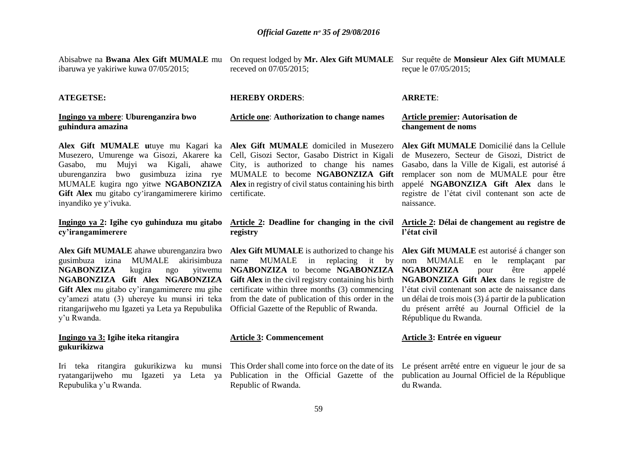Abisabwe na **Bwana Alex Gift MUMALE** mu ibaruwa ye yakiriwe kuwa 07/05/2015;

receved on 07/05/2015;

#### **ATEGETSE:**

**Ingingo ya mbere**: **Uburenganzira bwo guhindura amazina**

**Alex Gift MUMALE u**tuye mu Kagari ka **Alex Gift MUMALE** domiciled in Musezero Musezero, Umurenge wa Gisozi, Akarere ka Cell, Gisozi Sector, Gasabo District in Kigali Gasabo, mu Mujyi wa Kigali, ahawe City, is authorized to change his names uburenganzira bwo gusimbuza izina rye MUMALE to become **NGABONZIZA Gift**  MUMALE kugira ngo yitwe **NGABONZIZA Alex** in registry of civil status containing his birth Gift Alex mu gitabo cy'irangamimerere kirimo inyandiko ye y'ivuka.

#### **Ingingo ya 2: Igihe cyo guhinduza mu gitabo cy'irangamimerere**

**Alex Gift MUMALE** ahawe uburenganzira bwo **Alex Gift MUMALE** is authorized to change his **Alex Gift MUMALE** est autorisé á changer son gusimbuza izina MUMALE akirisimbuza **NGABONZIZA** kugira ngo **NGABONZIZA Gift Alex NGABONZIZA Gift Alex** mu gitabo cy'irangamimerere mu gihe cy'amezi atatu (3) uhereye ku munsi iri teka ritangarijweho mu Igazeti ya Leta ya Repubulika y'u Rwanda.

#### **Ingingo ya 3: Igihe iteka ritangira gukurikizwa**

Iri teka ritangira gukurikizwa ku munsi ryatangarijweho mu Igazeti ya Leta ya Repubulika y'u Rwanda.

**Article one**: **Authorization to change names**

**HEREBY ORDERS**:

certificate.

#### **Article 2: Deadline for changing in the civil Article 2: Délai de changement au registre de registry**

name MUMALE in replacing it by from the date of publication of this order in the Official Gazette of the Republic of Rwanda.

#### **Article 3: Commencement**

Publication in the Official Gazette of the publication au Journal Officiel de la République Republic of Rwanda.

On request lodged by **Mr. Alex Gift MUMALE**  Sur requête de **Monsieur Alex Gift MUMALE**  reçue le 07/05/2015;

#### **ARRETE**:

#### **Article premier: Autorisation de changement de noms**

**Alex Gift MUMALE** Domicilié dans la Cellule de Musezero, Secteur de Gisozi, District de Gasabo, dans la Ville de Kigali, est autorisé á remplacer son nom de MUMALE pour être appelé **NGABONZIZA Gift Alex** dans le registre de l'état civil contenant son acte de naissance.

# **l'état civil**

**NGABONZIZA** to become **NGABONZIZA NGABONZIZA** pour être appelé **Gift Alex** in the civil registry containing his birth **NGABONZIZA Gift Alex** dans le registre de certificate within three months (3) commencing l'état civil contenant son acte de naissance dans nom MUMALE en le remplaçant par un délai de trois mois (3) á partir de la publication du présent arrêté au Journal Officiel de la République du Rwanda.

#### **Article 3: Entrée en vigueur**

This Order shall come into force on the date of its Le présent arrêté entre en vigueur le jour de sa du Rwanda.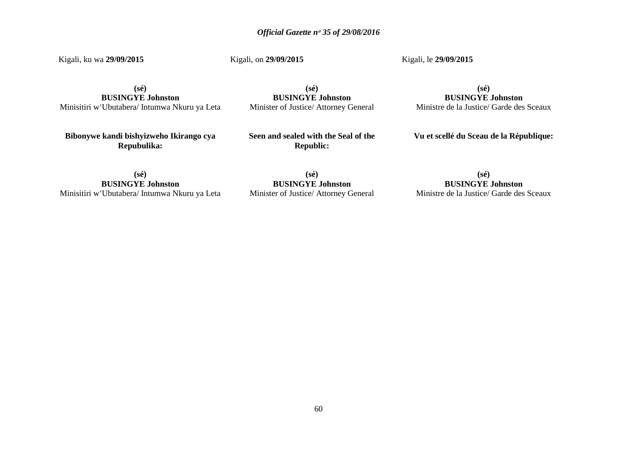Kigali, ku wa **29/09/2015**

Kigali, on **29/09/2015**

Kigali, le **29/09/2015**

**(sé) BUSINGYE Johnston** Minisitiri w'Ubutabera/ Intumwa Nkuru ya Leta

**(sé) BUSINGYE Johnston** Minister of Justice/ Attorney General

**(sé) BUSINGYE Johnston** Ministre de la Justice/ Garde des Sceaux

**Bibonywe kandi bishyizweho Ikirango cya Repubulika:**

**Seen and sealed with the Seal of the Republic:**

**Vu et scellé du Sceau de la République:**

**(sé) BUSINGYE Johnston** Minisitiri w'Ubutabera/ Intumwa Nkuru ya Leta

**(sé) BUSINGYE Johnston** Minister of Justice/ Attorney General

**(sé) BUSINGYE Johnston** Ministre de la Justice/ Garde des Sceaux

60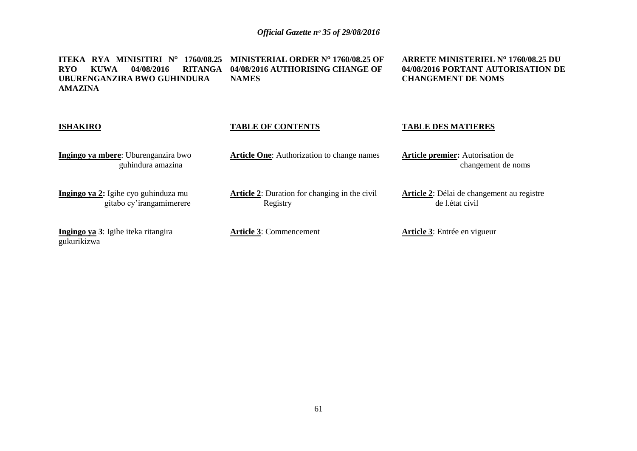**ITEKA RYA MINISITIRI N<sup>o</sup> 1760/08.25 MINISTERIAL ORDER N<sup>o</sup> 1760/08.25 OF RYO KUWA 04/08/2016 RITANGA 04/08/2016 AUTHORISING CHANGE OF UBURENGANZIRA BWO GUHINDURA AMAZINA NAMES**

**ARRETE MINISTERIEL N<sup>o</sup> 1760/08.25 DU 04/08/2016 PORTANT AUTORISATION DE CHANGEMENT DE NOMS**

| <b>ISHAKIRO</b>                                                  | <b>TABLE OF CONTENTS</b>                                         | <b>TABLE DES MATIERES</b>                                      |
|------------------------------------------------------------------|------------------------------------------------------------------|----------------------------------------------------------------|
| Ingingo ya mbere: Uburenganzira bwo<br>guhindura amazina         | <b>Article One:</b> Authorization to change names                | <b>Article premier:</b> Autorisation de<br>changement de noms  |
| Ingingo ya 2: Igihe cyo guhinduza mu<br>gitabo cy'irangamimerere | <b>Article 2:</b> Duration for changing in the civil<br>Registry | Article 2: Délai de changement au registre<br>de l. état civil |
| Ingingo ya 3: Igihe iteka ritangira<br>gukurikizwa               | <b>Article 3: Commencement</b>                                   | <b>Article 3:</b> Entrée en vigueur                            |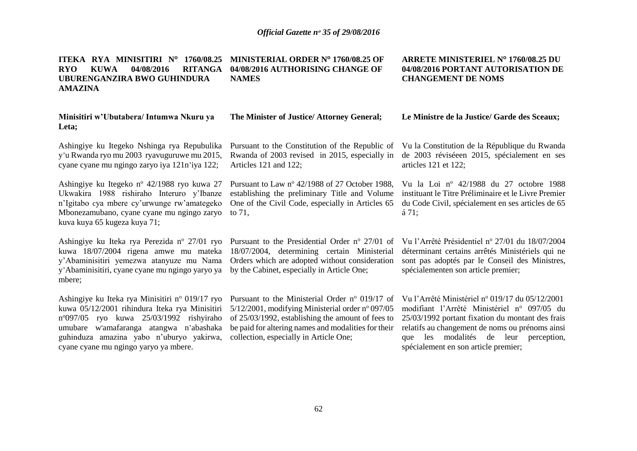**ITEKA RYA MINISITIRI N<sup>o</sup> 1760/08.25 MINISTERIAL ORDER N<sup>o</sup> 1760/08.25 OF RYO KUWA 04/08/2016 UBURENGANZIRA BWO GUHINDURA AMAZINA 04/08/2016 AUTHORISING CHANGE OF NAMES**

| Minisitiri w'Ubutabera/ Intumwa Nkuru ya<br>Leta;                                                                                                                                                                                 | The Minister of Justice/ Attorney General;                                                                                                                                                                                                 | Le Ministre de la Justice/ Garde des Sceaux;                                                                                                                                                 |
|-----------------------------------------------------------------------------------------------------------------------------------------------------------------------------------------------------------------------------------|--------------------------------------------------------------------------------------------------------------------------------------------------------------------------------------------------------------------------------------------|----------------------------------------------------------------------------------------------------------------------------------------------------------------------------------------------|
| Ashingiye ku Itegeko Nshinga rya Repubulika<br>y'u Rwanda ryo mu 2003 ryavuguruwe mu 2015,<br>cyane cyane mu ngingo zaryo iya 121 n'iya 122;                                                                                      | Pursuant to the Constitution of the Republic of<br>Rwanda of 2003 revised in 2015, especially in<br>Articles 121 and 122;                                                                                                                  | Vu la Constitution de la République du Rwanda<br>de 2003 réviséeen 2015, spécialement en ses<br>articles $121$ et $122$ ;                                                                    |
| Ashingiye ku Itegeko n <sup>o</sup> 42/1988 ryo kuwa 27<br>Ukwakira 1988 rishiraho Interuro y'Ibanze<br>n'Igitabo cya mbere cy'urwunge rw'amategeko<br>Mbonezamubano, cyane cyane mu ngingo zaryo<br>kuva kuya 65 kugeza kuya 71; | Pursuant to Law nº 42/1988 of 27 October 1988,<br>establishing the preliminary Title and Volume<br>One of the Civil Code, especially in Articles 65<br>to 71.                                                                              | Vu la Loi nº 42/1988 du 27 octobre 1988<br>instituant le Titre Préliminaire et le Livre Premier<br>du Code Civil, spécialement en ses articles de 65<br>á 71;                                |
| kuwa 18/07/2004 rigena amwe mu mateka<br>y'Abaminisitiri yemezwa atanyuze mu Nama<br>y'Abaminisitiri, cyane cyane mu ngingo yaryo ya<br>mbere;                                                                                    | Ashingiye ku Iteka rya Perezida n° 27/01 ryo Pursuant to the Presidential Order n° 27/01 of<br>18/07/2004, determining certain Ministerial<br>Orders which are adopted without consideration<br>by the Cabinet, especially in Article One; | Vu l'Arrêté Présidentiel nº 27/01 du 18/07/2004<br>déterminant certains arrêtés Ministériels qui ne<br>sont pas adoptés par le Conseil des Ministres,<br>spécialementen son article premier; |
|                                                                                                                                                                                                                                   | Ashingiye ku Iteka rya Minisitiri nº 019/17 ryo Pursuant to the Ministerial Order nº 019/17 of Vu l'Arrêté Ministériel nº 019/17 du 05/12/2001                                                                                             |                                                                                                                                                                                              |

kuwa 05/12/2001 rihindura Iteka rya Minisitiri 5/12/2001, modifying Ministerial order nº 097/05 modifiant l'Arrêté Ministériel nº 097/05 du n°097/05 ryo kuwa 25/03/1992 rishyiraho of 25/03/1992, establishing the amount of fees to umubare w'amafaranga atangwa n'abashaka be paid for altering names and modalities for their guhinduza amazina yabo n'uburyo yakirwa, collection, especially in Article One; cyane cyane mu ngingo yaryo ya mbere.

25/03/1992 portant fixation du montant des frais relatifs au changement de noms ou prénoms ainsi que les modalités de leur perception, spécialement en son article premier;

**ARRETE MINISTERIEL N<sup>o</sup> 1760/08.25 DU 04/08/2016 PORTANT AUTORISATION DE** 

**CHANGEMENT DE NOMS**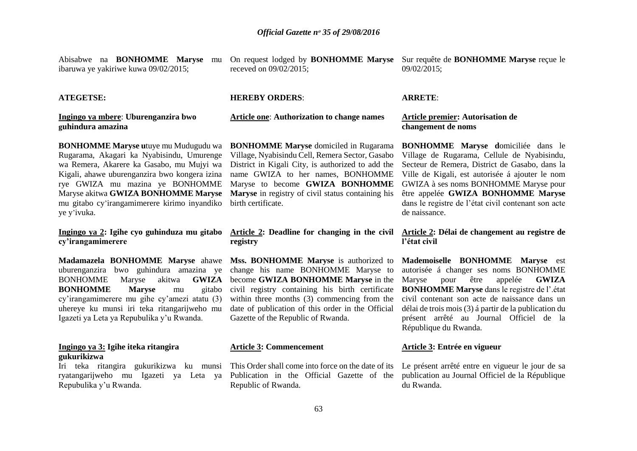Abisabwe na **BONHOMME Maryse** mu ibaruwa ye yakiriwe kuwa 09/02/2015;

receved on 09/02/2015;

**Article one**: **Authorization to change names**

**HEREBY ORDERS**:

On request lodged by **BONHOMME Maryse** Sur requête de **BONHOMME Maryse** reçue le 09/02/2015;

#### **ATEGETSE:**

#### **Ingingo ya mbere**: **Uburenganzira bwo guhindura amazina**

**BONHOMME Maryse u**tuye mu Mudugudu wa Rugarama, Akagari ka Nyabisindu, Umurenge wa Remera, Akarere ka Gasabo, mu Mujyi wa Kigali, ahawe uburenganzira bwo kongera izina rye GWIZA mu mazina ye BONHOMME Maryse akitwa **GWIZA BONHOMME Maryse**  mu gitabo cy'irangamimerere kirimo inyandiko ye y'ivuka.

**Ingingo ya 2: Igihe cyo guhinduza mu gitabo cy'irangamimerere**

**Madamazela BONHOMME Maryse** ahawe uburenganzira bwo guhindura amazina ye BONHOMME Maryse akitwa **GWIZA BONHOMME Maryse** mu gitabo cy'irangamimerere mu gihe cy'amezi atatu (3) uhereye ku munsi iri teka ritangarijweho mu Igazeti ya Leta ya Repubulika y'u Rwanda.

#### **Ingingo ya 3: Igihe iteka ritangira gukurikizwa**

Iri teka ritangira gukurikizwa ku munsi ryatangarijweho mu Igazeti ya Leta ya Repubulika y'u Rwanda.

**BONHOMME Maryse** domiciled in Rugarama Village, Nyabisindu Cell, Remera Sector, Gasabo District in Kigali City, is authorized to add the name GWIZA to her names, BONHOMME Maryse to become **GWIZA BONHOMME Maryse** in registry of civil status containing his birth certificate.

#### **Article 2: Deadline for changing in the civil registry**

**Mss. BONHOMME Maryse** is authorized to change his name BONHOMME Maryse to become **GWIZA BONHOMME Maryse** in the within three months (3) commencing from the date of publication of this order in the Official Gazette of the Republic of Rwanda.

### **Article 3: Commencement**

This Order shall come into force on the date of its Le présent arrêté entre en vigueur le jour de sa Publication in the Official Gazette of the Republic of Rwanda.

#### **ARRETE**:

#### **Article premier: Autorisation de changement de noms**

**BONHOMME Maryse d**omiciliée dans le Village de Rugarama, Cellule de Nyabisindu, Secteur de Remera, District de Gasabo, dans la Ville de Kigali, est autorisée á ajouter le nom GWIZA à ses noms BONHOMME Maryse pour être appelée **GWIZA BONHOMME Maryse** dans le registre de l'état civil contenant son acte de naissance.

#### **Article 2: Délai de changement au registre de l'état civil**

civil registry containing his birth certificate **BONHOMME Maryse** dans le registre de l'.état **Mademoiselle BONHOMME Maryse** est autorisée á changer ses noms BONHOMME Maryse pour être appelée **GWIZA** civil contenant son acte de naissance dans un délai de trois mois (3) á partir de la publication du présent arrêté au Journal Officiel de la République du Rwanda.

### **Article 3: Entrée en vigueur**

publication au Journal Officiel de la République du Rwanda.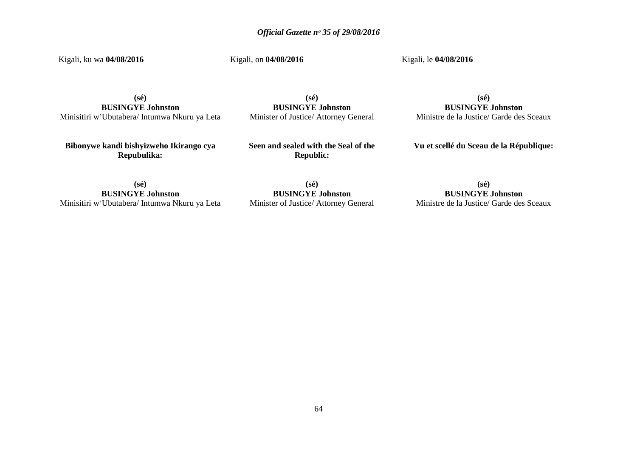Kigali, ku wa **04/08/2016**

Kigali, on **04/08/2016**

Kigali, le **04/08/2016**

**(sé) BUSINGYE Johnston** Minisitiri w'Ubutabera/ Intumwa Nkuru ya Leta

**(sé) BUSINGYE Johnston** Minister of Justice/ Attorney General

**(sé) BUSINGYE Johnston** Ministre de la Justice/ Garde des Sceaux

**Bibonywe kandi bishyizweho Ikirango cya Repubulika:**

**Seen and sealed with the Seal of the Republic:**

**Vu et scellé du Sceau de la République:**

**(sé) BUSINGYE Johnston** Minisitiri w'Ubutabera/ Intumwa Nkuru ya Leta

**(sé) BUSINGYE Johnston** Minister of Justice/ Attorney General

**(sé) BUSINGYE Johnston** Ministre de la Justice/ Garde des Sceaux

64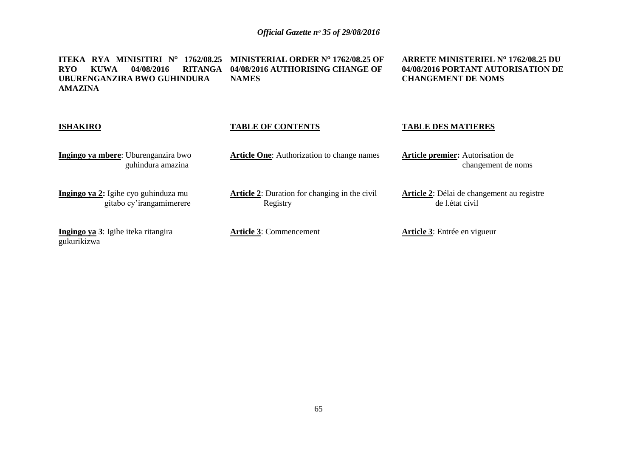**ITEKA RYA MINISITIRI N<sup>o</sup> 1762/08.25 MINISTERIAL ORDER N<sup>o</sup> 1762/08.25 OF RYO KUWA 04/08/2016 RITANGA 04/08/2016 AUTHORISING CHANGE OF UBURENGANZIRA BWO GUHINDURA AMAZINA NAMES**

**ARRETE MINISTERIEL N<sup>o</sup> 1762/08.25 DU 04/08/2016 PORTANT AUTORISATION DE CHANGEMENT DE NOMS**

| <b>ISHAKIRO</b>                                                  | <b>TABLE OF CONTENTS</b>                                         | <b>TABLE DES MATIERES</b>                                             |
|------------------------------------------------------------------|------------------------------------------------------------------|-----------------------------------------------------------------------|
| Ingingo ya mbere: Uburenganzira bwo<br>guhindura amazina         | <b>Article One:</b> Authorization to change names                | <b>Article premier:</b> Autorisation de<br>changement de noms         |
| Ingingo ya 2: Igihe cyo guhinduza mu<br>gitabo cy'irangamimerere | <b>Article 2:</b> Duration for changing in the civil<br>Registry | <b>Article 2:</b> Délai de changement au registre<br>de l. état civil |
| Ingingo ya 3: Igihe iteka ritangira<br>gukurikizwa               | <b>Article 3: Commencement</b>                                   | <b>Article 3:</b> Entrée en vigueur                                   |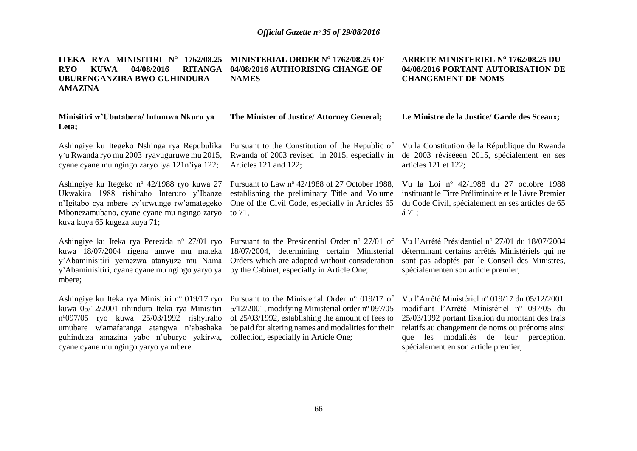**ARRETE MINISTERIEL N<sup>o</sup> 1762/08.25 DU 04/08/2016 PORTANT AUTORISATION DE** 

**CHANGEMENT DE NOMS**

spécialement en son article premier;

**ITEKA RYA MINISITIRI N<sup>o</sup> 1762/08.25 MINISTERIAL ORDER N<sup>o</sup> 1762/08.25 OF RYO KUWA 04/08/2016 RITANGA 04/08/2016 AUTHORISING CHANGE OF UBURENGANZIRA BWO GUHINDURA AMAZINA NAMES**

guhinduza amazina yabo n'uburyo yakirwa, collection, especially in Article One;

cyane cyane mu ngingo yaryo ya mbere.

| Minisitiri w'Ubutabera/ Intumwa Nkuru ya<br>Leta;                                                                                                                                                                                               | The Minister of Justice/ Attorney General;                                                                                                                                                                                                                                       | Le Ministre de la Justice/ Garde des Sceaux;                                                                                                                                                                                                         |
|-------------------------------------------------------------------------------------------------------------------------------------------------------------------------------------------------------------------------------------------------|----------------------------------------------------------------------------------------------------------------------------------------------------------------------------------------------------------------------------------------------------------------------------------|------------------------------------------------------------------------------------------------------------------------------------------------------------------------------------------------------------------------------------------------------|
| Ashingiye ku Itegeko Nshinga rya Repubulika<br>y'u Rwanda ryo mu 2003 ryavuguruwe mu 2015,<br>cyane cyane mu ngingo zaryo iya 121 n'iya 122;                                                                                                    | Pursuant to the Constitution of the Republic of<br>Rwanda of 2003 revised in 2015, especially in<br>Articles 121 and 122;                                                                                                                                                        | Vu la Constitution de la République du Rwanda<br>de 2003 réviséeen 2015, spécialement en ses<br>articles 121 et 122;                                                                                                                                 |
| Ashingiye ku Itegeko n <sup>o</sup> 42/1988 ryo kuwa 27<br>Ukwakira 1988 rishiraho Interuro y'Ibanze<br>n'Igitabo cya mbere cy'urwunge rw'amategeko<br>Mbonezamubano, cyane cyane mu ngingo zaryo<br>kuva kuya 65 kugeza kuya 71;               | Pursuant to Law nº 42/1988 of 27 October 1988,<br>establishing the preliminary Title and Volume<br>One of the Civil Code, especially in Articles 65<br>to $71$ ,                                                                                                                 | Vu la Loi nº 42/1988 du 27 octobre 1988<br>instituant le Titre Préliminaire et le Livre Premier<br>du Code Civil, spécialement en ses articles de 65<br>á 71;                                                                                        |
| y'Abaminisitiri yemezwa atanyuze mu Nama<br>y'Abaminisitiri, cyane cyane mu ngingo yaryo ya<br>mbere;                                                                                                                                           | Ashingiye ku Iteka rya Perezida n° 27/01 ryo Pursuant to the Presidential Order n° 27/01 of<br>kuwa 18/07/2004 rigena amwe mu mateka 18/07/2004, determining certain Ministerial<br>Orders which are adopted without consideration<br>by the Cabinet, especially in Article One; | Vu l'Arrêté Présidentiel nº 27/01 du 18/07/2004<br>déterminant certains arrêtés Ministériels qui ne<br>sont pas adoptés par le Conseil des Ministres,<br>spécialementen son article premier;                                                         |
| Ashingiye ku Iteka rya Minisitiri nº 019/17 ryo<br>kuwa 05/12/2001 rihindura Iteka rya Minisitiri<br>$n^{\circ}097/05$ ryo kuwa 25/03/1992 rishyiraho<br>w'amafaranga atangwa n'abashaka<br>umubare<br>guhinduza amazina yabo n'uburyo yakirwa, | Pursuant to the Ministerial Order $n^{\circ}$ 019/17 of<br>5/12/2001, modifying Ministerial order nº 097/05<br>of 25/03/1992, establishing the amount of fees to<br>be paid for altering names and modalities for their<br>collection, especially in Article One;                | Vu l'Arrêté Ministériel nº 019/17 du 05/12/2001<br>modifiant l'Arrêté Ministériel nº 097/05 du<br>25/03/1992 portant fixation du montant des frais<br>relatifs au changement de noms ou prénoms ainsi<br>modalités de leur perception,<br>les<br>que |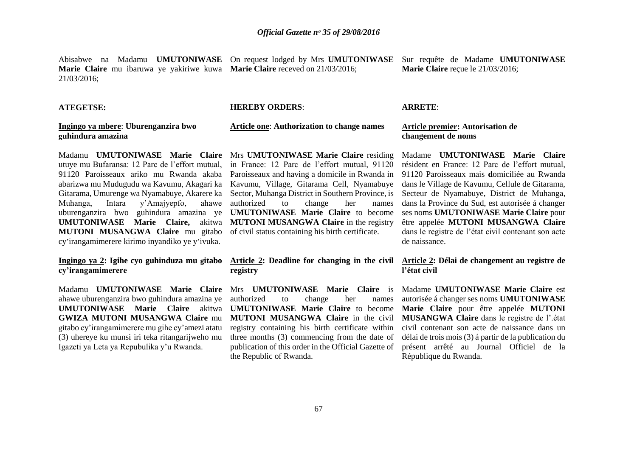Abisabwe na Madamu **UMUTONIWASE** On request lodged by Mrs **UMUTONIWASE** Sur requête de Madame **UMUTONIWASE Marie Claire** mu ibaruwa ye yakiriwe kuwa **Marie Claire** receved on 21/03/2016; 21/03/2016; **Marie Claire** reçue le 21/03/2016;

#### **ATEGETSE:**

#### **HEREBY ORDERS**:

#### **Ingingo ya mbere**: **Uburenganzira bwo guhindura amazina**

Madamu **UMUTONIWASE Marie Claire**  Mrs **UMUTONIWASE Marie Claire** residing utuye mu Bufaransa: 12 Parc de l'effort mutual, 91120 Paroisseaux ariko mu Rwanda akaba Paroisseaux and having a domicile in Rwanda in abarizwa mu Mudugudu wa Kavumu, Akagari ka Kavumu, Village, Gitarama Cell, Nyamabuye Gitarama, Umurenge wa Nyamabuye, Akarere ka Muhanga, Intara y'Amajyepfo, ahawe uburenganzira bwo guhindura amazina ye **UMUTONIWASE Marie Claire,** akitwa **MUTONI MUSANGWA Claire** in the registry **MUTONI MUSANGWA Claire** mu gitabo cy'irangamimerere kirimo inyandiko ye y'ivuka.

## **Ingingo ya 2: Igihe cyo guhinduza mu gitabo cy'irangamimerere**

Madamu **UMUTONIWASE Marie Claire**  ahawe uburenganzira bwo guhindura amazina ye **UMUTONIWASE Marie Claire** akitwa **GWIZA MUTONI MUSANGWA Claire** mu gitabo cy'irangamimerere mu gihe cy'amezi atatu (3) uhereye ku munsi iri teka ritangarijweho mu Igazeti ya Leta ya Repubulika y'u Rwanda.

# **Article one**: **Authorization to change names**

in France: 12 Parc de l'effort mutual, 91120 Sector, Muhanga District in Southern Province, is authorized to change her names **UMUTONIWASE Marie Claire** to become of civil status containing his birth certificate.

# **registry**

Mrs **UMUTONIWASE Marie Claire** is authorized to change her names **UMUTONIWASE Marie Claire** to become registry containing his birth certificate within three months (3) commencing from the date of publication of this order in the Official Gazette of the Republic of Rwanda.

#### **ARRETE**:

#### **Article premier: Autorisation de changement de noms**

Madame **UMUTONIWASE Marie Claire**  résident en France: 12 Parc de l'effort mutual, 91120 Paroisseaux mais **d**omiciliée au Rwanda dans le Village de Kavumu, Cellule de Gitarama, Secteur de Nyamabuye, District de Muhanga, dans la Province du Sud, est autorisée á changer ses noms **UMUTONIWASE Marie Claire** pour être appelée **MUTONI MUSANGWA Claire** dans le registre de l'état civil contenant son acte de naissance.

#### **Article 2: Deadline for changing in the civil Article 2: Délai de changement au registre de l'état civil**

**MUTONI MUSANGWA Claire** in the civil **MUSANGWA Claire** dans le registre de l'.état Madame **UMUTONIWASE Marie Claire** est autorisée á changer ses noms **UMUTONIWASE Marie Claire** pour être appelée **MUTONI**  civil contenant son acte de naissance dans un délai de trois mois (3) á partir de la publication du présent arrêté au Journal Officiel de la République du Rwanda.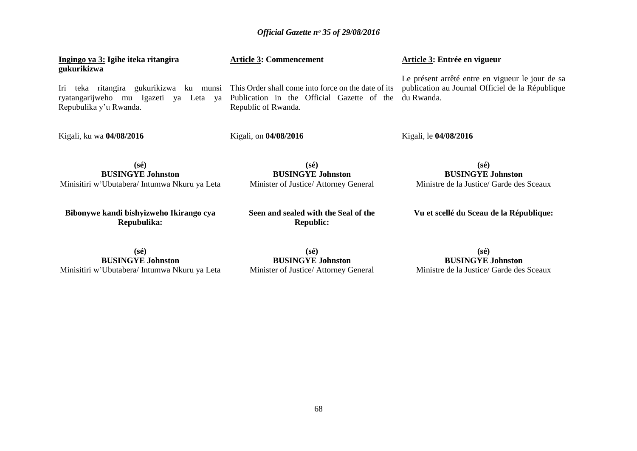| Ingingo ya 3: Igihe iteka ritangira<br>gukurikizwa                                                            | <b>Article 3: Commencement</b>                                                                                           | Article 3: Entrée en vigueur                                                                                       |
|---------------------------------------------------------------------------------------------------------------|--------------------------------------------------------------------------------------------------------------------------|--------------------------------------------------------------------------------------------------------------------|
| teka ritangira gukurikizwa ku munsi<br>Iri<br>ryatangarijweho mu Igazeti ya Leta ya<br>Repubulika y'u Rwanda. | This Order shall come into force on the date of its<br>Publication in the Official Gazette of the<br>Republic of Rwanda. | Le présent arrêté entre en vigueur le jour de sa<br>publication au Journal Officiel de la République<br>du Rwanda. |
| Kigali, ku wa 04/08/2016                                                                                      | Kigali, on 04/08/2016                                                                                                    | Kigali, le 04/08/2016                                                                                              |
| $(s\acute{e})$<br><b>BUSINGYE Johnston</b><br>Minisitiri w'Ubutabera/ Intumwa Nkuru ya Leta                   | $(s\acute{e})$<br><b>BUSINGYE Johnston</b><br>Minister of Justice/ Attorney General                                      | $(s\acute{e})$<br><b>BUSINGYE Johnston</b><br>Ministre de la Justice/ Garde des Sceaux                             |
| Bibonywe kandi bishyizweho Ikirango cya<br>Repubulika:                                                        | Seen and sealed with the Seal of the<br><b>Republic:</b>                                                                 | Vu et scellé du Sceau de la République:                                                                            |
| $(s\acute{e})$<br><b>BUSINGYE Johnston</b><br>Minisitiri w'Ubutabera/ Intumwa Nkuru ya Leta                   | $(s\acute{e})$<br><b>BUSINGYE Johnston</b><br>Minister of Justice/ Attorney General                                      | $(s\acute{e})$<br><b>BUSINGYE Johnston</b><br>Ministre de la Justice/ Garde des Sceaux                             |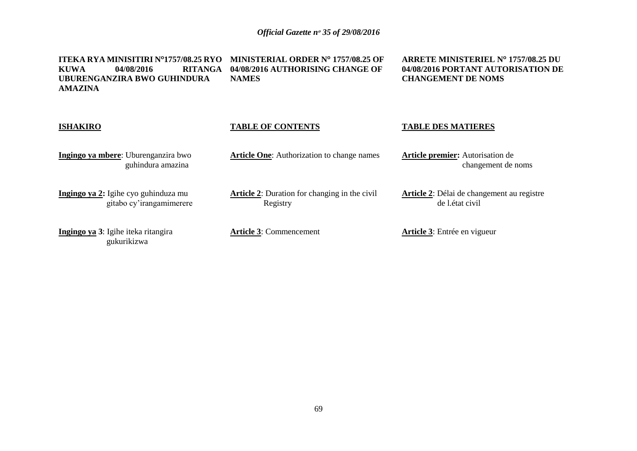**ITEKA RYA MINISITIRI N<sup>o</sup>1757/08.25 RYO MINISTERIAL ORDER N<sup>o</sup> 1757/08.25 OF KUWA 04/08/2016 RITANGA 04/08/2016 AUTHORISING CHANGE OF UBURENGANZIRA BWO GUHINDURA AMAZINA NAMES**

**ARRETE MINISTERIEL N<sup>o</sup> 1757/08.25 DU 04/08/2016 PORTANT AUTORISATION DE CHANGEMENT DE NOMS**

| <b>ISHAKIRO</b>                                                  | <b>TABLE OF CONTENTS</b>                                         | <b>TABLE DES MATIERES</b>                                             |
|------------------------------------------------------------------|------------------------------------------------------------------|-----------------------------------------------------------------------|
| Ingingo ya mbere: Uburenganzira bwo<br>guhindura amazina         | <b>Article One:</b> Authorization to change names                | <b>Article premier:</b> Autorisation de<br>changement de noms         |
| Ingingo ya 2: Igihe cyo guhinduza mu<br>gitabo cy'irangamimerere | <b>Article 2:</b> Duration for changing in the civil<br>Registry | <b>Article 2:</b> Délai de changement au registre<br>de l. état civil |
| Ingingo ya 3: Igihe iteka ritangira<br>gukurikizwa               | <b>Article 3: Commencement</b>                                   | <b>Article 3:</b> Entrée en vigueur                                   |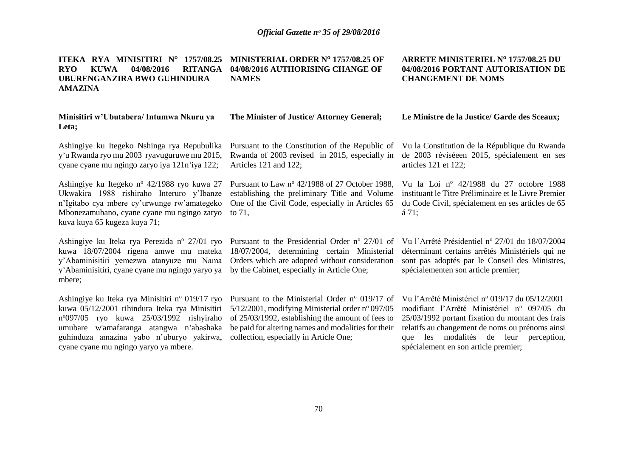**ARRETE MINISTERIEL N<sup>o</sup> 1757/08.25 DU 04/08/2016 PORTANT AUTORISATION DE** 

**CHANGEMENT DE NOMS**

#### **ITEKA RYA MINISITIRI N<sup>o</sup> 1757/08.25 MINISTERIAL ORDER N<sup>o</sup> 1757/08.25 OF RYO KUWA 04/08/2016 RITANGA UBURENGANZIRA BWO GUHINDURA AMAZINA 04/08/2016 AUTHORISING CHANGE OF NAMES**

#### **Minisitiri w'Ubutabera/ Intumwa Nkuru ya Leta;** Ashingiye ku Itegeko Nshinga rya Repubulika y'u Rwanda ryo mu 2003 ryavuguruwe mu 2015, cyane cyane mu ngingo zaryo iya 121n'iya 122; Ashingiye ku Itegeko n<sup>o</sup> 42/1988 ryo kuwa 27 Ukwakira 1988 rishiraho Interuro y'Ibanze n'Igitabo cya mbere cy'urwunge rw'amategeko Mbonezamubano, cyane cyane mu ngingo zaryo kuva kuya 65 kugeza kuya 71; Ashingiye ku Iteka rya Perezida n<sup>o</sup> 27/01 ryo kuwa 18/07/2004 rigena amwe mu mateka y'Abaminisitiri yemezwa atanyuze mu Nama y'Abaminisitiri, cyane cyane mu ngingo yaryo ya mbere; Ashingiye ku Iteka rya Minisitiri n° 019/17 ryo kuwa 05/12/2001 rihindura Iteka rya Minisitiri n <sup>o</sup>097/05 ryo kuwa 25/03/1992 rishyiraho umubare w'amafaranga atangwa n'abashaka guhinduza amazina yabo n'uburyo yakirwa, cyane cyane mu ngingo yaryo ya mbere. **The Minister of Justice/ Attorney General;** Pursuant to the Constitution of the Republic of Vu la Constitution de la République du Rwanda Rwanda of 2003 revised in 2015, especially in Articles 121 and 122; Pursuant to Law  $n^{\circ}$  42/1988 of 27 October 1988, establishing the preliminary Title and Volume One of the Civil Code, especially in Articles 65 to 71, Pursuant to the Presidential Order  $n^{\circ}$  27/01 of 18/07/2004, determining certain Ministerial Orders which are adopted without consideration by the Cabinet, especially in Article One; Pursuant to the Ministerial Order  $n^{\circ}$  019/17 of  $5/12/2001$ , modifying Ministerial order n° 097/05 of 25/03/1992, establishing the amount of fees to be paid for altering names and modalities for their collection, especially in Article One; **Le Ministre de la Justice/ Garde des Sceaux;** de 2003 réviséeen 2015, spécialement en ses articles 121 et 122; Vu la Loi nº 42/1988 du 27 octobre 1988 instituant le Titre Préliminaire et le Livre Premier du Code Civil, spécialement en ses articles de 65 á 71; Vu l'Arrêté Présidentiel nº 27/01 du 18/07/2004 déterminant certains arrêtés Ministériels qui ne sont pas adoptés par le Conseil des Ministres, spécialementen son article premier; Vu l'Arrêté Ministériel n<sup>o</sup> 019/17 du 05/12/2001 modifiant l'Arrêté Ministériel n<sup>o</sup> 097/05 du 25/03/1992 portant fixation du montant des frais relatifs au changement de noms ou prénoms ainsi que les modalités de leur perception, spécialement en son article premier;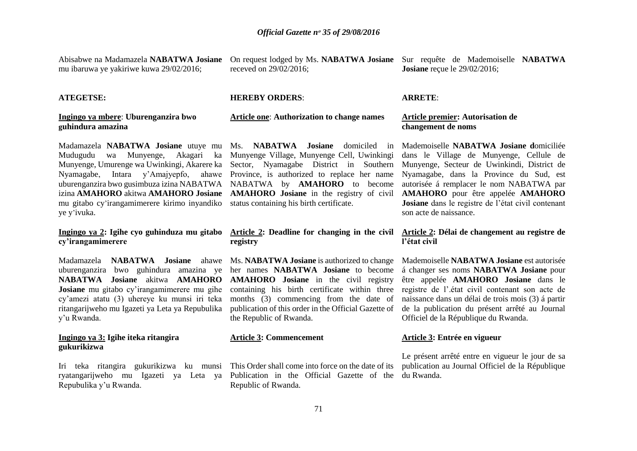Abisabwe na Madamazela **NABATWA Josiane** mu ibaruwa ye yakiriwe kuwa 29/02/2016;

On request lodged by Ms. **NABATWA Josiane** Sur requête de Mademoiselle **NABATWA**  receved on 29/02/2016;

#### **ATEGETSE:**

#### **Ingingo ya mbere**: **Uburenganzira bwo guhindura amazina**

Madamazela **NABATWA Josiane** utuye mu Mudugudu wa Munyenge, Akagari ka Munyenge Village, Munyenge Cell, Uwinkingi Munyenge, Umurenge wa Uwinkingi, Akarere ka Nyamagabe, Intara y'Amajyepfo, ahawe Province, is authorized to replace her name Nyamagabe, dans la Province du Sud, est uburenganzira bwo gusimbuza izina NABATWA NABATWA by **AMAHORO** to become izina **AMAHORO** akitwa **AMAHORO Josiane** mu gitabo cy'irangamimerere kirimo inyandiko status containing his birth certificate. ye y'ivuka.

### **Ingingo ya 2: Igihe cyo guhinduza mu gitabo cy'irangamimerere**

Madamazela **NABATWA Josiane** ahawe uburenganzira bwo guhindura amazina ye her names **NABATWA Josiane** to become **NABATWA Josiane** akitwa **AMAHORO AMAHORO Josiane** in the civil registry **Josiane** mu gitabo cy'irangamimerere mu gihe cy'amezi atatu (3) uhereye ku munsi iri teka ritangarijweho mu Igazeti ya Leta ya Repubulika y'u Rwanda.

#### **Ingingo ya 3: Igihe iteka ritangira gukurikizwa**

Iri teka ritangira gukurikizwa ku munsi ryatangarijweho mu Igazeti ya Leta ya Repubulika y'u Rwanda.

#### **HEREBY ORDERS**:

## **Article one**: **Authorization to change names**

Sector, Nyamagabe District in Southern **AMAHORO Josiane** in the registry of civil

# **registry**

Ms. **NABATWA Josiane** is authorized to change months (3) commencing from the date of publication of this order in the Official Gazette of the Republic of Rwanda.

#### **Article 3: Commencement**

Publication in the Official Gazette of the du Rwanda.Republic of Rwanda.

**Josiane** reçue le 29/02/2016;

#### **ARRETE**:

#### **Article premier: Autorisation de changement de noms**

Ms. **NABATWA Josiane** domiciled in Mademoiselle **NABATWA Josiane d**omiciliée dans le Village de Munyenge, Cellule de Munyenge, Secteur de Uwinkindi, District de autorisée á remplacer le nom NABATWA par **AMAHORO** pour être appelée **AMAHORO Josiane** dans le registre de l'état civil contenant son acte de naissance.

#### **Article 2: Deadline for changing in the civil Article 2: Délai de changement au registre de l'état civil**

containing his birth certificate within three registre de l'.état civil contenant son acte de Mademoiselle **NABATWA Josiane** est autorisée á changer ses noms **NABATWA Josiane** pour être appelée **AMAHORO Josiane** dans le naissance dans un délai de trois mois (3) á partir de la publication du présent arrêté au Journal Officiel de la République du Rwanda.

#### **Article 3: Entrée en vigueur**

This Order shall come into force on the date of its publication au Journal Officiel de la République Le présent arrêté entre en vigueur le jour de sa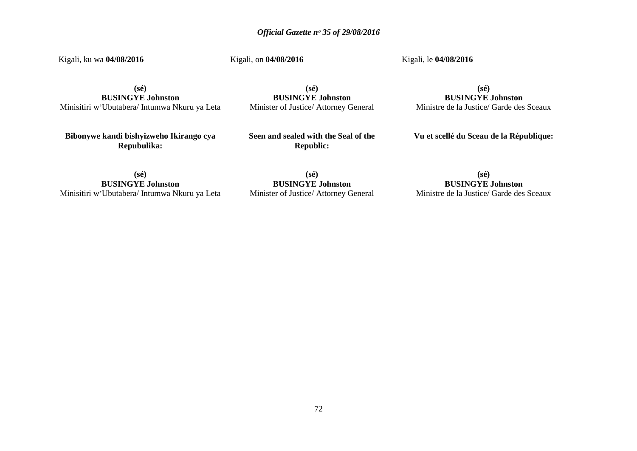Kigali, ku wa **04/08/2016**

Kigali, on **04/08/2016**

Kigali, le **04/08/2016**

**(sé) BUSINGYE Johnston** Minisitiri w'Ubutabera/ Intumwa Nkuru ya Leta

**(sé) BUSINGYE Johnston** Minister of Justice/ Attorney General

**(sé) BUSINGYE Johnston** Ministre de la Justice/ Garde des Sceaux

**Bibonywe kandi bishyizweho Ikirango cya Repubulika:**

**Seen and sealed with the Seal of the Republic:**

**Vu et scellé du Sceau de la République:**

**(sé) BUSINGYE Johnston** Minisitiri w'Ubutabera/ Intumwa Nkuru ya Leta

**(sé) BUSINGYE Johnston** Minister of Justice/ Attorney General

**(sé) BUSINGYE Johnston** Ministre de la Justice/ Garde des Sceaux

72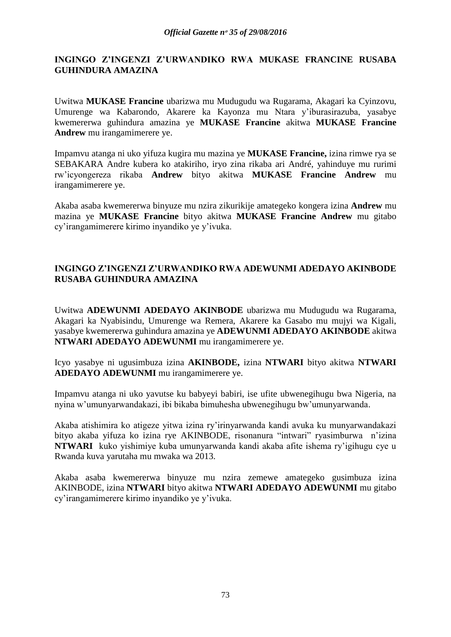## **INGINGO Z'INGENZI Z'URWANDIKO RWA MUKASE FRANCINE RUSABA GUHINDURA AMAZINA**

Uwitwa **MUKASE Francine** ubarizwa mu Mudugudu wa Rugarama, Akagari ka Cyinzovu, Umurenge wa Kabarondo, Akarere ka Kayonza mu Ntara y'iburasirazuba, yasabye kwemererwa guhindura amazina ye **MUKASE Francine** akitwa **MUKASE Francine Andrew** mu irangamimerere ye.

Impamvu atanga ni uko yifuza kugira mu mazina ye **MUKASE Francine,** izina rimwe rya se SEBAKARA Andre kubera ko atakiriho, iryo zina rikaba ari André, yahinduye mu rurimi rw'icyongereza rikaba **Andrew** bityo akitwa **MUKASE Francine Andrew** mu irangamimerere ye.

Akaba asaba kwemererwa binyuze mu nzira zikurikije amategeko kongera izina **Andrew** mu mazina ye **MUKASE Francine** bityo akitwa **MUKASE Francine Andrew** mu gitabo cy'irangamimerere kirimo inyandiko ye y'ivuka.

# **INGINGO Z'INGENZI Z'URWANDIKO RWA ADEWUNMI ADEDAYO AKINBODE RUSABA GUHINDURA AMAZINA**

Uwitwa **ADEWUNMI ADEDAYO AKINBODE** ubarizwa mu Mudugudu wa Rugarama, Akagari ka Nyabisindu, Umurenge wa Remera, Akarere ka Gasabo mu mujyi wa Kigali, yasabye kwemererwa guhindura amazina ye **ADEWUNMI ADEDAYO AKINBODE** akitwa **NTWARI ADEDAYO ADEWUNMI** mu irangamimerere ye.

Icyo yasabye ni ugusimbuza izina **AKINBODE,** izina **NTWARI** bityo akitwa **NTWARI ADEDAYO ADEWUNMI** mu irangamimerere ye.

Impamvu atanga ni uko yavutse ku babyeyi babiri, ise ufite ubwenegihugu bwa Nigeria, na nyina w'umunyarwandakazi, ibi bikaba bimuhesha ubwenegihugu bw'umunyarwanda.

Akaba atishimira ko atigeze yitwa izina ry'irinyarwanda kandi avuka ku munyarwandakazi bityo akaba yifuza ko izina rye AKINBODE, risonanura "intwari" ryasimburwa n'izina **NTWARI** kuko yishimiye kuba umunyarwanda kandi akaba afite ishema ry'igihugu cye u Rwanda kuva yarutaha mu mwaka wa 2013.

Akaba asaba kwemererwa binyuze mu nzira zemewe amategeko gusimbuza izina AKINBODE, izina **NTWARI** bityo akitwa **NTWARI ADEDAYO ADEWUNMI** mu gitabo cy'irangamimerere kirimo inyandiko ye y'ivuka.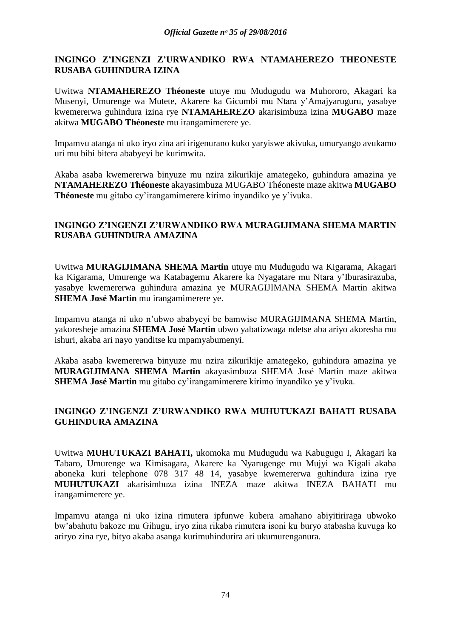# **INGINGO Z'INGENZI Z'URWANDIKO RWA NTAMAHEREZO THEONESTE RUSABA GUHINDURA IZINA**

Uwitwa **NTAMAHEREZO Théoneste** utuye mu Mudugudu wa Muhororo, Akagari ka Musenyi, Umurenge wa Mutete, Akarere ka Gicumbi mu Ntara y'Amajyaruguru, yasabye kwemererwa guhindura izina rye **NTAMAHEREZO** akarisimbuza izina **MUGABO** maze akitwa **MUGABO Théoneste** mu irangamimerere ye.

Impamvu atanga ni uko iryo zina ari irigenurano kuko yaryiswe akivuka, umuryango avukamo uri mu bibi bitera ababyeyi be kurimwita.

Akaba asaba kwemererwa binyuze mu nzira zikurikije amategeko, guhindura amazina ye **NTAMAHEREZO Théoneste** akayasimbuza MUGABO Théoneste maze akitwa **MUGABO Théoneste** mu gitabo cy'irangamimerere kirimo inyandiko ye y'ivuka.

# **INGINGO Z'INGENZI Z'URWANDIKO RWA MURAGIJIMANA SHEMA MARTIN RUSABA GUHINDURA AMAZINA**

Uwitwa **MURAGIJIMANA SHEMA Martin** utuye mu Mudugudu wa Kigarama, Akagari ka Kigarama, Umurenge wa Katabagemu Akarere ka Nyagatare mu Ntara y'Iburasirazuba, yasabye kwemererwa guhindura amazina ye MURAGIJIMANA SHEMA Martin akitwa **SHEMA José Martin** mu irangamimerere ye.

Impamvu atanga ni uko n'ubwo ababyeyi be bamwise MURAGIJIMANA SHEMA Martin, yakoresheje amazina **SHEMA José Martin** ubwo yabatizwaga ndetse aba ariyo akoresha mu ishuri, akaba ari nayo yanditse ku mpamyabumenyi.

Akaba asaba kwemererwa binyuze mu nzira zikurikije amategeko, guhindura amazina ye **MURAGIJIMANA SHEMA Martin** akayasimbuza SHEMA José Martin maze akitwa **SHEMA José Martin** mu gitabo cy'irangamimerere kirimo inyandiko ye y'ivuka.

# **INGINGO Z'INGENZI Z'URWANDIKO RWA MUHUTUKAZI BAHATI RUSABA GUHINDURA AMAZINA**

Uwitwa **MUHUTUKAZI BAHATI,** ukomoka mu Mudugudu wa Kabugugu I, Akagari ka Tabaro, Umurenge wa Kimisagara, Akarere ka Nyarugenge mu Mujyi wa Kigali akaba aboneka kuri telephone 078 317 48 14, yasabye kwemererwa guhindura izina rye **MUHUTUKAZI** akarisimbuza izina INEZA maze akitwa INEZA BAHATI mu irangamimerere ye.

Impamvu atanga ni uko izina rimutera ipfunwe kubera amahano abiyitiriraga ubwoko bw'abahutu bakoze mu Gihugu, iryo zina rikaba rimutera isoni ku buryo atabasha kuvuga ko ariryo zina rye, bityo akaba asanga kurimuhindurira ari ukumurenganura.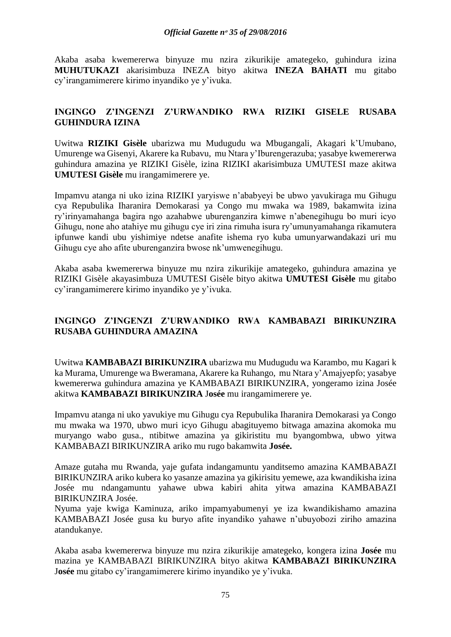#### *Official Gazette nᵒ 35 of 29/08/2016*

Akaba asaba kwemererwa binyuze mu nzira zikurikije amategeko, guhindura izina **MUHUTUKAZI** akarisimbuza INEZA bityo akitwa **INEZA BAHATI** mu gitabo cy'irangamimerere kirimo inyandiko ye y'ivuka.

# **INGINGO Z'INGENZI Z'URWANDIKO RWA RIZIKI GISELE RUSABA GUHINDURA IZINA**

Uwitwa **RIZIKI Gisèle** ubarizwa mu Mudugudu wa Mbugangali, Akagari k'Umubano, Umurenge wa Gisenyi, Akarere ka Rubavu, mu Ntara y'Iburengerazuba; yasabye kwemererwa guhindura amazina ye RIZIKI Gisèle, izina RIZIKI akarisimbuza UMUTESI maze akitwa **UMUTESI Gisèle** mu irangamimerere ye.

Impamvu atanga ni uko izina RIZIKI yaryiswe n'ababyeyi be ubwo yavukiraga mu Gihugu cya Repubulika Iharanira Demokarasi ya Congo mu mwaka wa 1989, bakamwita izina ry'irinyamahanga bagira ngo azahabwe uburenganzira kimwe n'abenegihugu bo muri icyo Gihugu, none aho atahiye mu gihugu cye iri zina rimuha isura ry'umunyamahanga rikamutera ipfunwe kandi ubu yishimiye ndetse anafite ishema ryo kuba umunyarwandakazi uri mu Gihugu cye aho afite uburenganzira bwose nk'umwenegihugu.

Akaba asaba kwemererwa binyuze mu nzira zikurikije amategeko, guhindura amazina ye RIZIKI Gisèle akayasimbuza UMUTESI Gisèle bityo akitwa **UMUTESI Gisèle** mu gitabo cy'irangamimerere kirimo inyandiko ye y'ivuka.

# **INGINGO Z'INGENZI Z'URWANDIKO RWA KAMBABAZI BIRIKUNZIRA RUSABA GUHINDURA AMAZINA**

Uwitwa **KAMBABAZI BIRIKUNZIRA** ubarizwa mu Mudugudu wa Karambo, mu Kagari k ka Murama, Umurenge wa Bweramana, Akarere ka Ruhango, mu Ntara y'Amajyepfo; yasabye kwemererwa guhindura amazina ye KAMBABAZI BIRIKUNZIRA, yongeramo izina Josée akitwa **KAMBABAZI BIRIKUNZIRA** J**osée** mu irangamimerere ye.

Impamvu atanga ni uko yavukiye mu Gihugu cya Repubulika Iharanira Demokarasi ya Congo mu mwaka wa 1970, ubwo muri icyo Gihugu abagituyemo bitwaga amazina akomoka mu muryango wabo gusa., ntibitwe amazina ya gikiristitu mu byangombwa, ubwo yitwa KAMBABAZI BIRIKUNZIRA ariko mu rugo bakamwita **Josée.**

Amaze gutaha mu Rwanda, yaje gufata indangamuntu yanditsemo amazina KAMBABAZI BIRIKUNZIRA ariko kubera ko yasanze amazina ya gikirisitu yemewe, aza kwandikisha izina Josée mu ndangamuntu yahawe ubwa kabiri ahita yitwa amazina KAMBABAZI BIRIKUNZIRA Josée.

Nyuma yaje kwiga Kaminuza, ariko impamyabumenyi ye iza kwandikishamo amazina KAMBABAZI Josée gusa ku buryo afite inyandiko yahawe n'ubuyobozi ziriho amazina atandukanye.

Akaba asaba kwemererwa binyuze mu nzira zikurikije amategeko, kongera izina **Josée** mu mazina ye KAMBABAZI BIRIKUNZIRA bityo akitwa **KAMBABAZI BIRIKUNZIRA**  J**osée** mu gitabo cy'irangamimerere kirimo inyandiko ye y'ivuka.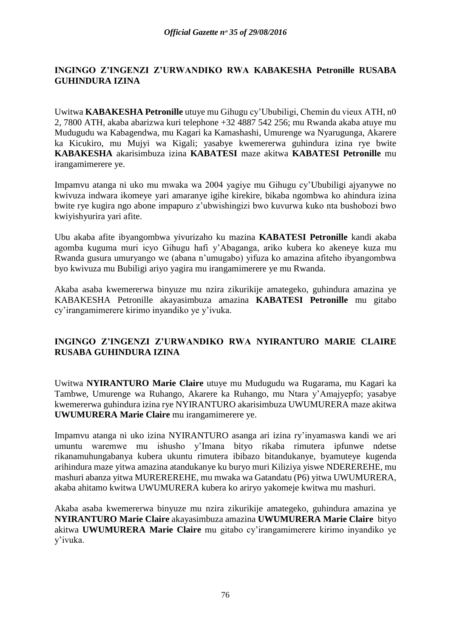# **INGINGO Z'INGENZI Z'URWANDIKO RWA KABAKESHA Petronille RUSABA GUHINDURA IZINA**

Uwitwa **KABAKESHA Petronille** utuye mu Gihugu cy'Ububiligi, Chemin du vieux ATH, n0 2, 7800 ATH, akaba abarizwa kuri telephone +32 4887 542 256; mu Rwanda akaba atuye mu Mudugudu wa Kabagendwa, mu Kagari ka Kamashashi, Umurenge wa Nyarugunga, Akarere ka Kicukiro, mu Mujyi wa Kigali; yasabye kwemererwa guhindura izina rye bwite **KABAKESHA** akarisimbuza izina **KABATESI** maze akitwa **KABATESI Petronille** mu irangamimerere ye.

Impamvu atanga ni uko mu mwaka wa 2004 yagiye mu Gihugu cy'Ububiligi ajyanywe no kwivuza indwara ikomeye yari amaranye igihe kirekire, bikaba ngombwa ko ahindura izina bwite rye kugira ngo abone impapuro z'ubwishingizi bwo kuvurwa kuko nta bushobozi bwo kwiyishyurira yari afite.

Ubu akaba afite ibyangombwa yivurizaho ku mazina **KABATESI Petronille** kandi akaba agomba kuguma muri icyo Gihugu hafi y'Abaganga, ariko kubera ko akeneye kuza mu Rwanda gusura umuryango we (abana n'umugabo) yifuza ko amazina afiteho ibyangombwa byo kwivuza mu Bubiligi ariyo yagira mu irangamimerere ye mu Rwanda.

Akaba asaba kwemererwa binyuze mu nzira zikurikije amategeko, guhindura amazina ye KABAKESHA Petronille akayasimbuza amazina **KABATESI Petronille** mu gitabo cy'irangamimerere kirimo inyandiko ye y'ivuka.

# **INGINGO Z'INGENZI Z'URWANDIKO RWA NYIRANTURO MARIE CLAIRE RUSABA GUHINDURA IZINA**

Uwitwa **NYIRANTURO Marie Claire** utuye mu Mudugudu wa Rugarama, mu Kagari ka Tambwe, Umurenge wa Ruhango, Akarere ka Ruhango, mu Ntara y'Amajyepfo; yasabye kwemererwa guhindura izina rye NYIRANTURO akarisimbuza UWUMURERA maze akitwa **UWUMURERA Marie Claire** mu irangamimerere ye.

Impamvu atanga ni uko izina NYIRANTURO asanga ari izina ry'inyamaswa kandi we ari umuntu waremwe mu ishusho y'Imana bityo rikaba rimutera ipfunwe ndetse rikanamuhungabanya kubera ukuntu rimutera ibibazo bitandukanye, byamuteye kugenda arihindura maze yitwa amazina atandukanye ku buryo muri Kiliziya yiswe NDEREREHE, mu mashuri abanza yitwa MUREREREHE, mu mwaka wa Gatandatu (P6) yitwa UWUMURERA, akaba ahitamo kwitwa UWUMURERA kubera ko ariryo yakomeje kwitwa mu mashuri.

Akaba asaba kwemererwa binyuze mu nzira zikurikije amategeko, guhindura amazina ye **NYIRANTURO Marie Claire** akayasimbuza amazina **UWUMURERA Marie Claire** bityo akitwa **UWUMURERA Marie Claire** mu gitabo cy'irangamimerere kirimo inyandiko ye y'ivuka.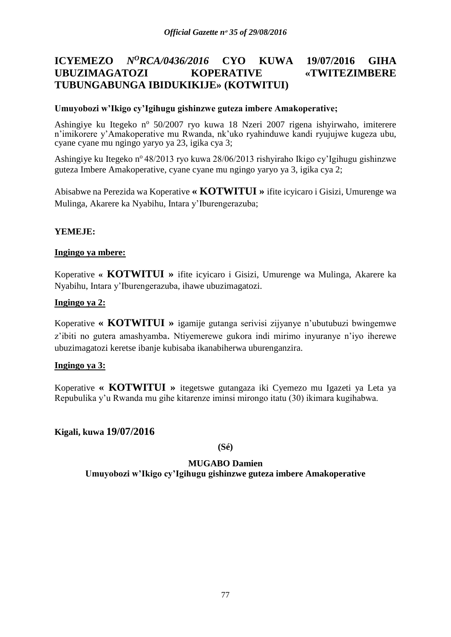# **ICYEMEZO** *N<sup>O</sup>RCA/0436/2016* **CYO KUWA 19/07/2016 GIHA UBUZIMAGATOZI KOPERATIVE «TWITEZIMBERE TUBUNGABUNGA IBIDUKIKIJE» (KOTWITUI)**

## **Umuyobozi w'Ikigo cy'Igihugu gishinzwe guteza imbere Amakoperative;**

Ashingiye ku Itegeko nº 50/2007 ryo kuwa 18 Nzeri 2007 rigena ishyirwaho, imiterere n'imikorere y'Amakoperative mu Rwanda, nk'uko ryahinduwe kandi ryujujwe kugeza ubu, cyane cyane mu ngingo yaryo ya 23, igika cya 3;

Ashingiye ku Itegeko n<sup>o</sup> 48/2013 ryo kuwa 28/06/2013 rishyiraho Ikigo cy'Igihugu gishinzwe guteza Imbere Amakoperative, cyane cyane mu ngingo yaryo ya 3, igika cya 2;

Abisabwe na Perezida wa Koperative **« KOTWITUI »** ifite icyicaro i Gisizi, Umurenge wa Mulinga, Akarere ka Nyabihu, Intara y'Iburengerazuba;

## **YEMEJE:**

## **Ingingo ya mbere:**

Koperative **« KOTWITUI »** ifite icyicaro i Gisizi, Umurenge wa Mulinga, Akarere ka Nyabihu, Intara y'Iburengerazuba, ihawe ubuzimagatozi.

## **Ingingo ya 2:**

Koperative **« KOTWITUI »** igamije gutanga serivisi zijyanye n'ubutubuzi bwingemwe z'ibiti no gutera amashyamba. Ntiyemerewe gukora indi mirimo inyuranye n'iyo iherewe ubuzimagatozi keretse ibanje kubisaba ikanabiherwa uburenganzira.

#### **Ingingo ya 3:**

Koperative **« KOTWITUI »** itegetswe gutangaza iki Cyemezo mu Igazeti ya Leta ya Repubulika y'u Rwanda mu gihe kitarenze iminsi mirongo itatu (30) ikimara kugihabwa.

# **Kigali, kuwa 19/07/2016**

**(Sé)**

# **MUGABO Damien**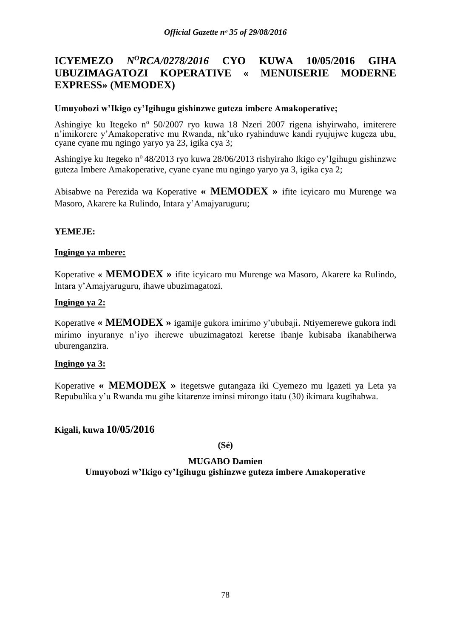# **ICYEMEZO** *N<sup>O</sup>RCA/0278/2016* **CYO KUWA 10/05/2016 GIHA UBUZIMAGATOZI KOPERATIVE « MENUISERIE MODERNE EXPRESS» (MEMODEX)**

## **Umuyobozi w'Ikigo cy'Igihugu gishinzwe guteza imbere Amakoperative;**

Ashingiye ku Itegeko nº 50/2007 ryo kuwa 18 Nzeri 2007 rigena ishyirwaho, imiterere n'imikorere y'Amakoperative mu Rwanda, nk'uko ryahinduwe kandi ryujujwe kugeza ubu, cyane cyane mu ngingo yaryo ya 23, igika cya 3;

Ashingiye ku Itegeko nº 48/2013 ryo kuwa 28/06/2013 rishyiraho Ikigo cy'Igihugu gishinzwe guteza Imbere Amakoperative, cyane cyane mu ngingo yaryo ya 3, igika cya 2;

Abisabwe na Perezida wa Koperative **« MEMODEX »** ifite icyicaro mu Murenge wa Masoro, Akarere ka Rulindo, Intara y'Amajyaruguru;

## **YEMEJE:**

## **Ingingo ya mbere:**

Koperative **« MEMODEX »** ifite icyicaro mu Murenge wa Masoro, Akarere ka Rulindo, Intara y'Amajyaruguru, ihawe ubuzimagatozi.

## **Ingingo ya 2:**

Koperative **« MEMODEX »** igamije gukora imirimo y'ububaji. Ntiyemerewe gukora indi mirimo inyuranye n'iyo iherewe ubuzimagatozi keretse ibanje kubisaba ikanabiherwa uburenganzira.

#### **Ingingo ya 3:**

Koperative **« MEMODEX »** itegetswe gutangaza iki Cyemezo mu Igazeti ya Leta ya Repubulika y'u Rwanda mu gihe kitarenze iminsi mirongo itatu (30) ikimara kugihabwa.

# **Kigali, kuwa 10/05/2016**

**(Sé)**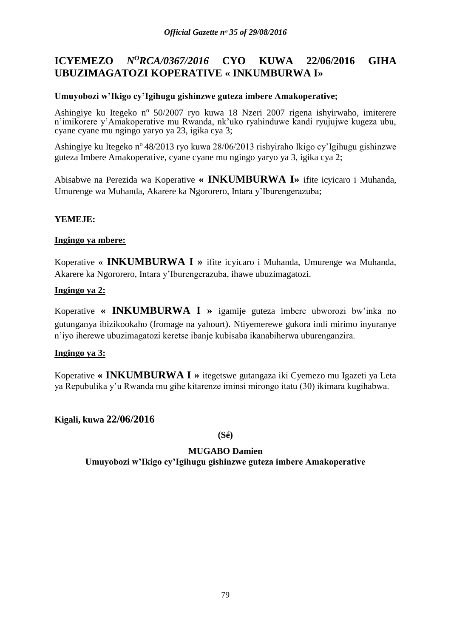# **ICYEMEZO** *N<sup>O</sup>RCA/0367/2016* **CYO KUWA 22/06/2016 GIHA UBUZIMAGATOZI KOPERATIVE « INKUMBURWA I»**

# **Umuyobozi w'Ikigo cy'Igihugu gishinzwe guteza imbere Amakoperative;**

Ashingiye ku Itegeko nº 50/2007 ryo kuwa 18 Nzeri 2007 rigena ishyirwaho, imiterere n'imikorere y'Amakoperative mu Rwanda, nk'uko ryahinduwe kandi ryujujwe kugeza ubu, cyane cyane mu ngingo yaryo ya 23, igika cya 3;

Ashingiye ku Itegeko n<sup>o</sup> 48/2013 ryo kuwa 28/06/2013 rishyiraho Ikigo cy'Igihugu gishinzwe guteza Imbere Amakoperative, cyane cyane mu ngingo yaryo ya 3, igika cya 2;

Abisabwe na Perezida wa Koperative **« INKUMBURWA I»** ifite icyicaro i Muhanda, Umurenge wa Muhanda, Akarere ka Ngororero, Intara y'Iburengerazuba;

# **YEMEJE:**

## **Ingingo ya mbere:**

Koperative **« INKUMBURWA I »** ifite icyicaro i Muhanda, Umurenge wa Muhanda, Akarere ka Ngororero, Intara y'Iburengerazuba, ihawe ubuzimagatozi.

## **Ingingo ya 2:**

Koperative **« INKUMBURWA I »** igamije guteza imbere ubworozi bw'inka no gutunganya ibizikookaho (fromage na yahourt). Ntiyemerewe gukora indi mirimo inyuranye n'iyo iherewe ubuzimagatozi keretse ibanje kubisaba ikanabiherwa uburenganzira.

#### **Ingingo ya 3:**

Koperative **« INKUMBURWA I »** itegetswe gutangaza iki Cyemezo mu Igazeti ya Leta ya Repubulika y'u Rwanda mu gihe kitarenze iminsi mirongo itatu (30) ikimara kugihabwa.

# **Kigali, kuwa 22/06/2016**

**(Sé)**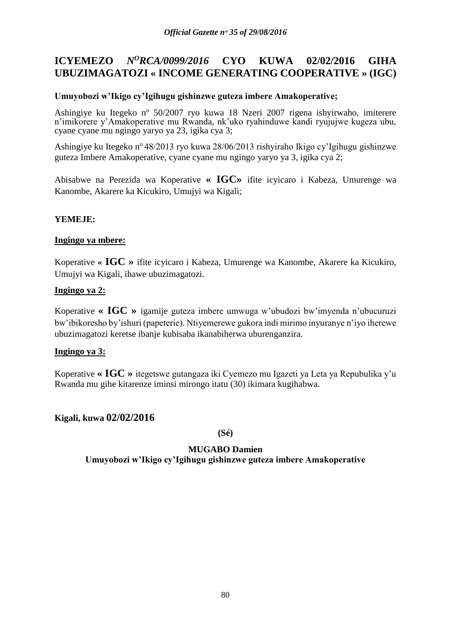# **ICYEMEZO** *N<sup>O</sup>RCA/0099/2016* **CYO KUWA 02/02/2016 GIHA UBUZIMAGATOZI « INCOME GENERATING COOPERATIVE » (IGC)**

## **Umuyobozi w'Ikigo cy'Igihugu gishinzwe guteza imbere Amakoperative;**

Ashingiye ku Itegeko nº 50/2007 ryo kuwa 18 Nzeri 2007 rigena ishyirwaho, imiterere n'imikorere y'Amakoperative mu Rwanda, nk'uko ryahinduwe kandi ryujujwe kugeza ubu, cyane cyane mu ngingo yaryo ya 23, igika cya 3;

Ashingiye ku Itegeko nº 48/2013 ryo kuwa 28/06/2013 rishyiraho Ikigo cy'Igihugu gishinzwe guteza Imbere Amakoperative, cyane cyane mu ngingo yaryo ya 3, igika cya 2;

Abisabwe na Perezida wa Koperative **« IGC»** ifite icyicaro i Kabeza, Umurenge wa Kanombe, Akarere ka Kicukiro, Umujyi wa Kigali;

# **YEMEJE:**

## **Ingingo ya mbere:**

Koperative **« IGC »** ifite icyicaro i Kabeza, Umurenge wa Kanombe, Akarere ka Kicukiro, Umujyi wa Kigali, ihawe ubuzimagatozi.

## **Ingingo ya 2:**

Koperative **« IGC »** igamije guteza imbere umwuga w'ubudozi bw'imyenda n'ubucuruzi bw'ibikoresho by'ishuri (papeterie). Ntiyemerewe gukora indi mirimo inyuranye n'iyo iherewe ubuzimagatozi keretse ibanje kubisaba ikanabiherwa uburenganzira.

#### **Ingingo ya 3:**

Koperative **« IGC »** itegetswe gutangaza iki Cyemezo mu Igazeti ya Leta ya Repubulika y'u Rwanda mu gihe kitarenze iminsi mirongo itatu (30) ikimara kugihabwa.

# **Kigali, kuwa 02/02/2016**

**(Sé)**

# **MUGABO Damien**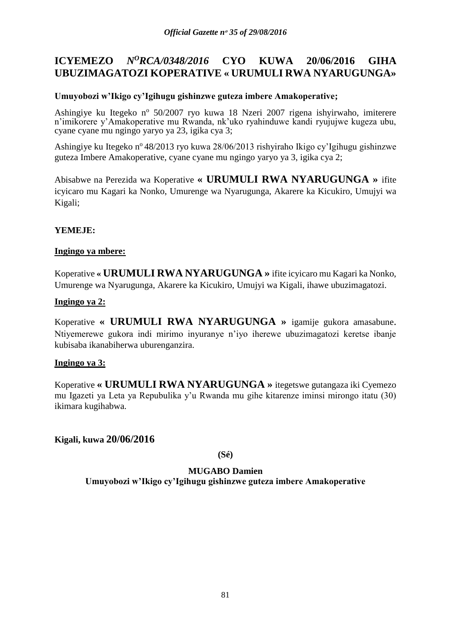# **ICYEMEZO** *N<sup>O</sup>RCA/0348/2016* **CYO KUWA 20/06/2016 GIHA UBUZIMAGATOZI KOPERATIVE « URUMULI RWA NYARUGUNGA»**

# **Umuyobozi w'Ikigo cy'Igihugu gishinzwe guteza imbere Amakoperative;**

Ashingiye ku Itegeko nº 50/2007 ryo kuwa 18 Nzeri 2007 rigena ishyirwaho, imiterere n'imikorere y'Amakoperative mu Rwanda, nk'uko ryahinduwe kandi ryujujwe kugeza ubu, cyane cyane mu ngingo yaryo ya 23, igika cya 3;

Ashingiye ku Itegeko n<sup>o</sup> 48/2013 ryo kuwa 28/06/2013 rishyiraho Ikigo cy'Igihugu gishinzwe guteza Imbere Amakoperative, cyane cyane mu ngingo yaryo ya 3, igika cya 2;

Abisabwe na Perezida wa Koperative **« URUMULI RWA NYARUGUNGA »** ifite icyicaro mu Kagari ka Nonko, Umurenge wa Nyarugunga, Akarere ka Kicukiro, Umujyi wa Kigali;

# **YEMEJE:**

## **Ingingo ya mbere:**

Koperative **« URUMULI RWA NYARUGUNGA »** ifite icyicaro mu Kagari ka Nonko, Umurenge wa Nyarugunga, Akarere ka Kicukiro, Umujyi wa Kigali, ihawe ubuzimagatozi.

## **Ingingo ya 2:**

Koperative **« URUMULI RWA NYARUGUNGA »** igamije gukora amasabune. Ntiyemerewe gukora indi mirimo inyuranye n'iyo iherewe ubuzimagatozi keretse ibanje kubisaba ikanabiherwa uburenganzira.

#### **Ingingo ya 3:**

Koperative **« URUMULI RWA NYARUGUNGA »** itegetswe gutangaza iki Cyemezo mu Igazeti ya Leta ya Repubulika y'u Rwanda mu gihe kitarenze iminsi mirongo itatu (30) ikimara kugihabwa.

**Kigali, kuwa 20/06/2016**

**(Sé)**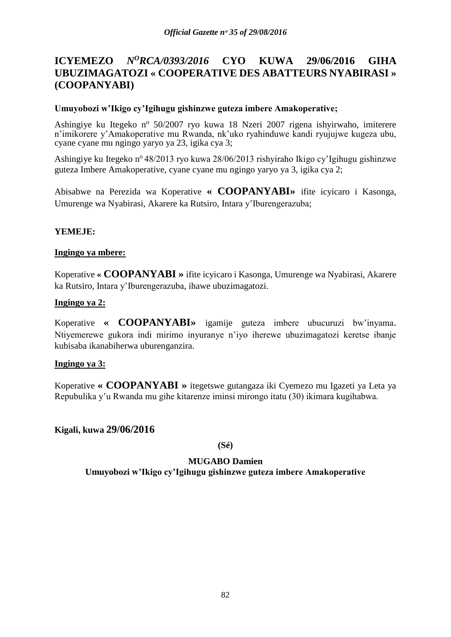# **ICYEMEZO** *N<sup>O</sup>RCA/0393/2016* **CYO KUWA 29/06/2016 GIHA UBUZIMAGATOZI « COOPERATIVE DES ABATTEURS NYABIRASI » (COOPANYABI)**

## **Umuyobozi w'Ikigo cy'Igihugu gishinzwe guteza imbere Amakoperative;**

Ashingiye ku Itegeko nº 50/2007 ryo kuwa 18 Nzeri 2007 rigena ishyirwaho, imiterere n'imikorere y'Amakoperative mu Rwanda, nk'uko ryahinduwe kandi ryujujwe kugeza ubu, cyane cyane mu ngingo yaryo ya 23, igika cya 3;

Ashingiye ku Itegeko nº 48/2013 ryo kuwa 28/06/2013 rishyiraho Ikigo cy'Igihugu gishinzwe guteza Imbere Amakoperative, cyane cyane mu ngingo yaryo ya 3, igika cya 2;

Abisabwe na Perezida wa Koperative **« COOPANYABI»** ifite icyicaro i Kasonga, Umurenge wa Nyabirasi, Akarere ka Rutsiro, Intara y'Iburengerazuba;

## **YEMEJE:**

## **Ingingo ya mbere:**

Koperative **« COOPANYABI »** ifite icyicaro i Kasonga, Umurenge wa Nyabirasi, Akarere ka Rutsiro, Intara y'Iburengerazuba, ihawe ubuzimagatozi.

## **Ingingo ya 2:**

Koperative **« COOPANYABI»** igamije guteza imbere ubucuruzi bw'inyama. Ntiyemerewe gukora indi mirimo inyuranye n'iyo iherewe ubuzimagatozi keretse ibanje kubisaba ikanabiherwa uburenganzira.

#### **Ingingo ya 3:**

Koperative **« COOPANYABI »** itegetswe gutangaza iki Cyemezo mu Igazeti ya Leta ya Repubulika y'u Rwanda mu gihe kitarenze iminsi mirongo itatu (30) ikimara kugihabwa.

**Kigali, kuwa 29/06/2016**

**(Sé)**

# **MUGABO Damien**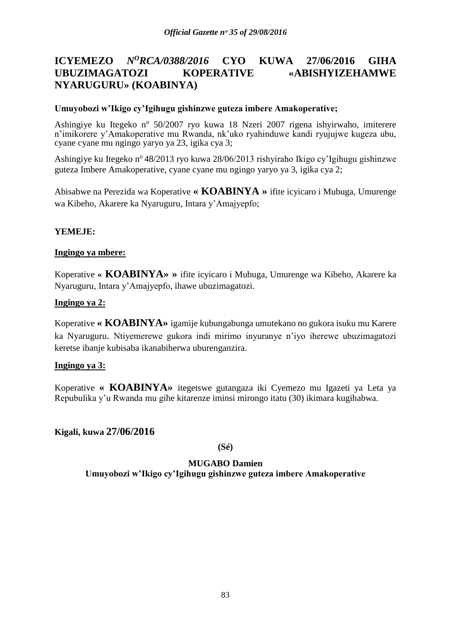# **ICYEMEZO** *N<sup>O</sup>RCA/0388/2016* **CYO KUWA 27/06/2016 GIHA UBUZIMAGATOZI KOPERATIVE «ABISHYIZEHAMWE NYARUGURU» (KOABINYA)**

## **Umuyobozi w'Ikigo cy'Igihugu gishinzwe guteza imbere Amakoperative;**

Ashingiye ku Itegeko nº 50/2007 ryo kuwa 18 Nzeri 2007 rigena ishyirwaho, imiterere n'imikorere y'Amakoperative mu Rwanda, nk'uko ryahinduwe kandi ryujujwe kugeza ubu, cyane cyane mu ngingo yaryo ya 23, igika cya 3;

Ashingiye ku Itegeko n<sup>o</sup> 48/2013 ryo kuwa 28/06/2013 rishyiraho Ikigo cy'Igihugu gishinzwe guteza Imbere Amakoperative, cyane cyane mu ngingo yaryo ya 3, igika cya 2;

Abisabwe na Perezida wa Koperative **« KOABINYA »** ifite icyicaro i Mubuga, Umurenge wa Kibeho, Akarere ka Nyaruguru, Intara y'Amajyepfo;

## **YEMEJE:**

## **Ingingo ya mbere:**

Koperative **« KOABINYA» »** ifite icyicaro i Mubuga, Umurenge wa Kibeho, Akarere ka Nyaruguru, Intara y'Amajyepfo, ihawe ubuzimagatozi.

## **Ingingo ya 2:**

Koperative **« KOABINYA»** igamije kubungabunga umutekano no gukora isuku mu Karere ka Nyaruguru. Ntiyemerewe gukora indi mirimo inyuranye n'iyo iherewe ubuzimagatozi keretse ibanje kubisaba ikanabiherwa uburenganzira.

#### **Ingingo ya 3:**

Koperative **« KOABINYA»** itegetswe gutangaza iki Cyemezo mu Igazeti ya Leta ya Repubulika y'u Rwanda mu gihe kitarenze iminsi mirongo itatu (30) ikimara kugihabwa.

# **Kigali, kuwa 27/06/2016**

**(Sé)**

#### **MUGABO Damien**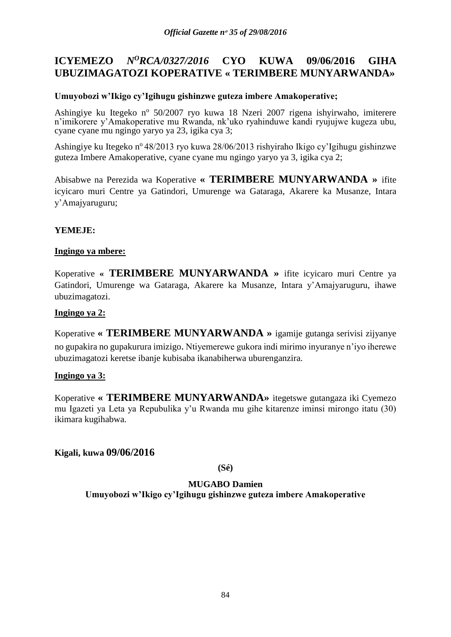# **ICYEMEZO** *N<sup>O</sup>RCA/0327/2016* **CYO KUWA 09/06/2016 GIHA UBUZIMAGATOZI KOPERATIVE « TERIMBERE MUNYARWANDA»**

## **Umuyobozi w'Ikigo cy'Igihugu gishinzwe guteza imbere Amakoperative;**

Ashingiye ku Itegeko nº 50/2007 ryo kuwa 18 Nzeri 2007 rigena ishyirwaho, imiterere n'imikorere y'Amakoperative mu Rwanda, nk'uko ryahinduwe kandi ryujujwe kugeza ubu, cyane cyane mu ngingo yaryo ya 23, igika cya 3;

Ashingiye ku Itegeko n<sup>o</sup> 48/2013 ryo kuwa 28/06/2013 rishyiraho Ikigo cy'Igihugu gishinzwe guteza Imbere Amakoperative, cyane cyane mu ngingo yaryo ya 3, igika cya 2;

Abisabwe na Perezida wa Koperative **« TERIMBERE MUNYARWANDA »** ifite icyicaro muri Centre ya Gatindori, Umurenge wa Gataraga, Akarere ka Musanze, Intara y'Amajyaruguru;

# **YEMEJE:**

## **Ingingo ya mbere:**

Koperative **« TERIMBERE MUNYARWANDA »** ifite icyicaro muri Centre ya Gatindori, Umurenge wa Gataraga, Akarere ka Musanze, Intara y'Amajyaruguru, ihawe ubuzimagatozi.

## **Ingingo ya 2:**

Koperative **« TERIMBERE MUNYARWANDA »** igamije gutanga serivisi zijyanye no gupakira no gupakurura imizigo. Ntiyemerewe gukora indi mirimo inyuranye n'iyo iherewe ubuzimagatozi keretse ibanje kubisaba ikanabiherwa uburenganzira.

#### **Ingingo ya 3:**

Koperative **« TERIMBERE MUNYARWANDA»** itegetswe gutangaza iki Cyemezo mu Igazeti ya Leta ya Repubulika y'u Rwanda mu gihe kitarenze iminsi mirongo itatu (30) ikimara kugihabwa.

# **Kigali, kuwa 09/06/2016**

#### **(Sé)**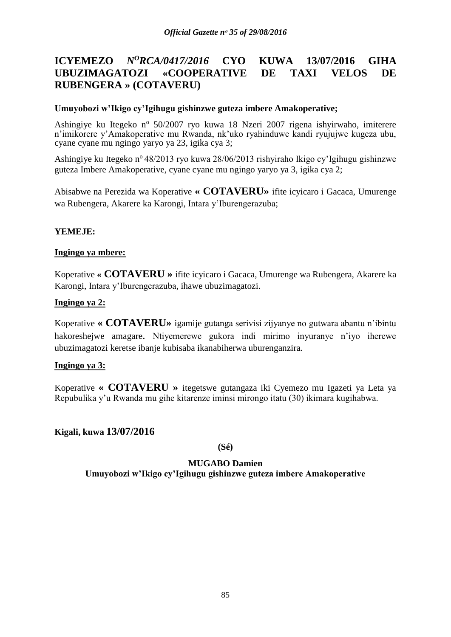# **ICYEMEZO** *N<sup>O</sup>RCA/0417/2016* **CYO KUWA 13/07/2016 GIHA UBUZIMAGATOZI «COOPERATIVE DE TAXI VELOS DE RUBENGERA » (COTAVERU)**

## **Umuyobozi w'Ikigo cy'Igihugu gishinzwe guteza imbere Amakoperative;**

Ashingiye ku Itegeko nº 50/2007 ryo kuwa 18 Nzeri 2007 rigena ishyirwaho, imiterere n'imikorere y'Amakoperative mu Rwanda, nk'uko ryahinduwe kandi ryujujwe kugeza ubu, cyane cyane mu ngingo yaryo ya 23, igika cya 3;

Ashingiye ku Itegeko n<sup>o</sup> 48/2013 ryo kuwa 28/06/2013 rishyiraho Ikigo cy'Igihugu gishinzwe guteza Imbere Amakoperative, cyane cyane mu ngingo yaryo ya 3, igika cya 2;

Abisabwe na Perezida wa Koperative **« COTAVERU»** ifite icyicaro i Gacaca, Umurenge wa Rubengera, Akarere ka Karongi, Intara y'Iburengerazuba;

## **YEMEJE:**

## **Ingingo ya mbere:**

Koperative **« COTAVERU »** ifite icyicaro i Gacaca, Umurenge wa Rubengera, Akarere ka Karongi, Intara y'Iburengerazuba, ihawe ubuzimagatozi.

## **Ingingo ya 2:**

Koperative **« COTAVERU»** igamije gutanga serivisi zijyanye no gutwara abantu n'ibintu hakoreshejwe amagare. Ntiyemerewe gukora indi mirimo inyuranye n'iyo iherewe ubuzimagatozi keretse ibanje kubisaba ikanabiherwa uburenganzira.

#### **Ingingo ya 3:**

Koperative **« COTAVERU »** itegetswe gutangaza iki Cyemezo mu Igazeti ya Leta ya Repubulika y'u Rwanda mu gihe kitarenze iminsi mirongo itatu (30) ikimara kugihabwa.

# **Kigali, kuwa 13/07/2016**

**(Sé)**

#### **MUGABO Damien**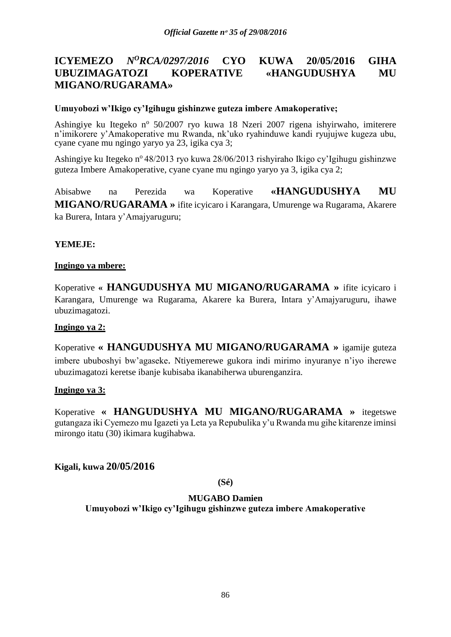# **ICYEMEZO** *N<sup>O</sup>RCA/0297/2016* **CYO KUWA 20/05/2016 GIHA UBUZIMAGATOZI KOPERATIVE «HANGUDUSHYA MU MIGANO/RUGARAMA»**

## **Umuyobozi w'Ikigo cy'Igihugu gishinzwe guteza imbere Amakoperative;**

Ashingiye ku Itegeko nº 50/2007 ryo kuwa 18 Nzeri 2007 rigena ishyirwaho, imiterere n'imikorere y'Amakoperative mu Rwanda, nk'uko ryahinduwe kandi ryujujwe kugeza ubu, cyane cyane mu ngingo yaryo ya 23, igika cya 3;

Ashingiye ku Itegeko n<sup>o</sup> 48/2013 ryo kuwa 28/06/2013 rishyiraho Ikigo cy'Igihugu gishinzwe guteza Imbere Amakoperative, cyane cyane mu ngingo yaryo ya 3, igika cya 2;

Abisabwe na Perezida wa Koperative **«HANGUDUSHYA MU MIGANO/RUGARAMA »** ifite icyicaro i Karangara, Umurenge wa Rugarama, Akarere ka Burera, Intara y'Amajyaruguru;

## **YEMEJE:**

#### **Ingingo ya mbere:**

Koperative **« HANGUDUSHYA MU MIGANO/RUGARAMA »** ifite icyicaro i Karangara, Umurenge wa Rugarama, Akarere ka Burera, Intara y'Amajyaruguru, ihawe ubuzimagatozi.

#### **Ingingo ya 2:**

Koperative **« HANGUDUSHYA MU MIGANO/RUGARAMA »** igamije guteza imbere ububoshyi bw'agaseke. Ntiyemerewe gukora indi mirimo inyuranye n'iyo iherewe ubuzimagatozi keretse ibanje kubisaba ikanabiherwa uburenganzira.

#### **Ingingo ya 3:**

Koperative **« HANGUDUSHYA MU MIGANO/RUGARAMA »** itegetswe gutangaza iki Cyemezo mu Igazeti ya Leta ya Repubulika y'u Rwanda mu gihe kitarenze iminsi mirongo itatu (30) ikimara kugihabwa.

**Kigali, kuwa 20/05/2016**

**(Sé)**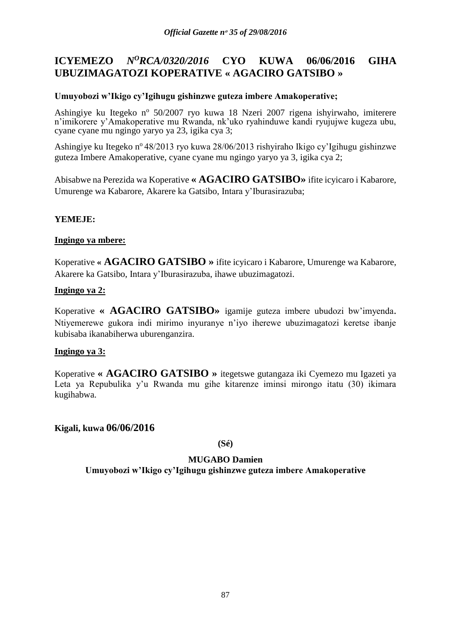# **ICYEMEZO** *N<sup>O</sup>RCA/0320/2016* **CYO KUWA 06/06/2016 GIHA UBUZIMAGATOZI KOPERATIVE « AGACIRO GATSIBO »**

# **Umuyobozi w'Ikigo cy'Igihugu gishinzwe guteza imbere Amakoperative;**

Ashingiye ku Itegeko nº 50/2007 ryo kuwa 18 Nzeri 2007 rigena ishyirwaho, imiterere n'imikorere y'Amakoperative mu Rwanda, nk'uko ryahinduwe kandi ryujujwe kugeza ubu, cyane cyane mu ngingo yaryo ya 23, igika cya 3;

Ashingiye ku Itegeko n<sup>o</sup> 48/2013 ryo kuwa 28/06/2013 rishyiraho Ikigo cy'Igihugu gishinzwe guteza Imbere Amakoperative, cyane cyane mu ngingo yaryo ya 3, igika cya 2;

Abisabwe na Perezida wa Koperative **« AGACIRO GATSIBO»** ifite icyicaro i Kabarore, Umurenge wa Kabarore, Akarere ka Gatsibo, Intara y'Iburasirazuba;

# **YEMEJE:**

## **Ingingo ya mbere:**

Koperative **« AGACIRO GATSIBO »** ifite icyicaro i Kabarore, Umurenge wa Kabarore, Akarere ka Gatsibo, Intara y'Iburasirazuba, ihawe ubuzimagatozi.

## **Ingingo ya 2:**

Koperative **« AGACIRO GATSIBO»** igamije guteza imbere ubudozi bw'imyenda. Ntiyemerewe gukora indi mirimo inyuranye n'iyo iherewe ubuzimagatozi keretse ibanje kubisaba ikanabiherwa uburenganzira.

#### **Ingingo ya 3:**

Koperative **« AGACIRO GATSIBO »** itegetswe gutangaza iki Cyemezo mu Igazeti ya Leta ya Repubulika y'u Rwanda mu gihe kitarenze iminsi mirongo itatu (30) ikimara kugihabwa.

**Kigali, kuwa 06/06/2016**

**(Sé)**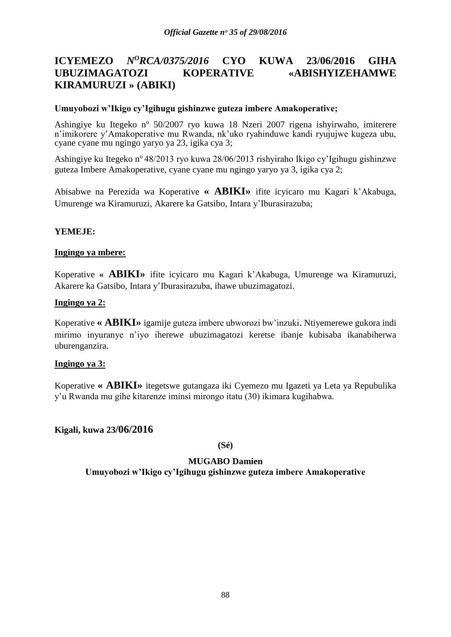# **ICYEMEZO** *N<sup>O</sup>RCA/0375/2016* **CYO KUWA 23/06/2016 GIHA UBUZIMAGATOZI KOPERATIVE «ABISHYIZEHAMWE KIRAMURUZI » (ABIKI)**

## **Umuyobozi w'Ikigo cy'Igihugu gishinzwe guteza imbere Amakoperative;**

Ashingiye ku Itegeko nº 50/2007 ryo kuwa 18 Nzeri 2007 rigena ishyirwaho, imiterere n'imikorere y'Amakoperative mu Rwanda, nk'uko ryahinduwe kandi ryujujwe kugeza ubu, cyane cyane mu ngingo yaryo ya 23, igika cya 3;

Ashingiye ku Itegeko nº 48/2013 ryo kuwa 28/06/2013 rishyiraho Ikigo cy'Igihugu gishinzwe guteza Imbere Amakoperative, cyane cyane mu ngingo yaryo ya 3, igika cya 2;

Abisabwe na Perezida wa Koperative **« ABIKI»** ifite icyicaro mu Kagari k'Akabuga, Umurenge wa Kiramuruzi, Akarere ka Gatsibo, Intara y'Iburasirazuba;

## **YEMEJE:**

## **Ingingo ya mbere:**

Koperative **« ABIKI»** ifite icyicaro mu Kagari k'Akabuga, Umurenge wa Kiramuruzi, Akarere ka Gatsibo, Intara y'Iburasirazuba, ihawe ubuzimagatozi.

## **Ingingo ya 2:**

Koperative **« ABIKI»** igamije guteza imbere ubworozi bw'inzuki. Ntiyemerewe gukora indi mirimo inyuranye n'iyo iherewe ubuzimagatozi keretse ibanje kubisaba ikanabiherwa uburenganzira.

#### **Ingingo ya 3:**

Koperative **« ABIKI»** itegetswe gutangaza iki Cyemezo mu Igazeti ya Leta ya Repubulika y'u Rwanda mu gihe kitarenze iminsi mirongo itatu (30) ikimara kugihabwa.

# **Kigali, kuwa 23/06/2016**

**(Sé)**

# **MUGABO Damien**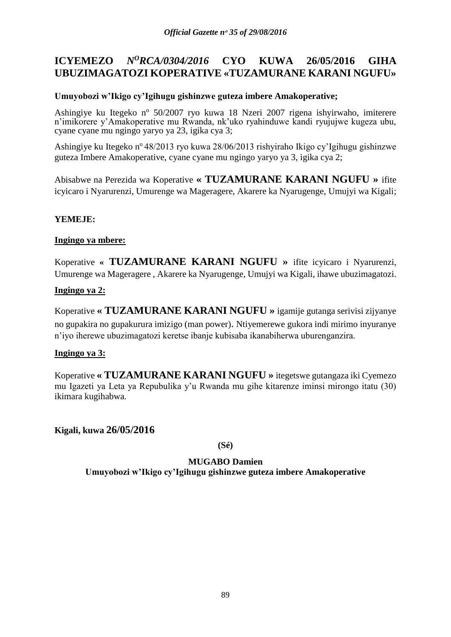# **ICYEMEZO** *N<sup>O</sup>RCA/0304/2016* **CYO KUWA 26/05/2016 GIHA UBUZIMAGATOZI KOPERATIVE «TUZAMURANE KARANI NGUFU»**

# **Umuyobozi w'Ikigo cy'Igihugu gishinzwe guteza imbere Amakoperative;**

Ashingiye ku Itegeko nº 50/2007 ryo kuwa 18 Nzeri 2007 rigena ishyirwaho, imiterere n'imikorere y'Amakoperative mu Rwanda, nk'uko ryahinduwe kandi ryujujwe kugeza ubu, cyane cyane mu ngingo yaryo ya 23, igika cya 3;

Ashingiye ku Itegeko n<sup>o</sup> 48/2013 ryo kuwa 28/06/2013 rishyiraho Ikigo cy'Igihugu gishinzwe guteza Imbere Amakoperative, cyane cyane mu ngingo yaryo ya 3, igika cya 2;

Abisabwe na Perezida wa Koperative **« TUZAMURANE KARANI NGUFU »** ifite icyicaro i Nyarurenzi, Umurenge wa Mageragere, Akarere ka Nyarugenge, Umujyi wa Kigali;

# **YEMEJE:**

# **Ingingo ya mbere:**

Koperative **« TUZAMURANE KARANI NGUFU »** ifite icyicaro i Nyarurenzi, Umurenge wa Mageragere , Akarere ka Nyarugenge, Umujyi wa Kigali, ihawe ubuzimagatozi.

# **Ingingo ya 2:**

Koperative **« TUZAMURANE KARANI NGUFU »** igamije gutanga serivisi zijyanye no gupakira no gupakurura imizigo (man power). Ntiyemerewe gukora indi mirimo inyuranye n'iyo iherewe ubuzimagatozi keretse ibanje kubisaba ikanabiherwa uburenganzira.

# **Ingingo ya 3:**

Koperative **« TUZAMURANE KARANI NGUFU »** itegetswe gutangaza iki Cyemezo mu Igazeti ya Leta ya Repubulika y'u Rwanda mu gihe kitarenze iminsi mirongo itatu (30) ikimara kugihabwa.

**Kigali, kuwa 26/05/2016**

**(Sé)**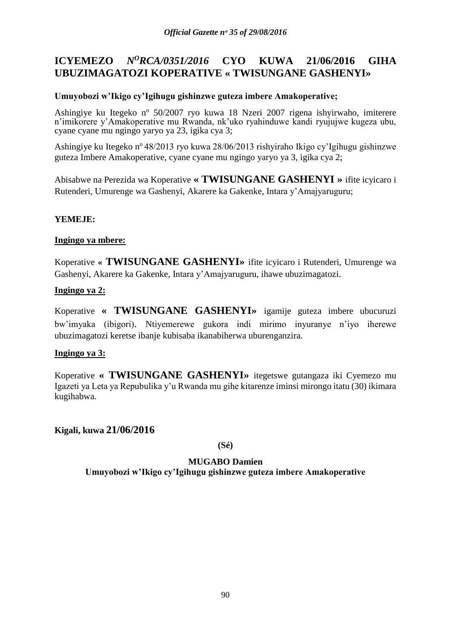# **ICYEMEZO** *N<sup>O</sup>RCA/0351/2016* **CYO KUWA 21/06/2016 GIHA UBUZIMAGATOZI KOPERATIVE « TWISUNGANE GASHENYI»**

# **Umuyobozi w'Ikigo cy'Igihugu gishinzwe guteza imbere Amakoperative;**

Ashingiye ku Itegeko nº 50/2007 ryo kuwa 18 Nzeri 2007 rigena ishyirwaho, imiterere n'imikorere y'Amakoperative mu Rwanda, nk'uko ryahinduwe kandi ryujujwe kugeza ubu, cyane cyane mu ngingo yaryo ya 23, igika cya 3;

Ashingiye ku Itegeko n<sup>o</sup> 48/2013 ryo kuwa 28/06/2013 rishyiraho Ikigo cy'Igihugu gishinzwe guteza Imbere Amakoperative, cyane cyane mu ngingo yaryo ya 3, igika cya 2;

Abisabwe na Perezida wa Koperative **« TWISUNGANE GASHENYI »** ifite icyicaro i Rutenderi, Umurenge wa Gashenyi, Akarere ka Gakenke, Intara y'Amajyaruguru;

# **YEMEJE:**

#### **Ingingo ya mbere:**

Koperative **« TWISUNGANE GASHENYI»** ifite icyicaro i Rutenderi, Umurenge wa Gashenyi, Akarere ka Gakenke, Intara y'Amajyaruguru, ihawe ubuzimagatozi.

## **Ingingo ya 2:**

Koperative **« TWISUNGANE GASHENYI»** igamije guteza imbere ubucuruzi bw'imyaka (ibigori). Ntiyemerewe gukora indi mirimo inyuranye n'iyo iherewe ubuzimagatozi keretse ibanje kubisaba ikanabiherwa uburenganzira.

#### **Ingingo ya 3:**

Koperative **« TWISUNGANE GASHENYI»** itegetswe gutangaza iki Cyemezo mu Igazeti ya Leta ya Repubulika y'u Rwanda mu gihe kitarenze iminsi mirongo itatu (30) ikimara kugihabwa.

**Kigali, kuwa 21/06/2016**

**(Sé)**

# **MUGABO Damien**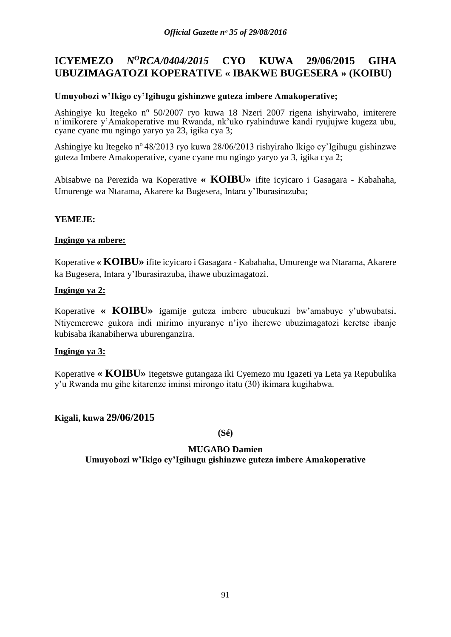# **ICYEMEZO** *N<sup>O</sup>RCA/0404/2015* **CYO KUWA 29/06/2015 GIHA UBUZIMAGATOZI KOPERATIVE « IBAKWE BUGESERA » (KOIBU)**

## **Umuyobozi w'Ikigo cy'Igihugu gishinzwe guteza imbere Amakoperative;**

Ashingiye ku Itegeko nº 50/2007 ryo kuwa 18 Nzeri 2007 rigena ishyirwaho, imiterere n'imikorere y'Amakoperative mu Rwanda, nk'uko ryahinduwe kandi ryujujwe kugeza ubu, cyane cyane mu ngingo yaryo ya 23, igika cya 3;

Ashingiye ku Itegeko n<sup>o</sup> 48/2013 ryo kuwa 28/06/2013 rishyiraho Ikigo cy'Igihugu gishinzwe guteza Imbere Amakoperative, cyane cyane mu ngingo yaryo ya 3, igika cya 2;

Abisabwe na Perezida wa Koperative **« KOIBU»** ifite icyicaro i Gasagara - Kabahaha, Umurenge wa Ntarama, Akarere ka Bugesera, Intara y'Iburasirazuba;

# **YEMEJE:**

#### **Ingingo ya mbere:**

Koperative **« KOIBU»** ifite icyicaro i Gasagara - Kabahaha, Umurenge wa Ntarama, Akarere ka Bugesera, Intara y'Iburasirazuba, ihawe ubuzimagatozi.

## **Ingingo ya 2:**

Koperative **« KOIBU»** igamije guteza imbere ubucukuzi bw'amabuye y'ubwubatsi. Ntiyemerewe gukora indi mirimo inyuranye n'iyo iherewe ubuzimagatozi keretse ibanje kubisaba ikanabiherwa uburenganzira.

#### **Ingingo ya 3:**

Koperative **« KOIBU»** itegetswe gutangaza iki Cyemezo mu Igazeti ya Leta ya Repubulika y'u Rwanda mu gihe kitarenze iminsi mirongo itatu (30) ikimara kugihabwa.

# **Kigali, kuwa 29/06/2015**

**(Sé)**

# **MUGABO Damien**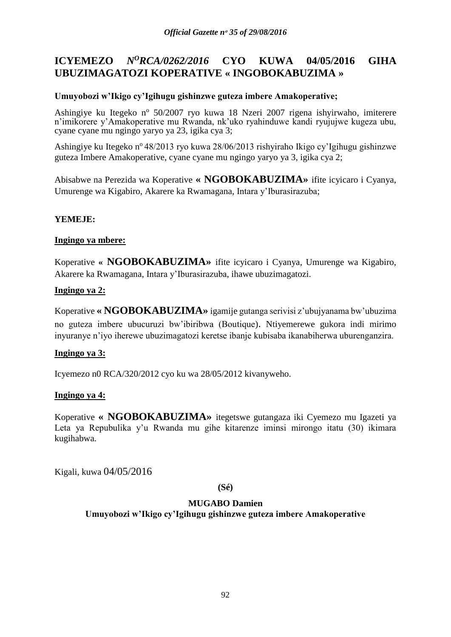# **ICYEMEZO** *N<sup>O</sup>RCA/0262/2016* **CYO KUWA 04/05/2016 GIHA UBUZIMAGATOZI KOPERATIVE « INGOBOKABUZIMA »**

# **Umuyobozi w'Ikigo cy'Igihugu gishinzwe guteza imbere Amakoperative;**

Ashingiye ku Itegeko nº 50/2007 ryo kuwa 18 Nzeri 2007 rigena ishyirwaho, imiterere n'imikorere y'Amakoperative mu Rwanda, nk'uko ryahinduwe kandi ryujujwe kugeza ubu, cyane cyane mu ngingo yaryo ya 23, igika cya 3;

Ashingiye ku Itegeko n<sup>o</sup> 48/2013 ryo kuwa 28/06/2013 rishyiraho Ikigo cy'Igihugu gishinzwe guteza Imbere Amakoperative, cyane cyane mu ngingo yaryo ya 3, igika cya 2;

Abisabwe na Perezida wa Koperative **« NGOBOKABUZIMA»** ifite icyicaro i Cyanya, Umurenge wa Kigabiro, Akarere ka Rwamagana, Intara y'Iburasirazuba;

# **YEMEJE:**

#### **Ingingo ya mbere:**

Koperative **« NGOBOKABUZIMA»** ifite icyicaro i Cyanya, Umurenge wa Kigabiro, Akarere ka Rwamagana, Intara y'Iburasirazuba, ihawe ubuzimagatozi.

## **Ingingo ya 2:**

Koperative **« NGOBOKABUZIMA»** igamije gutanga serivisi z'ubujyanama bw'ubuzima no guteza imbere ubucuruzi bw'ibiribwa (Boutique). Ntiyemerewe gukora indi mirimo inyuranye n'iyo iherewe ubuzimagatozi keretse ibanje kubisaba ikanabiherwa uburenganzira.

#### **Ingingo ya 3:**

Icyemezo n0 RCA/320/2012 cyo ku wa 28/05/2012 kivanyweho.

#### **Ingingo ya 4:**

Koperative **« NGOBOKABUZIMA»** itegetswe gutangaza iki Cyemezo mu Igazeti ya Leta ya Repubulika y'u Rwanda mu gihe kitarenze iminsi mirongo itatu (30) ikimara kugihabwa.

Kigali, kuwa 04/05/2016

#### **(Sé)**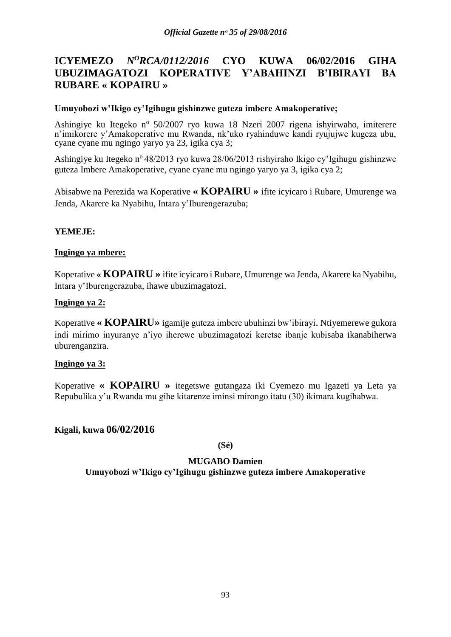# **ICYEMEZO** *N<sup>O</sup>RCA/0112/2016* **CYO KUWA 06/02/2016 GIHA UBUZIMAGATOZI KOPERATIVE Y'ABAHINZI B'IBIRAYI BA RUBARE « KOPAIRU »**

## **Umuyobozi w'Ikigo cy'Igihugu gishinzwe guteza imbere Amakoperative;**

Ashingiye ku Itegeko nº 50/2007 ryo kuwa 18 Nzeri 2007 rigena ishyirwaho, imiterere n'imikorere y'Amakoperative mu Rwanda, nk'uko ryahinduwe kandi ryujujwe kugeza ubu, cyane cyane mu ngingo yaryo ya 23, igika cya 3;

Ashingiye ku Itegeko nº 48/2013 ryo kuwa 28/06/2013 rishyiraho Ikigo cy'Igihugu gishinzwe guteza Imbere Amakoperative, cyane cyane mu ngingo yaryo ya 3, igika cya 2;

Abisabwe na Perezida wa Koperative **« KOPAIRU »** ifite icyicaro i Rubare, Umurenge wa Jenda, Akarere ka Nyabihu, Intara y'Iburengerazuba;

## **YEMEJE:**

## **Ingingo ya mbere:**

Koperative **« KOPAIRU »** ifite icyicaro i Rubare, Umurenge wa Jenda, Akarere ka Nyabihu, Intara y'Iburengerazuba, ihawe ubuzimagatozi.

## **Ingingo ya 2:**

Koperative **« KOPAIRU»** igamije guteza imbere ubuhinzi bw'ibirayi. Ntiyemerewe gukora indi mirimo inyuranye n'iyo iherewe ubuzimagatozi keretse ibanje kubisaba ikanabiherwa uburenganzira.

#### **Ingingo ya 3:**

Koperative **« KOPAIRU »** itegetswe gutangaza iki Cyemezo mu Igazeti ya Leta ya Repubulika y'u Rwanda mu gihe kitarenze iminsi mirongo itatu (30) ikimara kugihabwa.

# **Kigali, kuwa 06/02/2016**

**(Sé)**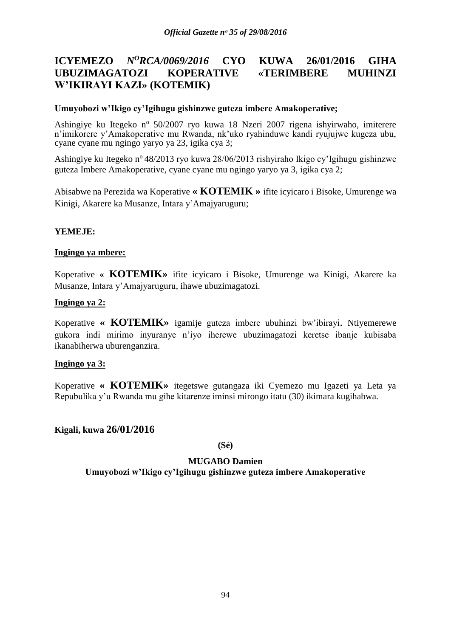# **ICYEMEZO** *N<sup>O</sup>RCA/0069/2016* **CYO KUWA 26/01/2016 GIHA UBUZIMAGATOZI KOPERATIVE «TERIMBERE MUHINZI W'IKIRAYI KAZI» (KOTEMIK)**

## **Umuyobozi w'Ikigo cy'Igihugu gishinzwe guteza imbere Amakoperative;**

Ashingiye ku Itegeko nº 50/2007 ryo kuwa 18 Nzeri 2007 rigena ishyirwaho, imiterere n'imikorere y'Amakoperative mu Rwanda, nk'uko ryahinduwe kandi ryujujwe kugeza ubu, cyane cyane mu ngingo yaryo ya 23, igika cya 3;

Ashingiye ku Itegeko n° 48/2013 ryo kuwa 28/06/2013 rishyiraho Ikigo cy'Igihugu gishinzwe guteza Imbere Amakoperative, cyane cyane mu ngingo yaryo ya 3, igika cya 2;

Abisabwe na Perezida wa Koperative **« KOTEMIK »** ifite icyicaro i Bisoke, Umurenge wa Kinigi, Akarere ka Musanze, Intara y'Amajyaruguru;

## **YEMEJE:**

## **Ingingo ya mbere:**

Koperative **« KOTEMIK»** ifite icyicaro i Bisoke, Umurenge wa Kinigi, Akarere ka Musanze, Intara y'Amajyaruguru, ihawe ubuzimagatozi.

## **Ingingo ya 2:**

Koperative **« KOTEMIK»** igamije guteza imbere ubuhinzi bw'ibirayi. Ntiyemerewe gukora indi mirimo inyuranye n'iyo iherewe ubuzimagatozi keretse ibanje kubisaba ikanabiherwa uburenganzira.

#### **Ingingo ya 3:**

Koperative **« KOTEMIK»** itegetswe gutangaza iki Cyemezo mu Igazeti ya Leta ya Repubulika y'u Rwanda mu gihe kitarenze iminsi mirongo itatu (30) ikimara kugihabwa.

# **Kigali, kuwa 26/01/2016**

**(Sé)**

#### **MUGABO Damien**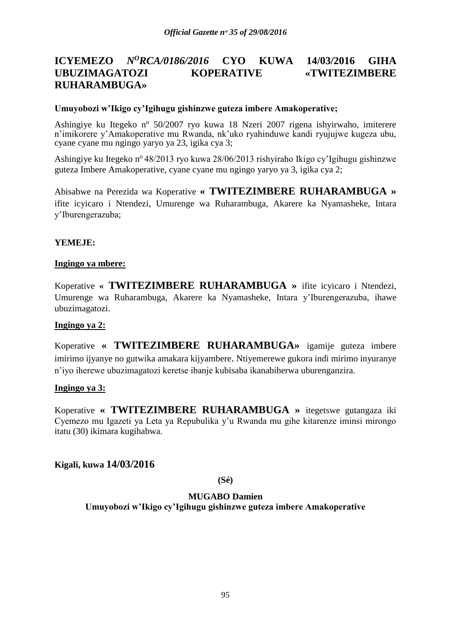# **ICYEMEZO** *N<sup>O</sup>RCA/0186/2016* **CYO KUWA 14/03/2016 GIHA UBUZIMAGATOZI KOPERATIVE «TWITEZIMBERE RUHARAMBUGA»**

#### **Umuyobozi w'Ikigo cy'Igihugu gishinzwe guteza imbere Amakoperative;**

Ashingiye ku Itegeko nº 50/2007 ryo kuwa 18 Nzeri 2007 rigena ishyirwaho, imiterere n'imikorere y'Amakoperative mu Rwanda, nk'uko ryahinduwe kandi ryujujwe kugeza ubu, cyane cyane mu ngingo yaryo ya 23, igika cya 3;

Ashingiye ku Itegeko n<sup>o</sup> 48/2013 ryo kuwa 28/06/2013 rishyiraho Ikigo cy'Igihugu gishinzwe guteza Imbere Amakoperative, cyane cyane mu ngingo yaryo ya 3, igika cya 2;

Abisabwe na Perezida wa Koperative **« TWITEZIMBERE RUHARAMBUGA »**  ifite icyicaro i Ntendezi, Umurenge wa Ruharambuga, Akarere ka Nyamasheke, Intara y'Iburengerazuba;

## **YEMEJE:**

#### **Ingingo ya mbere:**

Koperative **« TWITEZIMBERE RUHARAMBUGA »** ifite icyicaro i Ntendezi, Umurenge wa Ruharambuga, Akarere ka Nyamasheke, Intara y'Iburengerazuba, ihawe ubuzimagatozi.

#### **Ingingo ya 2:**

Koperative **« TWITEZIMBERE RUHARAMBUGA»** igamije guteza imbere imirimo ijyanye no gutwika amakara kijyambere. Ntiyemerewe gukora indi mirimo inyuranye n'iyo iherewe ubuzimagatozi keretse ibanje kubisaba ikanabiherwa uburenganzira.

#### **Ingingo ya 3:**

Koperative **« TWITEZIMBERE RUHARAMBUGA »** itegetswe gutangaza iki Cyemezo mu Igazeti ya Leta ya Repubulika y'u Rwanda mu gihe kitarenze iminsi mirongo itatu (30) ikimara kugihabwa.

**Kigali, kuwa 14/03/2016**

**(Sé)**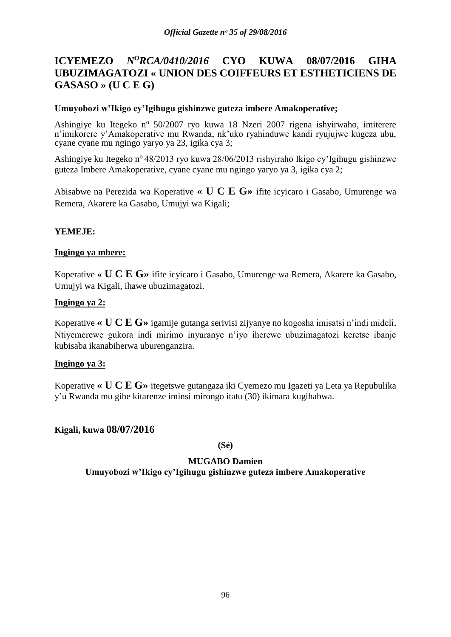# **ICYEMEZO** *N<sup>O</sup>RCA/0410/2016* **CYO KUWA 08/07/2016 GIHA UBUZIMAGATOZI « UNION DES COIFFEURS ET ESTHETICIENS DE GASASO » (U C E G)**

## **Umuyobozi w'Ikigo cy'Igihugu gishinzwe guteza imbere Amakoperative;**

Ashingiye ku Itegeko nº 50/2007 ryo kuwa 18 Nzeri 2007 rigena ishyirwaho, imiterere n'imikorere y'Amakoperative mu Rwanda, nk'uko ryahinduwe kandi ryujujwe kugeza ubu, cyane cyane mu ngingo yaryo ya 23, igika cya 3;

Ashingiye ku Itegeko nº 48/2013 ryo kuwa 28/06/2013 rishyiraho Ikigo cy'Igihugu gishinzwe guteza Imbere Amakoperative, cyane cyane mu ngingo yaryo ya 3, igika cya 2;

Abisabwe na Perezida wa Koperative **« U C E G»** ifite icyicaro i Gasabo, Umurenge wa Remera, Akarere ka Gasabo, Umujyi wa Kigali;

## **YEMEJE:**

## **Ingingo ya mbere:**

Koperative **« U C E G»** ifite icyicaro i Gasabo, Umurenge wa Remera, Akarere ka Gasabo, Umujyi wa Kigali, ihawe ubuzimagatozi.

## **Ingingo ya 2:**

Koperative **« U C E G»** igamije gutanga serivisi zijyanye no kogosha imisatsi n'indi mideli. Ntiyemerewe gukora indi mirimo inyuranye n'iyo iherewe ubuzimagatozi keretse ibanje kubisaba ikanabiherwa uburenganzira.

#### **Ingingo ya 3:**

Koperative **« U C E G»** itegetswe gutangaza iki Cyemezo mu Igazeti ya Leta ya Repubulika y'u Rwanda mu gihe kitarenze iminsi mirongo itatu (30) ikimara kugihabwa.

# **Kigali, kuwa 08/07/2016**

**(Sé)**

# **MUGABO Damien**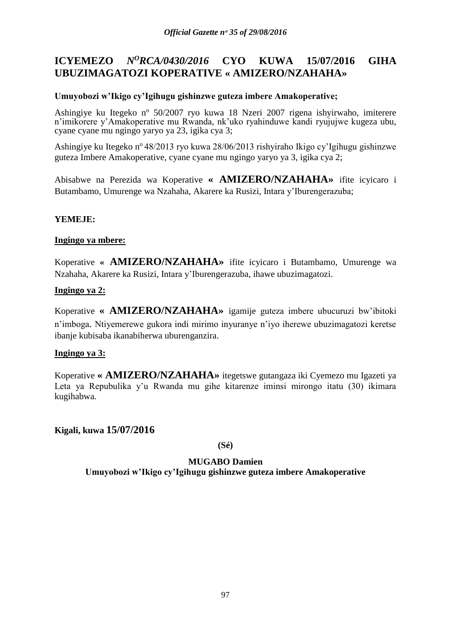# **ICYEMEZO** *N<sup>O</sup>RCA/0430/2016* **CYO KUWA 15/07/2016 GIHA UBUZIMAGATOZI KOPERATIVE « AMIZERO/NZAHAHA»**

# **Umuyobozi w'Ikigo cy'Igihugu gishinzwe guteza imbere Amakoperative;**

Ashingiye ku Itegeko nº 50/2007 ryo kuwa 18 Nzeri 2007 rigena ishyirwaho, imiterere n'imikorere y'Amakoperative mu Rwanda, nk'uko ryahinduwe kandi ryujujwe kugeza ubu, cyane cyane mu ngingo yaryo ya 23, igika cya 3;

Ashingiye ku Itegeko n<sup>o</sup> 48/2013 ryo kuwa 28/06/2013 rishyiraho Ikigo cy'Igihugu gishinzwe guteza Imbere Amakoperative, cyane cyane mu ngingo yaryo ya 3, igika cya 2;

Abisabwe na Perezida wa Koperative **« AMIZERO/NZAHAHA»** ifite icyicaro i Butambamo, Umurenge wa Nzahaha, Akarere ka Rusizi, Intara y'Iburengerazuba;

# **YEMEJE:**

## **Ingingo ya mbere:**

Koperative **« AMIZERO/NZAHAHA»** ifite icyicaro i Butambamo, Umurenge wa Nzahaha, Akarere ka Rusizi, Intara y'Iburengerazuba, ihawe ubuzimagatozi.

## **Ingingo ya 2:**

Koperative **« AMIZERO/NZAHAHA»** igamije guteza imbere ubucuruzi bw'ibitoki n'imboga. Ntiyemerewe gukora indi mirimo inyuranye n'iyo iherewe ubuzimagatozi keretse ibanje kubisaba ikanabiherwa uburenganzira.

#### **Ingingo ya 3:**

Koperative **« AMIZERO/NZAHAHA»** itegetswe gutangaza iki Cyemezo mu Igazeti ya Leta ya Repubulika y'u Rwanda mu gihe kitarenze iminsi mirongo itatu (30) ikimara kugihabwa.

**Kigali, kuwa 15/07/2016**

**(Sé)**

# **MUGABO Damien**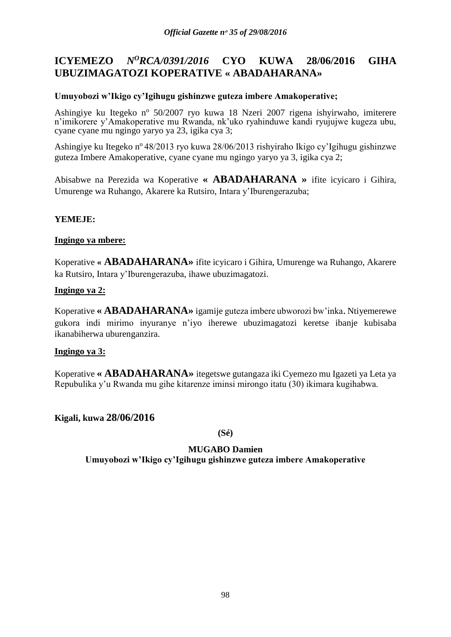# **ICYEMEZO** *N<sup>O</sup>RCA/0391/2016* **CYO KUWA 28/06/2016 GIHA UBUZIMAGATOZI KOPERATIVE « ABADAHARANA»**

## **Umuyobozi w'Ikigo cy'Igihugu gishinzwe guteza imbere Amakoperative;**

Ashingiye ku Itegeko nº 50/2007 ryo kuwa 18 Nzeri 2007 rigena ishyirwaho, imiterere n'imikorere y'Amakoperative mu Rwanda, nk'uko ryahinduwe kandi ryujujwe kugeza ubu, cyane cyane mu ngingo yaryo ya 23, igika cya 3;

Ashingiye ku Itegeko n<sup>o</sup> 48/2013 ryo kuwa 28/06/2013 rishyiraho Ikigo cy'Igihugu gishinzwe guteza Imbere Amakoperative, cyane cyane mu ngingo yaryo ya 3, igika cya 2;

Abisabwe na Perezida wa Koperative **« ABADAHARANA »** ifite icyicaro i Gihira, Umurenge wa Ruhango, Akarere ka Rutsiro, Intara y'Iburengerazuba;

# **YEMEJE:**

## **Ingingo ya mbere:**

Koperative **« ABADAHARANA»** ifite icyicaro i Gihira, Umurenge wa Ruhango, Akarere ka Rutsiro, Intara y'Iburengerazuba, ihawe ubuzimagatozi.

## **Ingingo ya 2:**

Koperative **« ABADAHARANA»** igamije guteza imbere ubworozi bw'inka. Ntiyemerewe gukora indi mirimo inyuranye n'iyo iherewe ubuzimagatozi keretse ibanje kubisaba ikanabiherwa uburenganzira.

#### **Ingingo ya 3:**

Koperative **« ABADAHARANA»** itegetswe gutangaza iki Cyemezo mu Igazeti ya Leta ya Repubulika y'u Rwanda mu gihe kitarenze iminsi mirongo itatu (30) ikimara kugihabwa.

# **Kigali, kuwa 28/06/2016**

**(Sé)**

# **MUGABO Damien**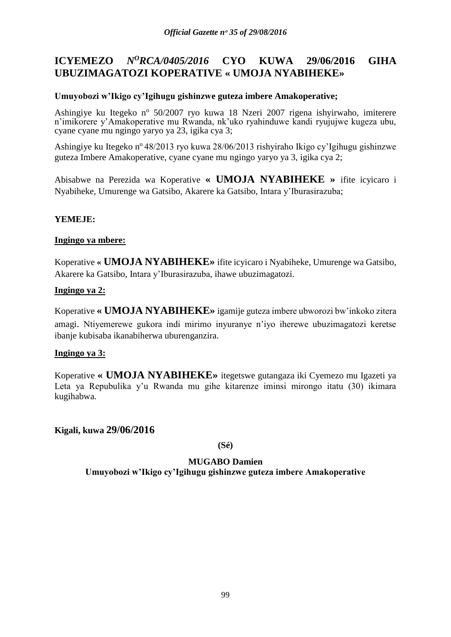# **ICYEMEZO** *N<sup>O</sup>RCA/0405/2016* **CYO KUWA 29/06/2016 GIHA UBUZIMAGATOZI KOPERATIVE « UMOJA NYABIHEKE»**

## **Umuyobozi w'Ikigo cy'Igihugu gishinzwe guteza imbere Amakoperative;**

Ashingiye ku Itegeko nº 50/2007 ryo kuwa 18 Nzeri 2007 rigena ishyirwaho, imiterere n'imikorere y'Amakoperative mu Rwanda, nk'uko ryahinduwe kandi ryujujwe kugeza ubu, cyane cyane mu ngingo yaryo ya 23, igika cya 3;

Ashingiye ku Itegeko n<sup>o</sup> 48/2013 ryo kuwa 28/06/2013 rishyiraho Ikigo cy'Igihugu gishinzwe guteza Imbere Amakoperative, cyane cyane mu ngingo yaryo ya 3, igika cya 2;

Abisabwe na Perezida wa Koperative **« UMOJA NYABIHEKE »** ifite icyicaro i Nyabiheke, Umurenge wa Gatsibo, Akarere ka Gatsibo, Intara y'Iburasirazuba;

# **YEMEJE:**

#### **Ingingo ya mbere:**

Koperative **« UMOJA NYABIHEKE»** ifite icyicaro i Nyabiheke, Umurenge wa Gatsibo, Akarere ka Gatsibo, Intara y'Iburasirazuba, ihawe ubuzimagatozi.

## **Ingingo ya 2:**

Koperative **« UMOJA NYABIHEKE»** igamije guteza imbere ubworozi bw'inkoko zitera amagi. Ntiyemerewe gukora indi mirimo inyuranye n'iyo iherewe ubuzimagatozi keretse ibanje kubisaba ikanabiherwa uburenganzira.

#### **Ingingo ya 3:**

Koperative **« UMOJA NYABIHEKE»** itegetswe gutangaza iki Cyemezo mu Igazeti ya Leta ya Repubulika y'u Rwanda mu gihe kitarenze iminsi mirongo itatu (30) ikimara kugihabwa.

**Kigali, kuwa 29/06/2016**

**(Sé)**

# **MUGABO Damien**